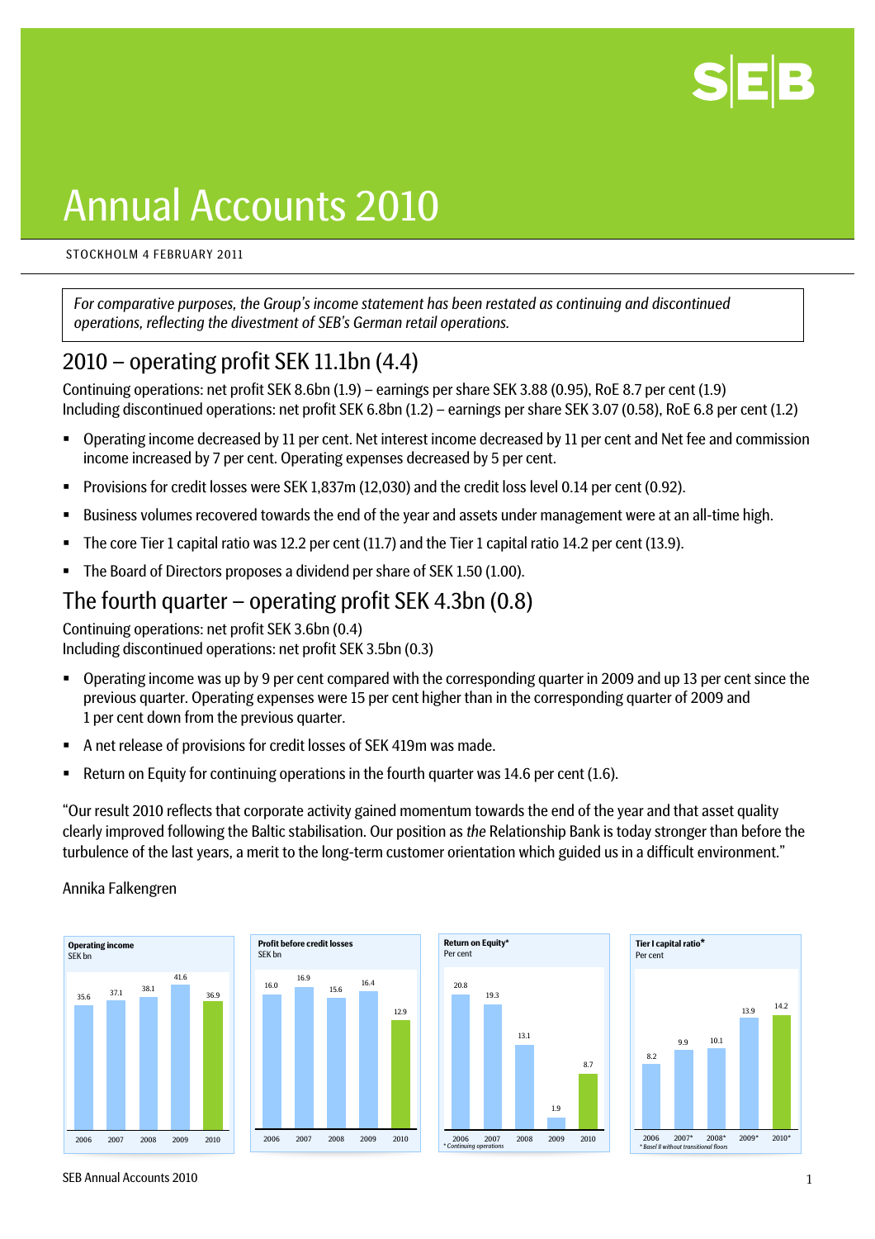

# Annual Accounts 2010

#### STOCKHOLM 4 FEBRUARY 2011

*For comparative purposes, the Group's income statement has been restated as continuing and discontinued operations, reflecting the divestment of SEB's German retail operations.* 

## 2010 – operating profit SEK 11.1bn (4.4)

Continuing operations: net profit SEK 8.6bn (1.9) – earnings per share SEK 3.88 (0.95), RoE 8.7 per cent (1.9) Including discontinued operations: net profit SEK 6.8bn (1.2) – earnings per share SEK 3.07 (0.58), RoE 6.8 per cent (1.2)

- Operating income decreased by 11 per cent. Net interest income decreased by 11 per cent and Net fee and commission income increased by 7 per cent. Operating expenses decreased by 5 per cent.
- Provisions for credit losses were SEK 1,837m (12,030) and the credit loss level 0.14 per cent (0.92).
- Business volumes recovered towards the end of the year and assets under management were at an all-time high.
- The core Tier 1 capital ratio was 12.2 per cent (11.7) and the Tier 1 capital ratio 14.2 per cent (13.9).
- The Board of Directors proposes a dividend per share of SEK 1.50 (1.00).

## The fourth quarter – operating profit SEK 4.3bn (0.8)

Continuing operations: net profit SEK 3.6bn (0.4) Including discontinued operations: net profit SEK 3.5bn (0.3)

- Operating income was up by 9 per cent compared with the corresponding quarter in 2009 and up 13 per cent since the previous quarter. Operating expenses were 15 per cent higher than in the corresponding quarter of 2009 and 1 per cent down from the previous quarter.
- A net release of provisions for credit losses of SEK 419m was made.
- **Return on Equity for continuing operations in the fourth quarter was 14.6 per cent (1.6).**

"Our result 2010 reflects that corporate activity gained momentum towards the end of the year and that asset quality clearly improved following the Baltic stabilisation. Our position as *the* Relationship Bank is today stronger than before the turbulence of the last years, a merit to the long-term customer orientation which guided us in a difficult environment."

#### Annika Falkengren









SEB Annual Accounts 2010 N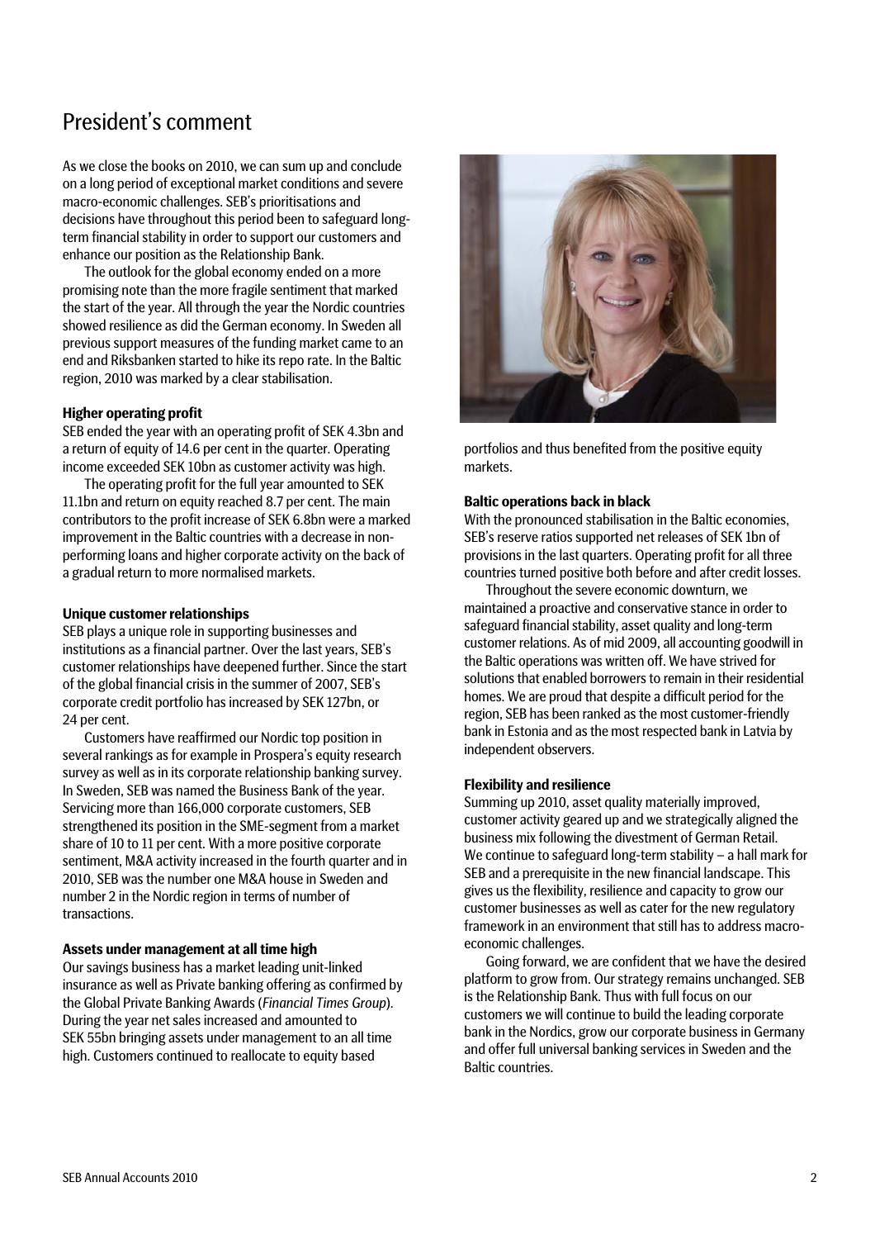## President's comment

As we close the books on 2010, we can sum up and conclude on a long period of exceptional market conditions and severe macro-economic challenges. SEB's prioritisations and decisions have throughout this period been to safeguard longterm financial stability in order to support our customers and enhance our position as the Relationship Bank.

The outlook for the global economy ended on a more promising note than the more fragile sentiment that marked the start of the year. All through the year the Nordic countries showed resilience as did the German economy. In Sweden all previous support measures of the funding market came to an end and Riksbanken started to hike its repo rate. In the Baltic region, 2010 was marked by a clear stabilisation.

#### **Higher operating profit**

SEB ended the year with an operating profit of SEK 4.3bn and a return of equity of 14.6 per cent in the quarter. Operating income exceeded SEK 10bn as customer activity was high.

The operating profit for the full year amounted to SEK 11.1bn and return on equity reached 8.7 per cent. The main contributors to the profit increase of SEK 6.8bn were a marked improvement in the Baltic countries with a decrease in nonperforming loans and higher corporate activity on the back of a gradual return to more normalised markets.

#### **Unique customer relationships**

SEB plays a unique role in supporting businesses and institutions as a financial partner. Over the last years, SEB's customer relationships have deepened further. Since the start of the global financial crisis in the summer of 2007, SEB's corporate credit portfolio has increased by SEK 127bn, or 24 per cent.

Customers have reaffirmed our Nordic top position in several rankings as for example in Prospera's equity research survey as well as in its corporate relationship banking survey. In Sweden, SEB was named the Business Bank of the year. Servicing more than 166,000 corporate customers, SEB strengthened its position in the SME-segment from a market share of 10 to 11 per cent. With a more positive corporate sentiment, M&A activity increased in the fourth quarter and in 2010, SEB was the number one M&A house in Sweden and number 2 in the Nordic region in terms of number of transactions.

Our savings business has a market leading unit-linked insurance as well as Private banking offering as confirmed by the Global Private Banking Awards (*Financial Times Group*). During the year net sales increased and amounted to SEK 55bn bringing assets under management to an all time high. Customers continued to reallocate to equity based



portfolios and thus benefited from the positive equity markets.

#### **Baltic operations back in black**

With the pronounced stabilisation in the Baltic economies, SEB's reserve ratios supported net releases of SEK 1bn of provisions in the last quarters. Operating profit for all three countries turned positive both before and after credit losses.

Throughout the severe economic downturn, we maintained a proactive and conservative stance in order to safeguard financial stability, asset quality and long-term customer relations. As of mid 2009, all accounting goodwill in the Baltic operations was written off. We have strived for solutions that enabled borrowers to remain in their residential homes. We are proud that despite a difficult period for the region, SEB has been ranked as the most customer-friendly bank in Estonia and as the most respected bank in Latvia by independent observers.

#### **Flexibility and resilience**

Summing up 2010, asset quality materially improved, customer activity geared up and we strategically aligned the business mix following the divestment of German Retail. We continue to safeguard long-term stability – a hall mark for SEB and a prerequisite in the new financial landscape. This gives us the flexibility, resilience and capacity to grow our customer businesses as well as cater for the new regulatory framework in an environment that still has to address macro-**Assets under management at all time high Exercise 2 modes in the desired** economic challenges.<br>Currequing business have the desired of the desired of the desired of the desired

platform to grow from. Our strategy remains unchanged. SEB is the Relationship Bank. Thus with full focus on our customers we will continue to build the leading corporate bank in the Nordics, grow our corporate business in Germany and offer full universal banking services in Sweden and the Baltic countries.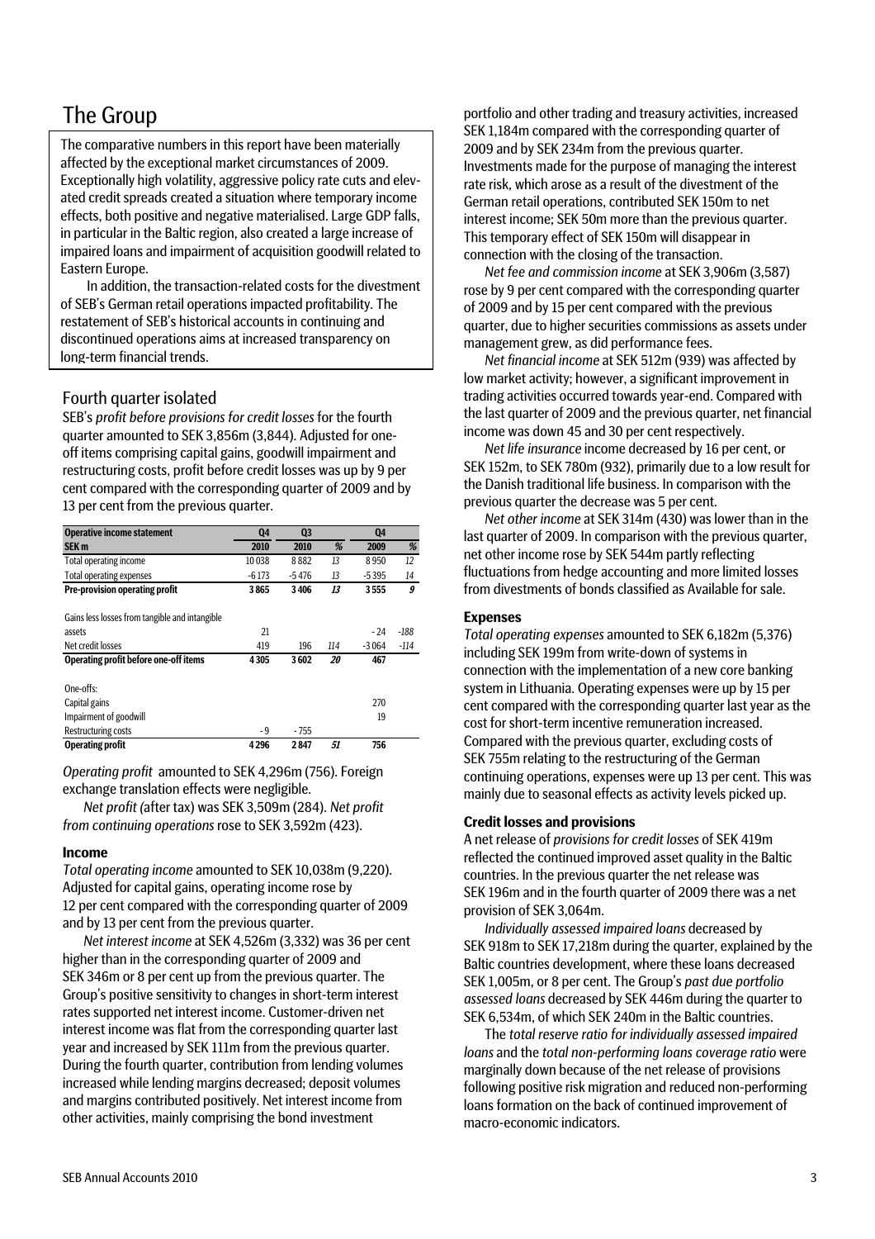## The Group

The comparative numbers in this report have been materially affected by the exceptional market circumstances of 2009. Exceptionally high volatility, aggressive policy rate cuts and elevated credit spreads created a situation where temporary income effects, both positive and negative materialised. Large GDP falls, in particular in the Baltic region, also created a large increase of impaired loans and impairment of acquisition goodwill related to Eastern Europe.

 In addition, the transaction-related costs for the divestment of SEB's German retail operations impacted profitability. The restatement of SEB's historical accounts in continuing and discontinued operations aims at increased transparency on long-term financial trends.

#### Fourth quarter isolated

SEB's *profit before provisions for credit losses* for the fourth quarter amounted to SEK 3,856m (3,844). Adjusted for oneoff items comprising capital gains, goodwill impairment and restructuring costs, profit before credit losses was up by 9 per cent compared with the corresponding quarter of 2009 and by 13 per cent from the previous quarter.

| <b>Operative income statement</b>              | Q4      | Q <sub>3</sub> |     | Q4      |        |
|------------------------------------------------|---------|----------------|-----|---------|--------|
| SEK <sub>m</sub>                               | 2010    | 2010           | %   | 2009    | %      |
| Total operating income                         | 10 0 38 | 8882           | 13  | 8950    | 12     |
| <b>Total operating expenses</b>                | $-6173$ | $-5476$        | 13  | $-5395$ | 14     |
| Pre-provision operating profit                 | 3865    | 3406           | 13  | 3555    | 9      |
| Gains less losses from tangible and intangible |         |                |     |         |        |
| assets                                         | 21      |                |     | $-24$   | $-188$ |
| Net credit losses                              | 419     | 196            | 114 | $-3064$ | $-114$ |
| Operating profit before one-off items          | 4305    | 3602           | 20  | 467     |        |
| One-offs:                                      |         |                |     |         |        |
| Capital gains                                  |         |                |     | 270     |        |
| Impairment of goodwill                         |         |                |     | 19      |        |
| Restructuring costs                            | - 9     | $-755$         |     |         |        |
| <b>Operating profit</b>                        | 4296    | 2847           | 51  | 756     |        |

*Operating profit* amounted to SEK 4,296m (756). Foreign exchange translation effects were negligible.

*Net profit (*after tax) was SEK 3,509m (284). *Net profit from continuing operations* rose to SEK 3,592m (423).

#### **Income**

*Total operating income* amounted to SEK 10,038m (9,220). Adjusted for capital gains, operating income rose by 12 per cent compared with the corresponding quarter of 2009 and by 13 per cent from the previous quarter.

*Net interest income* at SEK 4,526m (3,332) was 36 per cent higher than in the corresponding quarter of 2009 and SEK 346m or 8 per cent up from the previous quarter. The Group's positive sensitivity to changes in short-term interest rates supported net interest income. Customer-driven net interest income was flat from the corresponding quarter last year and increased by SEK 111m from the previous quarter. During the fourth quarter, contribution from lending volumes increased while lending margins decreased; deposit volumes and margins contributed positively. Net interest income from other activities, mainly comprising the bond investment

portfolio and other trading and treasury activities, increased SEK 1,184m compared with the corresponding quarter of 2009 and by SEK 234m from the previous quarter. Investments made for the purpose of managing the interest rate risk, which arose as a result of the divestment of the German retail operations, contributed SEK 150m to net interest income; SEK 50m more than the previous quarter. This temporary effect of SEK 150m will disappear in connection with the closing of the transaction.

*Net fee and commission income* at SEK 3,906m (3,587) rose by 9 per cent compared with the corresponding quarter of 2009 and by 15 per cent compared with the previous quarter, due to higher securities commissions as assets under management grew, as did performance fees.

*Net financial income* at SEK 512m (939) was affected by low market activity; however, a significant improvement in trading activities occurred towards year-end. Compared with the last quarter of 2009 and the previous quarter, net financial income was down 45 and 30 per cent respectively.

*Net life insurance* income decreased by 16 per cent, or SEK 152m, to SEK 780m (932), primarily due to a low result for the Danish traditional life business. In comparison with the previous quarter the decrease was 5 per cent.

*Net other income* at SEK 314m (430) was lower than in the last quarter of 2009. In comparison with the previous quarter, net other income rose by SEK 544m partly reflecting fluctuations from hedge accounting and more limited losses from divestments of bonds classified as Available for sale.

#### **Expenses**

*Total operating expenses* amounted to SEK 6,182m (5,376) including SEK 199m from write-down of systems in connection with the implementation of a new core banking system in Lithuania. Operating expenses were up by 15 per cent compared with the corresponding quarter last year as the cost for short-term incentive remuneration increased. Compared with the previous quarter, excluding costs of SEK 755m relating to the restructuring of the German continuing operations, expenses were up 13 per cent. This was mainly due to seasonal effects as activity levels picked up.

#### **Credit losses and provisions**

A net release of *provisions for credit losses* of SEK 419m reflected the continued improved asset quality in the Baltic countries. In the previous quarter the net release was SEK 196m and in the fourth quarter of 2009 there was a net provision of SEK 3,064m.

*Individually assessed impaired loans* decreased by SEK 918m to SEK 17,218m during the quarter, explained by the Baltic countries development, where these loans decreased SEK 1,005m, or 8 per cent. The Group's *past due portfolio assessed loans* decreased by SEK 446m during the quarter to SEK 6,534m, of which SEK 240m in the Baltic countries.

The *total reserve ratio for individually assessed impaired loans* and the *total non-performing loans coverage ratio* were marginally down because of the net release of provisions following positive risk migration and reduced non-performing loans formation on the back of continued improvement of macro-economic indicators.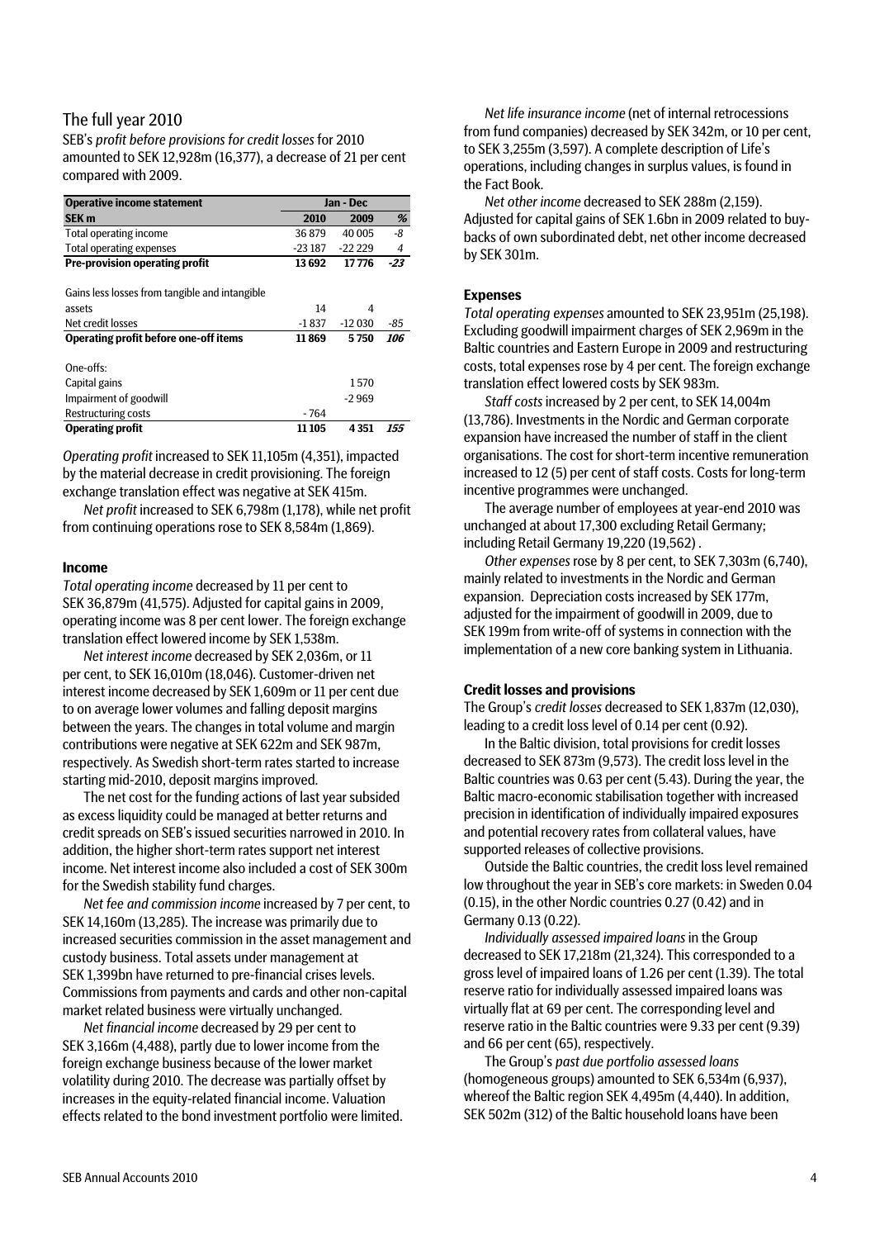### The full year 2010

SEB's *profit before provisions for credit losses* for 2010 amounted to SEK 12,928m (16,377), a decrease of 21 per cent compared with 2009.

| <b>Operative income statement</b>     |         | Jan - Dec |       |  |  |  |  |  |
|---------------------------------------|---------|-----------|-------|--|--|--|--|--|
| <b>SEK m</b>                          | 2010    | 2009      | %     |  |  |  |  |  |
| Total operating income                | 36879   | 40 005    | -8    |  |  |  |  |  |
| Total operating expenses              | -23 187 | $-22229$  | 4     |  |  |  |  |  |
| <b>Pre-provision operating profit</b> | 13692   | 17 776    | $-23$ |  |  |  |  |  |

Gains less losses from tangible and intangible

| assets                                | 14            | 4        |                   |
|---------------------------------------|---------------|----------|-------------------|
| Net credit losses                     | $-1837$       | $-12030$ | -85               |
| Operating profit before one-off items | 11869         | 5750     | <i><b>106</b></i> |
| One-offs:                             |               |          |                   |
| Capital gains                         |               | 1.570    |                   |
| Impairment of goodwill                |               | $-2969$  |                   |
| Restructuring costs                   | - 764         |          |                   |
| <b>Operating profit</b>               | <b>11 105</b> | 4351     | 155               |

*Operating profit* increased to SEK 11,105m (4,351), impacted by the material decrease in credit provisioning. The foreign exchange translation effect was negative at SEK 415m.

*Net profit* increased to SEK 6,798m (1,178), while net profit from continuing operations rose to SEK 8,584m (1,869).

#### **Income**

*Total operating income* decreased by 11 per cent to SEK 36,879m (41,575). Adjusted for capital gains in 2009, operating income was 8 per cent lower. The foreign exchange translation effect lowered income by SEK 1,538m.

*Net interest income* decreased by SEK 2,036m, or 11 per cent, to SEK 16,010m (18,046). Customer-driven net interest income decreased by SEK 1,609m or 11 per cent due to on average lower volumes and falling deposit margins between the years. The changes in total volume and margin contributions were negative at SEK 622m and SEK 987m, respectively. As Swedish short-term rates started to increase starting mid-2010, deposit margins improved.

The net cost for the funding actions of last year subsided as excess liquidity could be managed at better returns and credit spreads on SEB's issued securities narrowed in 2010. In addition, the higher short-term rates support net interest income. Net interest income also included a cost of SEK 300m for the Swedish stability fund charges.

*Net fee and commission income* increased by 7 per cent, to SEK 14,160m (13,285). The increase was primarily due to increased securities commission in the asset management and custody business. Total assets under management at SEK 1,399bn have returned to pre-financial crises levels. Commissions from payments and cards and other non-capital market related business were virtually unchanged.

*Net financial income* decreased by 29 per cent to SEK 3,166m (4,488), partly due to lower income from the foreign exchange business because of the lower market volatility during 2010. The decrease was partially offset by increases in the equity-related financial income. Valuation effects related to the bond investment portfolio were limited.

*Net life insurance income* (net of internal retrocessions from fund companies) decreased by SEK 342m, or 10 per cent, to SEK 3,255m (3,597). A complete description of Life's operations, including changes in surplus values, is found in the Fact Book.

*Net other income* decreased to SEK 288m (2,159). Adjusted for capital gains of SEK 1.6bn in 2009 related to buybacks of own subordinated debt, net other income decreased by SEK 301m.

#### **Expenses**

*Total operating expenses* amounted to SEK 23,951m (25,198). Excluding goodwill impairment charges of SEK 2,969m in the Baltic countries and Eastern Europe in 2009 and restructuring costs, total expenses rose by 4 per cent. The foreign exchange translation effect lowered costs by SEK 983m.

*Staff costs* increased by 2 per cent, to SEK 14,004m (13,786). Investments in the Nordic and German corporate expansion have increased the number of staff in the client organisations. The cost for short-term incentive remuneration increased to 12 (5) per cent of staff costs. Costs for long-term incentive programmes were unchanged.

The average number of employees at year-end 2010 was unchanged at about 17,300 excluding Retail Germany; including Retail Germany 19,220 (19,562) .

*Other expenses* rose by 8 per cent, to SEK 7,303m (6,740), mainly related to investments in the Nordic and German expansion. Depreciation costs increased by SEK 177m, adjusted for the impairment of goodwill in 2009, due to SEK 199m from write-off of systems in connection with the implementation of a new core banking system in Lithuania.

#### **Credit losses and provisions**

The Group's *credit losses* decreased to SEK 1,837m (12,030), leading to a credit loss level of 0.14 per cent (0.92).

In the Baltic division, total provisions for credit losses decreased to SEK 873m (9,573). The credit loss level in the Baltic countries was 0.63 per cent (5.43). During the year, the Baltic macro-economic stabilisation together with increased precision in identification of individually impaired exposures and potential recovery rates from collateral values, have supported releases of collective provisions.

Outside the Baltic countries, the credit loss level remained low throughout the year in SEB's core markets: in Sweden 0.04 (0.15), in the other Nordic countries 0.27 (0.42) and in Germany 0.13 (0.22).

*Individually assessed impaired loans* in the Group decreased to SEK 17,218m (21,324). This corresponded to a gross level of impaired loans of 1.26 per cent (1.39). The total reserve ratio for individually assessed impaired loans was virtually flat at 69 per cent. The corresponding level and reserve ratio in the Baltic countries were 9.33 per cent (9.39) and 66 per cent (65), respectively.

The Group's *past due portfolio assessed loans* (homogeneous groups) amounted to SEK 6,534m (6,937), whereof the Baltic region SEK 4,495m (4,440). In addition, SEK 502m (312) of the Baltic household loans have been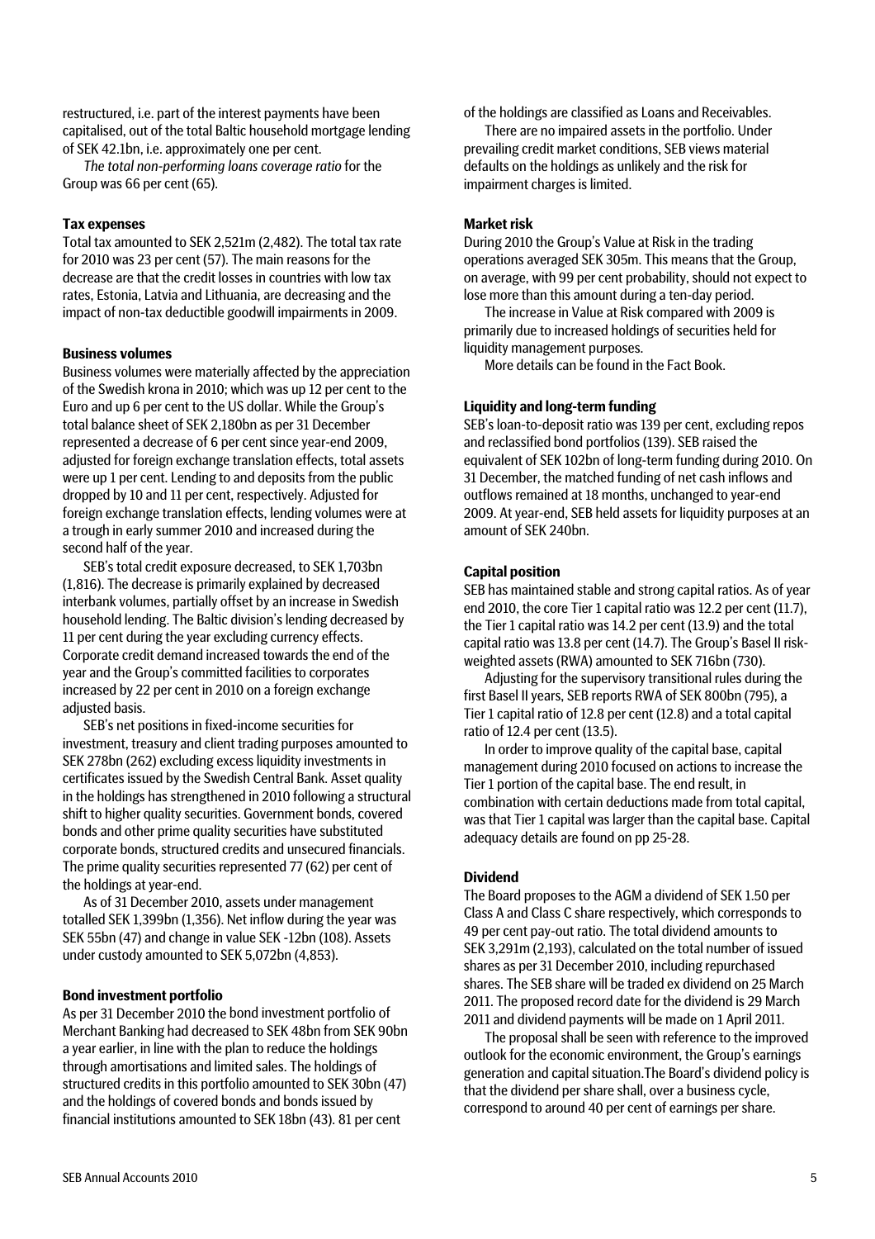restructured, i.e. part of the interest payments have been capitalised, out of the total Baltic household mortgage lending of SEK 42.1bn, i.e. approximately one per cent.

*The total non-performing loans coverage ratio* for the Group was 66 per cent (65).

#### **Tax expenses**

Total tax amounted to SEK 2,521m (2,482). The total tax rate for 2010 was 23 per cent (57). The main reasons for the decrease are that the credit losses in countries with low tax rates, Estonia, Latvia and Lithuania, are decreasing and the impact of non-tax deductible goodwill impairments in 2009.

#### **Business volumes**

Business volumes were materially affected by the appreciation of the Swedish krona in 2010; which was up 12 per cent to the Euro and up 6 per cent to the US dollar. While the Group's total balance sheet of SEK 2,180bn as per 31 December represented a decrease of 6 per cent since year-end 2009, adjusted for foreign exchange translation effects, total assets were up 1 per cent. Lending to and deposits from the public dropped by 10 and 11 per cent, respectively. Adjusted for foreign exchange translation effects, lending volumes were at a trough in early summer 2010 and increased during the second half of the year.

SEB's total credit exposure decreased, to SEK 1,703bn (1,816). The decrease is primarily explained by decreased interbank volumes, partially offset by an increase in Swedish household lending. The Baltic division's lending decreased by 11 per cent during the year excluding currency effects. Corporate credit demand increased towards the end of the year and the Group's committed facilities to corporates increased by 22 per cent in 2010 on a foreign exchange adjusted basis.

SEB's net positions in fixed-income securities for investment, treasury and client trading purposes amounted to SEK 278bn (262) excluding excess liquidity investments in certificates issued by the Swedish Central Bank. Asset quality in the holdings has strengthened in 2010 following a structural shift to higher quality securities. Government bonds, covered bonds and other prime quality securities have substituted corporate bonds, structured credits and unsecured financials. The prime quality securities represented 77 (62) per cent of the holdings at year-end.

As of 31 December 2010, assets under management totalled SEK 1,399bn (1,356). Net inflow during the year was SEK 55bn (47) and change in value SEK -12bn (108). Assets under custody amounted to SEK 5,072bn (4,853).

#### **Bond investment portfolio**

As per 31 December 2010 the bond investment portfolio of Merchant Banking had decreased to SEK 48bn from SEK 90bn a year earlier, in line with the plan to reduce the holdings through amortisations and limited sales. The holdings of structured credits in this portfolio amounted to SEK 30bn (47) and the holdings of covered bonds and bonds issued by financial institutions amounted to SEK 18bn (43). 81 per cent

of the holdings are classified as Loans and Receivables.

There are no impaired assets in the portfolio. Under prevailing credit market conditions, SEB views material defaults on the holdings as unlikely and the risk for impairment charges is limited.

#### **Market risk**

During 2010 the Group's Value at Risk in the trading operations averaged SEK 305m. This means that the Group, on average, with 99 per cent probability, should not expect to lose more than this amount during a ten-day period.

The increase in Value at Risk compared with 2009 is primarily due to increased holdings of securities held for liquidity management purposes.

More details can be found in the Fact Book.

#### **Liquidity and long-term funding**

SEB's loan-to-deposit ratio was 139 per cent, excluding repos and reclassified bond portfolios (139). SEB raised the equivalent of SEK 102bn of long-term funding during 2010. On 31 December, the matched funding of net cash inflows and outflows remained at 18 months, unchanged to year-end 2009. At year-end, SEB held assets for liquidity purposes at an amount of SEK 240bn.

#### **Capital position**

SEB has maintained stable and strong capital ratios. As of year end 2010, the core Tier 1 capital ratio was 12.2 per cent (11.7), the Tier 1 capital ratio was 14.2 per cent (13.9) and the total capital ratio was 13.8 per cent (14.7). The Group's Basel II riskweighted assets (RWA) amounted to SEK 716bn (730).

Adjusting for the supervisory transitional rules during the first Basel II years, SEB reports RWA of SEK 800bn (795), a Tier 1 capital ratio of 12.8 per cent (12.8) and a total capital ratio of 12.4 per cent (13.5).

In order to improve quality of the capital base, capital management during 2010 focused on actions to increase the Tier 1 portion of the capital base. The end result, in combination with certain deductions made from total capital, was that Tier 1 capital was larger than the capital base. Capital adequacy details are found on pp 25-28.

#### **Dividend**

The Board proposes to the AGM a dividend of SEK 1.50 per Class A and Class C share respectively, which corresponds to 49 per cent pay-out ratio. The total dividend amounts to SEK 3,291m (2,193), calculated on the total number of issued shares as per 31 December 2010, including repurchased shares. The SEB share will be traded ex dividend on 25 March 2011. The proposed record date for the dividend is 29 March 2011 and dividend payments will be made on 1 April 2011.

The proposal shall be seen with reference to the improved outlook for the economic environment, the Group's earnings generation and capital situation.The Board's dividend policy is that the dividend per share shall, over a business cycle, correspond to around 40 per cent of earnings per share.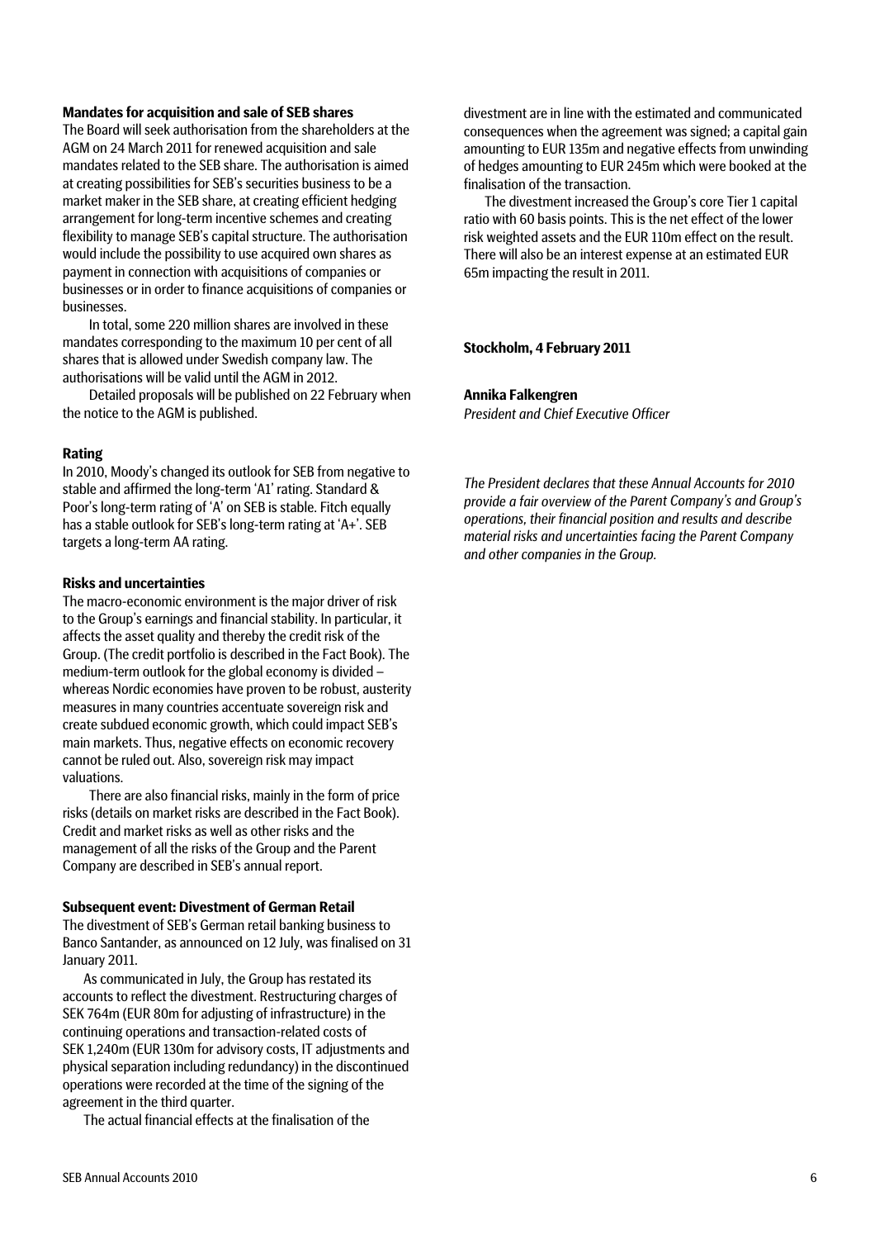#### **Mandates for acquisition and sale of SEB shares**

The Board will seek authorisation from the shareholders at the AGM on 24 March 2011 for renewed acquisition and sale mandates related to the SEB share. The authorisation is aimed at creating possibilities for SEB's securities business to be a market maker in the SEB share, at creating efficient hedging arrangement for long-term incentive schemes and creating flexibility to manage SEB's capital structure. The authorisation would include the possibility to use acquired own shares as payment in connection with acquisitions of companies or businesses or in order to finance acquisitions of companies or businesses.

In total, some 220 million shares are involved in these mandates corresponding to the maximum 10 per cent of all shares that is allowed under Swedish company law. The authorisations will be valid until the AGM in 2012.

Detailed proposals will be published on 22 February when the notice to the AGM is published.

#### **Rating**

In 2010, Moody's changed its outlook for SEB from negative to stable and affirmed the long-term 'A1' rating. Standard & Poor's long-term rating of 'A' on SEB is stable. Fitch equally has a stable outlook for SEB's long-term rating at 'A+'. SEB targets a long-term AA rating.

#### **Risks and uncertainties**

The macro-economic environment is the major driver of risk to the Group's earnings and financial stability. In particular, it affects the asset quality and thereby the credit risk of the Group. (The credit portfolio is described in the Fact Book). The medium-term outlook for the global economy is divided – whereas Nordic economies have proven to be robust, austerity measures in many countries accentuate sovereign risk and create subdued economic growth, which could impact SEB's main markets. Thus, negative effects on economic recovery cannot be ruled out. Also, sovereign risk may impact valuations.

There are also financial risks, mainly in the form of price risks (details on market risks are described in the Fact Book). Credit and market risks as well as other risks and the management of all the risks of the Group and the Parent Company are described in SEB's annual report.

#### **Subsequent event: Divestment of German Retail**

The divestment of SEB's German retail banking business to Banco Santander, as announced on 12 July, was finalised on 31 January 2011.

As communicated in July, the Group has restated its accounts to reflect the divestment. Restructuring charges of SEK 764m (EUR 80m for adjusting of infrastructure) in the continuing operations and transaction-related costs of SEK 1,240m (EUR 130m for advisory costs, IT adjustments and physical separation including redundancy) in the discontinued operations were recorded at the time of the signing of the agreement in the third quarter.

The actual financial effects at the finalisation of the

divestment are in line with the estimated and communicated consequences when the agreement was signed; a capital gain amounting to EUR 135m and negative effects from unwinding of hedges amounting to EUR 245m which were booked at the finalisation of the transaction.

The divestment increased the Group's core Tier 1 capital ratio with 60 basis points. This is the net effect of the lower risk weighted assets and the EUR 110m effect on the result. There will also be an interest expense at an estimated EUR 65m impacting the result in 2011.

#### **Stockholm, 4 February 2011**

**Annika Falkengren** 

*President and Chief Executive Officer* 

*The President declares that these Annual Accounts for 2010 provide a fair overview of the Parent Company's and Group's operations, their financial position and results and describe material risks and uncertainties facing the Parent Company and other companies in the Group.*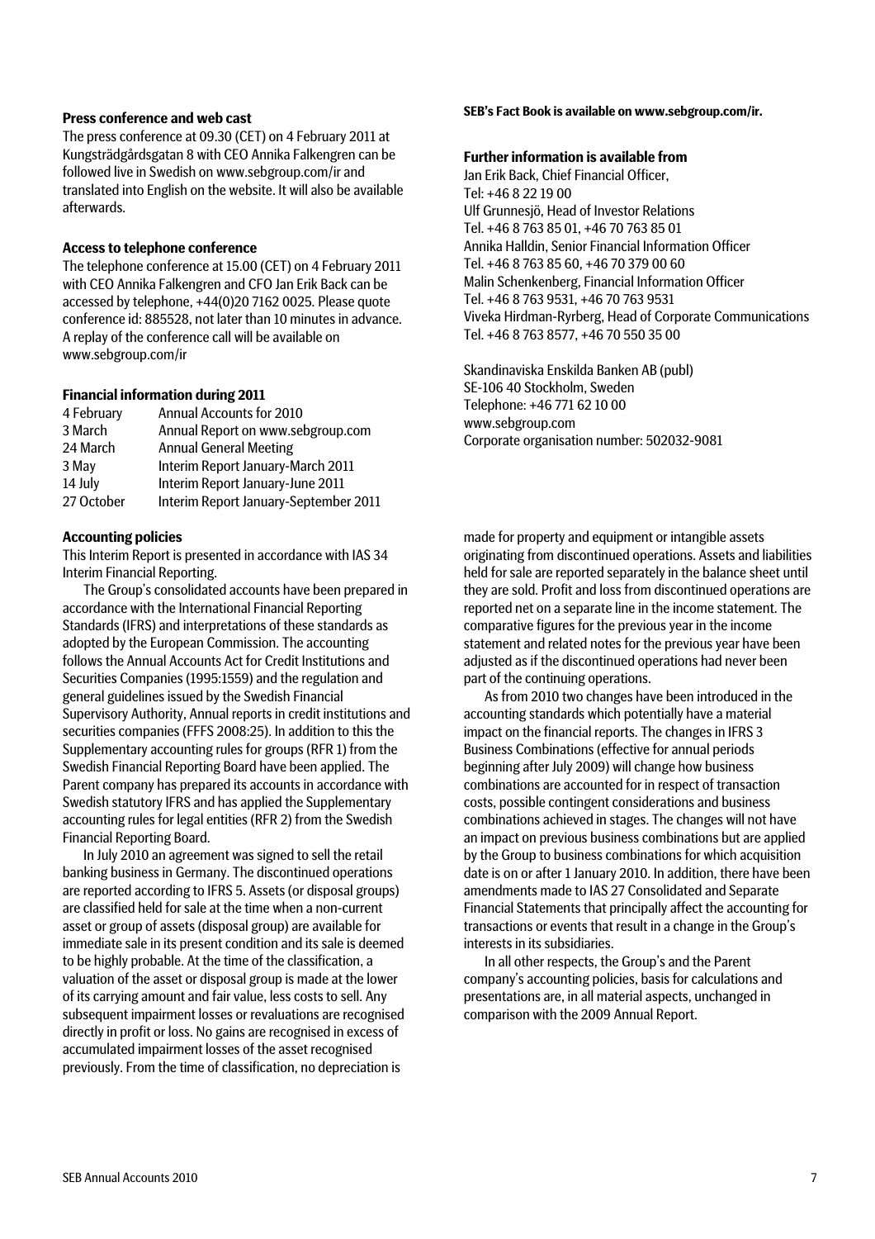#### **Press conference and web cast**

The press conference at 09.30 (CET) on 4 February 2011 at Kungsträdgårdsgatan 8 with CEO Annika Falkengren can be followed live in Swedish on [www.sebgroup.com/ir](http://www.sebgroup.com/ir) and translated into English on the website. It will also be available afterwards.

#### **Access to telephone conference**

The telephone conference at 15.00 (CET) on 4 February 2011 with CEO Annika Falkengren and CFO Jan Erik Back can be accessed by telephone, +44(0)20 7162 0025. Please quote conference id: 885528, not later than 10 minutes in advance. A replay of the conference call will be available on www.sebgroup.com/ir

#### **Financial information during 2011**

| 4 February | <b>Annual Accounts for 2010</b>       |
|------------|---------------------------------------|
| 3 March    | Annual Report on www.sebgroup.com     |
| 24 March   | <b>Annual General Meeting</b>         |
| 3 May      | Interim Report January-March 2011     |
| 14 July    | Interim Report January-June 2011      |
| 27 October | Interim Report January-September 2011 |

#### **Accounting policies**

This Interim Report is presented in accordance with IAS 34 Interim Financial Reporting.

The Group's consolidated accounts have been prepared in accordance with the International Financial Reporting Standards (IFRS) and interpretations of these standards as adopted by the European Commission. The accounting follows the Annual Accounts Act for Credit Institutions and Securities Companies (1995:1559) and the regulation and general guidelines issued by the Swedish Financial Supervisory Authority, Annual reports in credit institutions and securities companies (FFFS 2008:25). In addition to this the Supplementary accounting rules for groups (RFR 1) from the Swedish Financial Reporting Board have been applied. The Parent company has prepared its accounts in accordance with Swedish statutory IFRS and has applied the Supplementary accounting rules for legal entities (RFR 2) from the Swedish Financial Reporting Board.

In July 2010 an agreement was signed to sell the retail banking business in Germany. The discontinued operations are reported according to IFRS 5. Assets (or disposal groups) are classified held for sale at the time when a non-current asset or group of assets (disposal group) are available for immediate sale in its present condition and its sale is deemed to be highly probable. At the time of the classification, a valuation of the asset or disposal group is made at the lower of its carrying amount and fair value, less costs to sell. Any subsequent impairment losses or revaluations are recognised directly in profit or loss. No gains are recognised in excess of accumulated impairment losses of the asset recognised previously. From the time of classification, no depreciation is

#### **SEB's Fact Book is available on www.sebgroup.com/ir.**

#### **Further information is available from**

Jan Erik Back, Chief Financial Officer, Tel: +46 8 22 19 00 Ulf Grunnesjö, Head of Investor Relations Tel. +46 8 763 85 01, +46 70 763 85 01 Annika Halldin, Senior Financial Information Officer Tel. +46 8 763 85 60, +46 70 379 00 60 Malin Schenkenberg, Financial Information Officer Tel. +46 8 763 9531, +46 70 763 9531 Viveka Hirdman-Ryrberg, Head of Corporate Communications Tel. +46 8 763 8577, +46 70 550 35 00

Skandinaviska Enskilda Banken AB (publ) SE-106 40 Stockholm, Sweden Telephone: +46 771 62 10 00 www.sebgroup.com Corporate organisation number: 502032-9081

made for property and equipment or intangible assets originating from discontinued operations. Assets and liabilities held for sale are reported separately in the balance sheet until they are sold. Profit and loss from discontinued operations are reported net on a separate line in the income statement. The comparative figures for the previous year in the income statement and related notes for the previous year have been adjusted as if the discontinued operations had never been part of the continuing operations.

As from 2010 two changes have been introduced in the accounting standards which potentially have a material impact on the financial reports. The changes in IFRS 3 Business Combinations (effective for annual periods beginning after July 2009) will change how business combinations are accounted for in respect of transaction costs, possible contingent considerations and business combinations achieved in stages. The changes will not have an impact on previous business combinations but are applied by the Group to business combinations for which acquisition date is on or after 1 January 2010. In addition, there have been amendments made to IAS 27 Consolidated and Separate Financial Statements that principally affect the accounting for transactions or events that result in a change in the Group's interests in its subsidiaries.

In all other respects, the Group's and the Parent company's accounting policies, basis for calculations and presentations are, in all material aspects, unchanged in comparison with the 2009 Annual Report.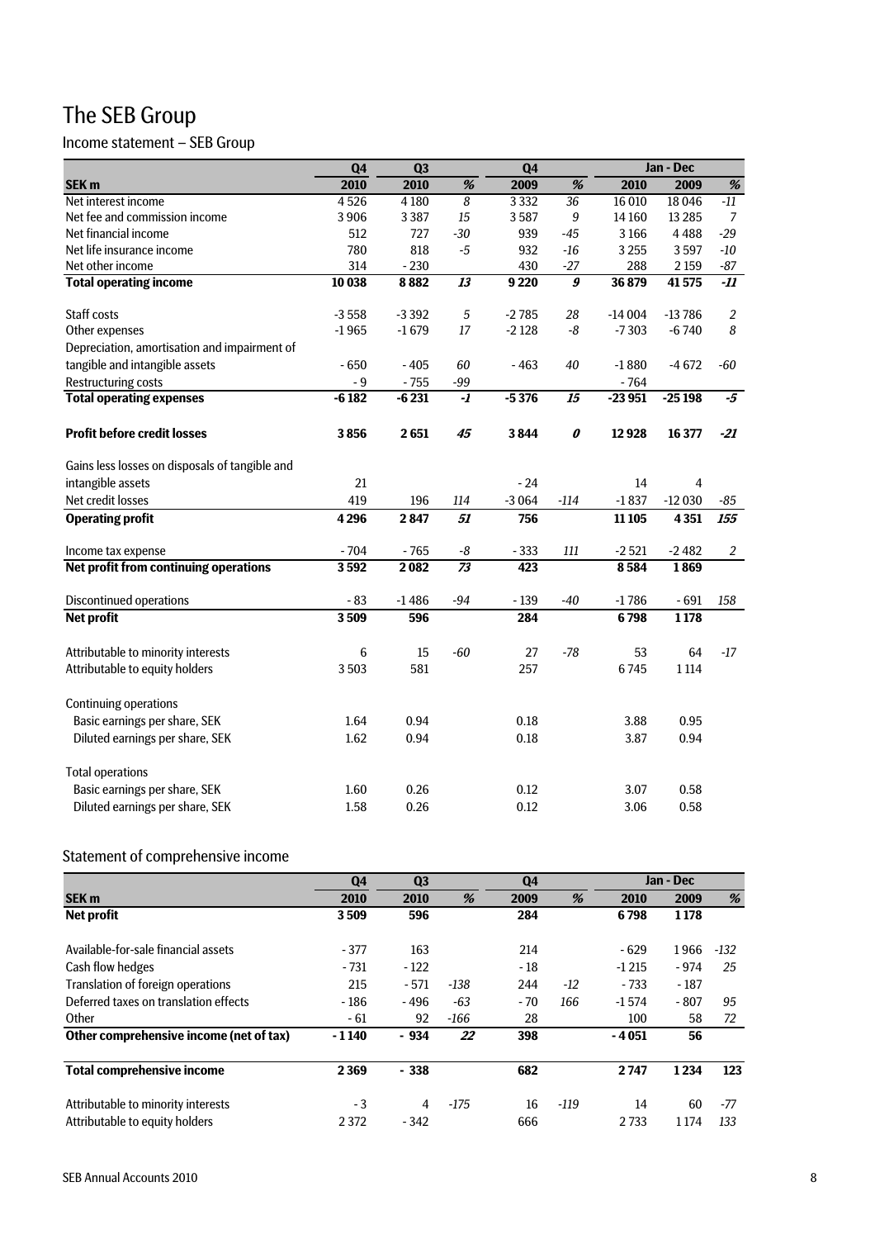## The SEB Group

## Income statement – SEB Group

|                                                | Q4      | Q <sub>3</sub> |                         | Q4      |                                       |          | Jan - Dec      |                |
|------------------------------------------------|---------|----------------|-------------------------|---------|---------------------------------------|----------|----------------|----------------|
| SEK <sub>m</sub>                               | 2010    | 2010           | %                       | 2009    | $\%$                                  | 2010     | 2009           | $\%$           |
| Net interest income                            | 4526    | 4 1 8 0        | 8                       | 3332    | 36                                    | 16 010   | 18046          | $-11$          |
| Net fee and commission income                  | 3906    | 3387           | 15                      | 3587    | $\boldsymbol{9}$                      | 14 160   | 13 2 8 5       | 7              |
| Net financial income                           | 512     | 727            | $-30$                   | 939     | $-45$                                 | 3166     | 4488           | $-29$          |
| Net life insurance income                      | 780     | 818            | $-5$                    | 932     | $-16$                                 | 3 2 5 5  | 3597           | $-10$          |
| Net other income                               | 314     | $-230$         |                         | 430     | $-27$                                 | 288      | 2 1 5 9        | $-87$          |
| <b>Total operating income</b>                  | 10 038  | 8882           | 13                      | 9 2 2 0 | $\overline{\boldsymbol{\mathcal{g}}}$ | 36 879   | 41575          | -11            |
| Staff costs                                    | $-3558$ | $-3392$        | 5                       | $-2785$ | 28                                    | $-14004$ | $-13786$       | $\overline{2}$ |
| Other expenses                                 | $-1965$ | $-1679$        | 17                      | $-2128$ | $-8$                                  | $-7303$  | $-6740$        | 8              |
| Depreciation, amortisation and impairment of   |         |                |                         |         |                                       |          |                |                |
| tangible and intangible assets                 | $-650$  | $-405$         | 60                      | $-463$  | 40                                    | $-1880$  | $-4672$        | -60            |
| <b>Restructuring costs</b>                     | - 9     | $-755$         | $-99$                   |         |                                       | $-764$   |                |                |
| <b>Total operating expenses</b>                | $-6182$ | $-6231$        | $\overline{\mathbf{1}}$ | $-5376$ | $\overline{15}$                       | $-23951$ | $-25198$       | $-5$           |
| <b>Profit before credit losses</b>             | 3856    | 2651           | 45                      | 3844    | $\boldsymbol{\theta}$                 | 12928    | 16 377         | $-21$          |
| Gains less losses on disposals of tangible and |         |                |                         |         |                                       |          |                |                |
| intangible assets                              | 21      |                |                         | $-24$   |                                       | 14       | $\overline{4}$ |                |
| Net credit losses                              | 419     | 196            | 114                     | $-3064$ | $-114$                                | $-1837$  | $-12030$       | -85            |
| <b>Operating profit</b>                        | 4 2 9 6 | 2847           | 51                      | 756     |                                       | 11 10 5  | 4351           | 155            |
| Income tax expense                             | $-704$  | $-765$         | -8                      | $-333$  | 111                                   | $-2521$  | $-2482$        | $\overline{a}$ |
| Net profit from continuing operations          | 3592    | 2082           | $\overline{73}$         | 423     |                                       | 8584     | 1869           |                |
| <b>Discontinued operations</b>                 | $-83$   | $-1486$        | $-94$                   | $-139$  | $-40$                                 | $-1786$  | $-691$         | 158            |
| <b>Net profit</b>                              | 3509    | 596            |                         | 284     |                                       | 6798     | 1178           |                |
| Attributable to minority interests             | 6       | 15             | $-60$                   | 27      | $-78$                                 | 53       | 64             | $-17$          |
| Attributable to equity holders                 | 3503    | 581            |                         | 257     |                                       | 6745     | 1 1 1 4        |                |
| <b>Continuing operations</b>                   |         |                |                         |         |                                       |          |                |                |
| Basic earnings per share, SEK                  | 1.64    | 0.94           |                         | 0.18    |                                       | 3.88     | 0.95           |                |
| Diluted earnings per share, SEK                | 1.62    | 0.94           |                         | 0.18    |                                       | 3.87     | 0.94           |                |
| <b>Total operations</b>                        |         |                |                         |         |                                       |          |                |                |
| Basic earnings per share, SEK                  | 1.60    | 0.26           |                         | 0.12    |                                       | 3.07     | 0.58           |                |
| Diluted earnings per share, SEK                | 1.58    | 0.26           |                         | 0.12    |                                       | 3.06     | 0.58           |                |

## Statement of comprehensive income

|                                         | Q4      | Q <sub>3</sub> |        | Q <sub>4</sub> |        | Jan - Dec |         |        |
|-----------------------------------------|---------|----------------|--------|----------------|--------|-----------|---------|--------|
| <b>SEK m</b>                            | 2010    | 2010           | %      | 2009           | %      | 2010      | 2009    | %      |
| <b>Net profit</b>                       | 3509    | 596            |        | 284            |        | 6798      | 1178    |        |
| Available-for-sale financial assets     | $-377$  | 163            |        | 214            |        | $-629$    | 1966    | $-132$ |
| Cash flow hedges                        | $-731$  | $-122$         |        | - 18           |        | $-1215$   | $-974$  | 25     |
| Translation of foreign operations       | 215     | $-571$         | $-138$ | 244            | $-12$  | $-733$    | $-187$  |        |
| Deferred taxes on translation effects   | $-186$  | $-496$         | $-63$  | - 70           | 166    | $-1574$   | $-807$  | 95     |
| Other                                   | - 61    | 92             | -166   | 28             |        | 100       | 58      | 72     |
| Other comprehensive income (net of tax) | $-1140$ | $-934$         | 22     | 398            |        | $-4051$   | 56      |        |
| <b>Total comprehensive income</b>       | 2 3 6 9 | $-338$         |        | 682            |        | 2747      | 1234    | 123    |
| Attributable to minority interests      | $-3$    | 4              | $-175$ | 16             | $-119$ | 14        | 60      | -77    |
| Attributable to equity holders          | 2 3 7 2 | $-342$         |        | 666            |        | 2 7 3 3   | 1 1 7 4 | 133    |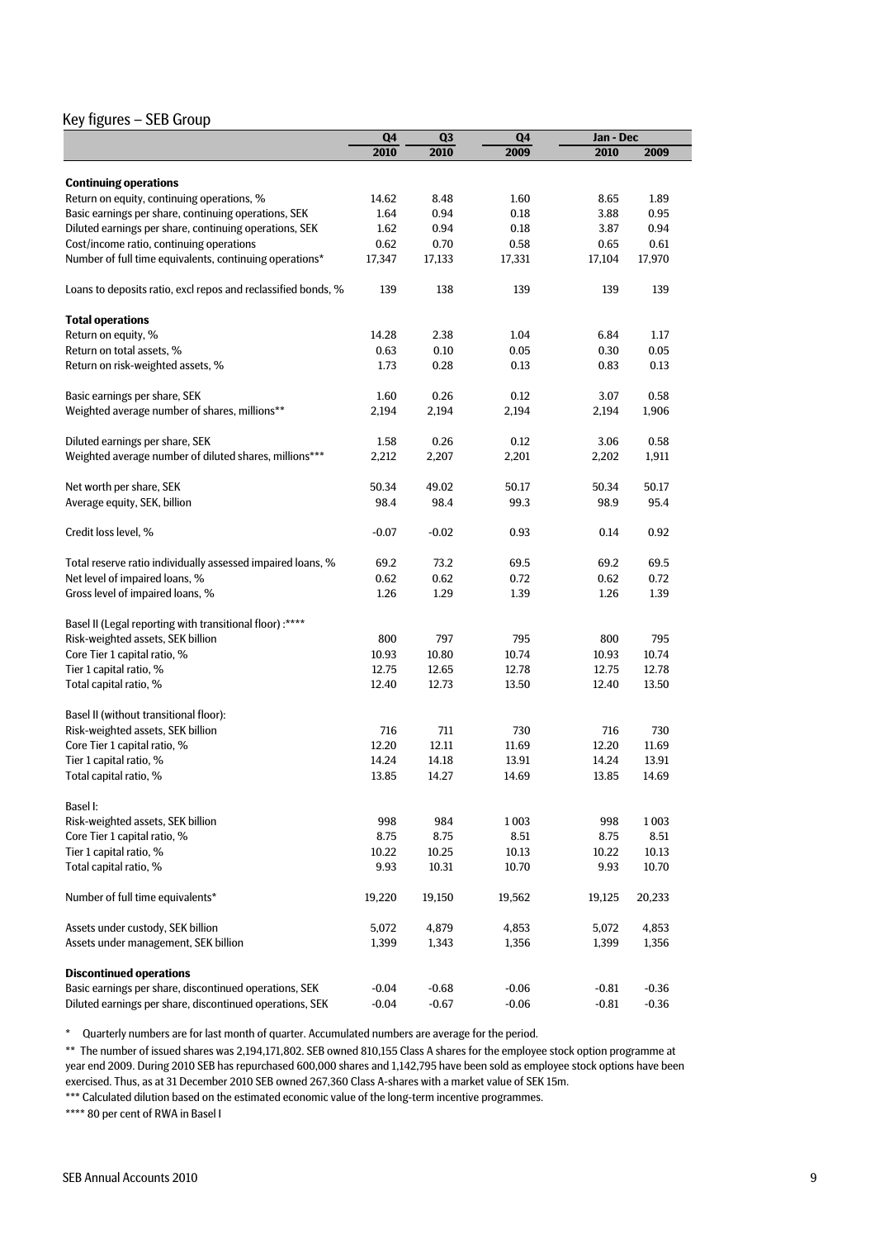#### Key figures – SEB Group

|                                                               | Q <sub>4</sub> | Q3      | ${\bf Q4}$ | Jan - Dec |         |
|---------------------------------------------------------------|----------------|---------|------------|-----------|---------|
|                                                               | 2010           | 2010    | 2009       | 2010      | 2009    |
|                                                               |                |         |            |           |         |
| <b>Continuing operations</b>                                  |                |         |            |           |         |
| Return on equity, continuing operations, %                    | 14.62          | 8.48    | 1.60       | 8.65      | 1.89    |
| Basic earnings per share, continuing operations, SEK          | 1.64           | 0.94    | 0.18       | 3.88      | 0.95    |
| Diluted earnings per share, continuing operations, SEK        | 1.62           | 0.94    | 0.18       | 3.87      | 0.94    |
| Cost/income ratio, continuing operations                      | 0.62           | 0.70    | 0.58       | 0.65      | 0.61    |
| Number of full time equivalents, continuing operations*       | 17,347         | 17,133  | 17,331     | 17,104    | 17,970  |
| Loans to deposits ratio, excl repos and reclassified bonds, % | 139            | 138     | 139        | 139       | 139     |
| <b>Total operations</b>                                       |                |         |            |           |         |
| Return on equity, %                                           | 14.28          | 2.38    | 1.04       | 6.84      | 1.17    |
| Return on total assets, %                                     | 0.63           | 0.10    | 0.05       | 0.30      | 0.05    |
| Return on risk-weighted assets, %                             | 1.73           | 0.28    | 0.13       | 0.83      | 0.13    |
|                                                               |                |         |            |           |         |
| Basic earnings per share, SEK                                 | 1.60           | 0.26    | 0.12       | 3.07      | 0.58    |
| Weighted average number of shares, millions**                 | 2,194          | 2,194   | 2,194      | 2,194     | 1,906   |
|                                                               |                |         |            |           |         |
| Diluted earnings per share, SEK                               | 1.58           | 0.26    | 0.12       | 3.06      | 0.58    |
| Weighted average number of diluted shares, millions***        | 2,212          | 2,207   | 2,201      | 2,202     | 1,911   |
|                                                               |                |         |            |           |         |
| Net worth per share, SEK                                      | 50.34          | 49.02   | 50.17      | 50.34     | 50.17   |
| Average equity, SEK, billion                                  | 98.4           | 98.4    | 99.3       | 98.9      | 95.4    |
| Credit loss level, %                                          | $-0.07$        | $-0.02$ | 0.93       | 0.14      | 0.92    |
|                                                               | 69.2           | 73.2    | 69.5       |           | 69.5    |
| Total reserve ratio individually assessed impaired loans, %   |                |         |            | 69.2      |         |
| Net level of impaired loans, %                                | 0.62           | 0.62    | 0.72       | 0.62      | 0.72    |
| Gross level of impaired loans, %                              | 1.26           | 1.29    | 1.39       | 1.26      | 1.39    |
| Basel II (Legal reporting with transitional floor) :****      |                |         |            |           |         |
| Risk-weighted assets, SEK billion                             | 800            | 797     | 795        | 800       | 795     |
| Core Tier 1 capital ratio, %                                  | 10.93          | 10.80   | 10.74      | 10.93     | 10.74   |
| Tier 1 capital ratio, %                                       | 12.75          | 12.65   | 12.78      | 12.75     | 12.78   |
| Total capital ratio, %                                        | 12.40          | 12.73   | 13.50      | 12.40     | 13.50   |
|                                                               |                |         |            |           |         |
| Basel II (without transitional floor):                        |                |         |            |           |         |
| Risk-weighted assets, SEK billion                             | 716            | 711     | 730        | 716       | 730     |
| Core Tier 1 capital ratio, %                                  | 12.20          | 12.11   | 11.69      | 12.20     | 11.69   |
| Tier 1 capital ratio, %                                       | 14.24          | 14.18   | 13.91      | 14.24     | 13.91   |
| Total capital ratio, %                                        | 13.85          | 14.27   | 14.69      | 13.85     | 14.69   |
|                                                               |                |         |            |           |         |
| Basel I:                                                      |                |         |            |           |         |
| Risk-weighted assets, SEK billion                             | 998            | 984     | 1003       | 998       | 1003    |
| Core Tier 1 capital ratio, %                                  | 8.75           | 8.75    | 8.51       | 8.75      | 8.51    |
| Tier 1 capital ratio, %                                       | 10.22          | 10.25   | 10.13      | 10.22     | 10.13   |
| Total capital ratio, %                                        | 9.93           | 10.31   | 10.70      | 9.93      | 10.70   |
| Number of full time equivalents*                              | 19,220         | 19,150  | 19,562     | 19,125    | 20,233  |
| Assets under custody, SEK billion                             | 5,072          | 4,879   | 4,853      | 5,072     | 4,853   |
| Assets under management, SEK billion                          | 1,399          | 1,343   | 1,356      | 1,399     | 1,356   |
|                                                               |                |         |            |           |         |
| <b>Discontinued operations</b>                                |                |         |            |           |         |
| Basic earnings per share, discontinued operations, SEK        | $-0.04$        | $-0.68$ | $-0.06$    | $-0.81$   | $-0.36$ |
| Diluted earnings per share, discontinued operations, SEK      | $-0.04$        | $-0.67$ | $-0.06$    | $-0.81$   | $-0.36$ |

\* Quarterly numbers are for last month of quarter. Accumulated numbers are average for the period.

\*\* The number of issued shares was 2,194,171,802. SEB owned 810,155 Class A shares for the employee stock option programme at year end 2009. During 2010 SEB has repurchased 600,000 shares and 1,142,795 have been sold as employee stock options have been exercised. Thus, as at 31 December 2010 SEB owned 267,360 Class A-shares with a market value of SEK 15m.

\*\*\* Calculated dilution based on the estimated economic value of the long-term incentive programmes.

\*\*\*\* 80 per cent of RWA in Basel I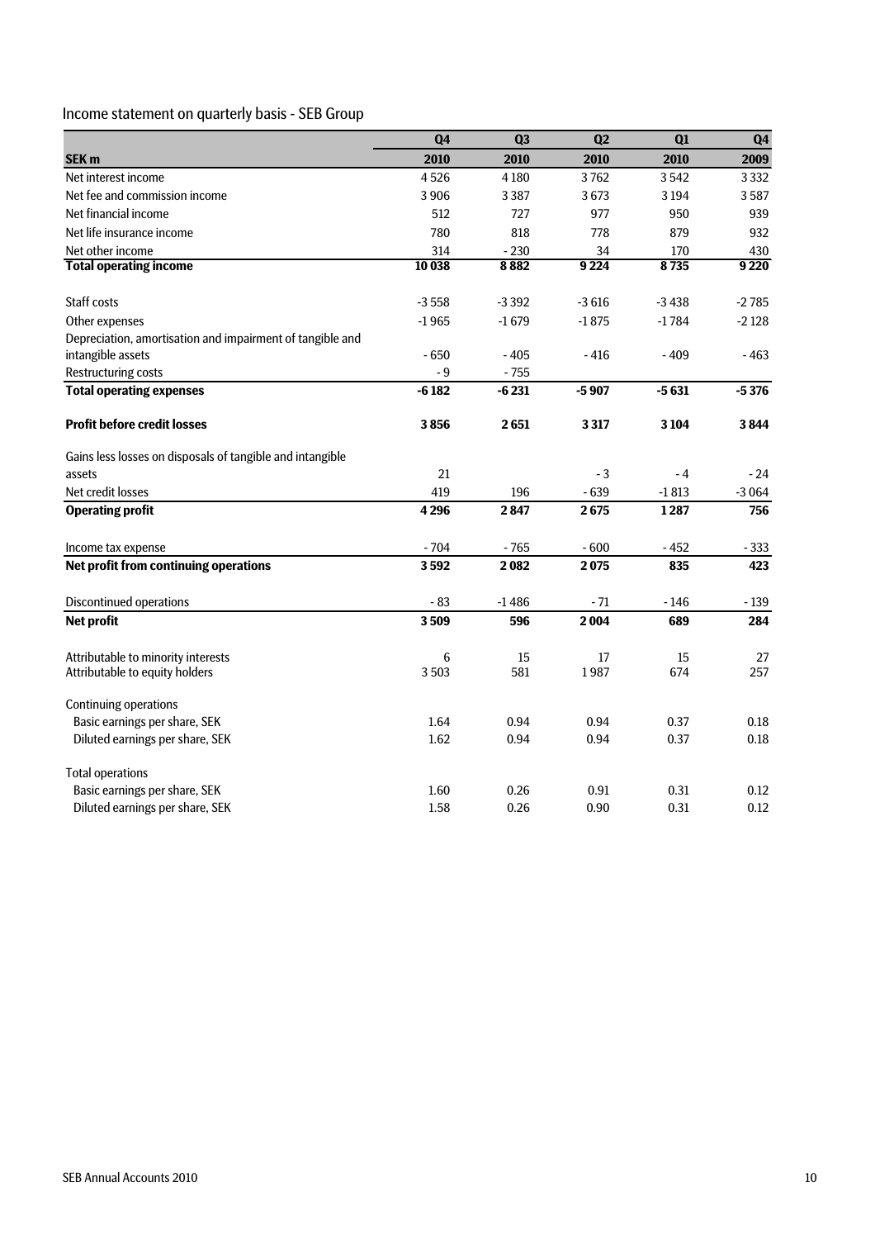## Income statement on quarterly basis - SEB Group

|                                                           | Q4      | Q <sub>3</sub> | Q <sub>2</sub> | Q1      | Q <sub>4</sub> |
|-----------------------------------------------------------|---------|----------------|----------------|---------|----------------|
| SEK <sub>m</sub>                                          | 2010    | 2010           | 2010           | 2010    | 2009           |
| Net interest income                                       | 4526    | 4180           | 3762           | 3542    | 3 3 3 2        |
| Net fee and commission income                             | 3906    | 3387           | 3673           | 3 1 9 4 | 3587           |
| Net financial income                                      | 512     | 727            | 977            | 950     | 939            |
| Net life insurance income                                 | 780     | 818            | 778            | 879     | 932            |
| Net other income                                          | 314     | $-230$         | 34             | 170     | 430            |
| <b>Total operating income</b>                             | 10 038  | 8882           | 9 2 2 4        | 8735    | 9 2 2 0        |
| <b>Staff costs</b>                                        | $-3558$ | $-3392$        | $-3616$        | $-3438$ | $-2785$        |
| Other expenses                                            | $-1965$ | $-1679$        | $-1875$        | $-1784$ | $-2128$        |
| Depreciation, amortisation and impairment of tangible and |         |                |                |         |                |
| intangible assets                                         | $-650$  | $-405$         | $-416$         | $-409$  | $-463$         |
| <b>Restructuring costs</b>                                | - 9     | $-755$         |                |         |                |
| <b>Total operating expenses</b>                           | $-6182$ | $-6231$        | $-5907$        | $-5631$ | $-5376$        |
| <b>Profit before credit losses</b>                        | 3856    | 2651           | 3317           | 3 1 0 4 | 3844           |
| Gains less losses on disposals of tangible and intangible |         |                |                |         |                |
| assets                                                    | 21      |                | - 3            | $-4$    | $-24$          |
| Net credit losses                                         | 419     | 196            | $-639$         | $-1813$ | $-3064$        |
| <b>Operating profit</b>                                   | 4296    | 2847           | 2675           | 1287    | 756            |
| Income tax expense                                        | $-704$  | $-765$         | $-600$         | $-452$  | $-333$         |
| Net profit from continuing operations                     | 3592    | 2082           | 2075           | 835     | 423            |
| <b>Discontinued operations</b>                            | $-83$   | $-1486$        | - 71           | - 146   | $-139$         |
| <b>Net profit</b>                                         | 3509    | 596            | 2004           | 689     | 284            |
| Attributable to minority interests                        | 6       | 15             | 17             | 15      | 27             |
| Attributable to equity holders                            | 3503    | 581            | 1987           | 674     | 257            |
| <b>Continuing operations</b>                              |         |                |                |         |                |
| Basic earnings per share, SEK                             | 1.64    | 0.94           | 0.94           | 0.37    | 0.18           |
| Diluted earnings per share, SEK                           | 1.62    | 0.94           | 0.94           | 0.37    | 0.18           |
| <b>Total operations</b>                                   |         |                |                |         |                |
| Basic earnings per share, SEK                             | 1.60    | 0.26           | 0.91           | 0.31    | 0.12           |
| Diluted earnings per share, SEK                           | 1.58    | 0.26           | 0.90           | 0.31    | 0.12           |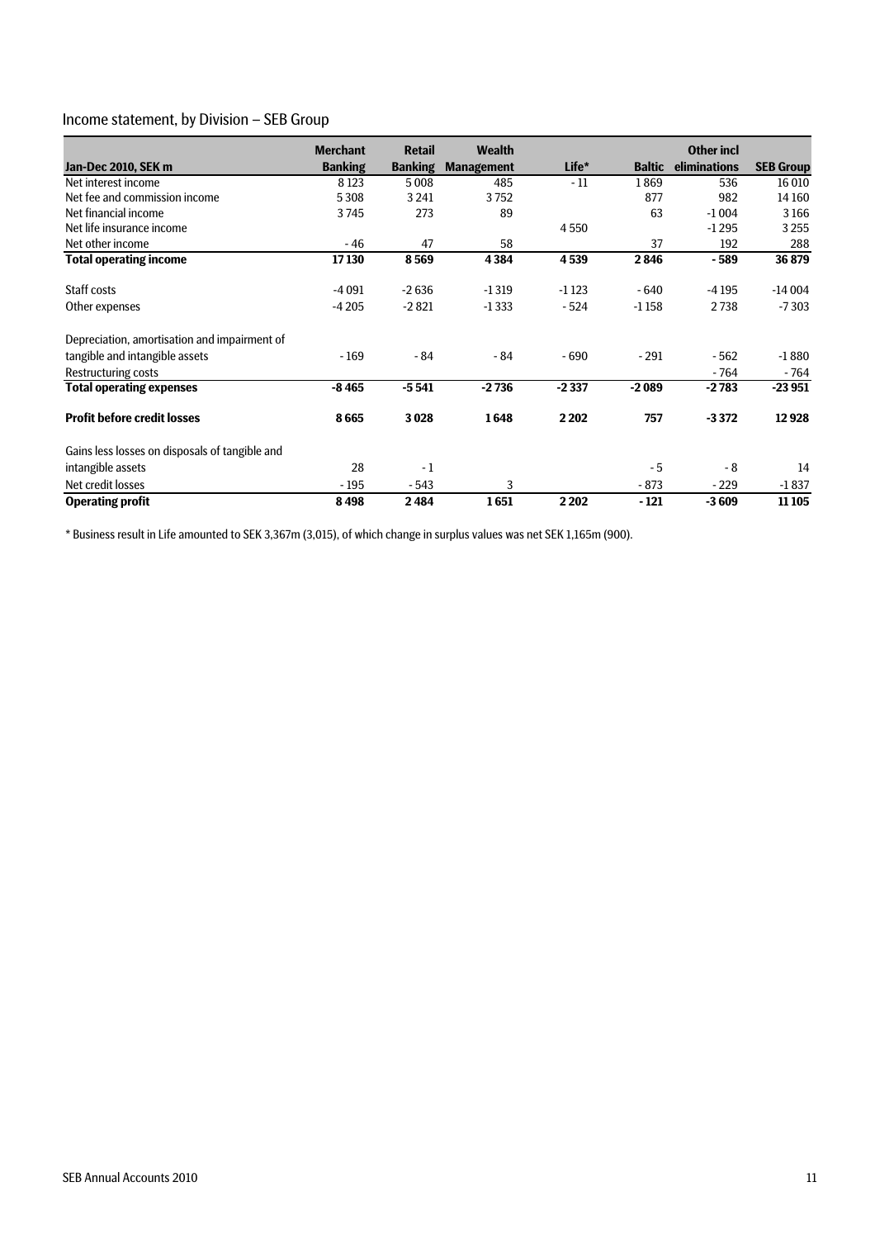### Income statement, by Division – SEB Group

|                                                | <b>Merchant</b> | <b>Retail</b>  | <b>Wealth</b>     |         |               | <b>Other incl</b> |                  |
|------------------------------------------------|-----------------|----------------|-------------------|---------|---------------|-------------------|------------------|
| Jan-Dec 2010, SEK m                            | <b>Banking</b>  | <b>Banking</b> | <b>Management</b> | Life*   | <b>Baltic</b> | eliminations      | <b>SEB Group</b> |
| Net interest income                            | 8 1 2 3         | 5008           | 485               | $-11$   | 1869          | 536               | 16 010           |
| Net fee and commission income                  | 5 3 0 8         | 3 2 4 1        | 3752              |         | 877           | 982               | 14 160           |
| Net financial income                           | 3745            | 273            | 89                |         | 63            | $-1004$           | 3166             |
| Net life insurance income                      |                 |                |                   | 4550    |               | $-1295$           | 3255             |
| Net other income                               | - 46            | 47             | 58                |         | 37            | 192               | 288              |
| <b>Total operating income</b>                  | 17130           | 8569           | 4384              | 4539    | 2846          | $-589$            | 36879            |
| Staff costs                                    | $-4091$         | $-2636$        | $-1319$           | $-1123$ | $-640$        | -4 195            | $-14004$         |
| Other expenses                                 | $-4205$         | $-2821$        | $-1333$           | $-524$  | $-1158$       | 2738              | $-7303$          |
| Depreciation, amortisation and impairment of   |                 |                |                   |         |               |                   |                  |
| tangible and intangible assets                 | $-169$          | $-84$          | $-84$             | $-690$  | $-291$        | $-562$            | $-1880$          |
| Restructuring costs                            |                 |                |                   |         |               | $-764$            | $-764$           |
| <b>Total operating expenses</b>                | $-8465$         | $-5541$        | $-2736$           | $-2337$ | $-2089$       | $-2783$           | $-23951$         |
| <b>Profit before credit losses</b>             | 8665            | 3028           | 1648              | 2 2 0 2 | 757           | $-3372$           | 12928            |
| Gains less losses on disposals of tangible and |                 |                |                   |         |               |                   |                  |
| intangible assets                              | 28              | $-1$           |                   |         | - 5           | - 8               | 14               |
| Net credit losses                              | $-195$          | $-543$         | 3                 |         | $-873$        | $-229$            | $-1837$          |
| <b>Operating profit</b>                        | 8498            | 2484           | 1651              | 2 2 0 2 | $-121$        | $-3609$           | 11 10 5          |

\* Business result in Life amounted to SEK 3,367m (3,015), of which change in surplus values was net SEK 1,165m (900).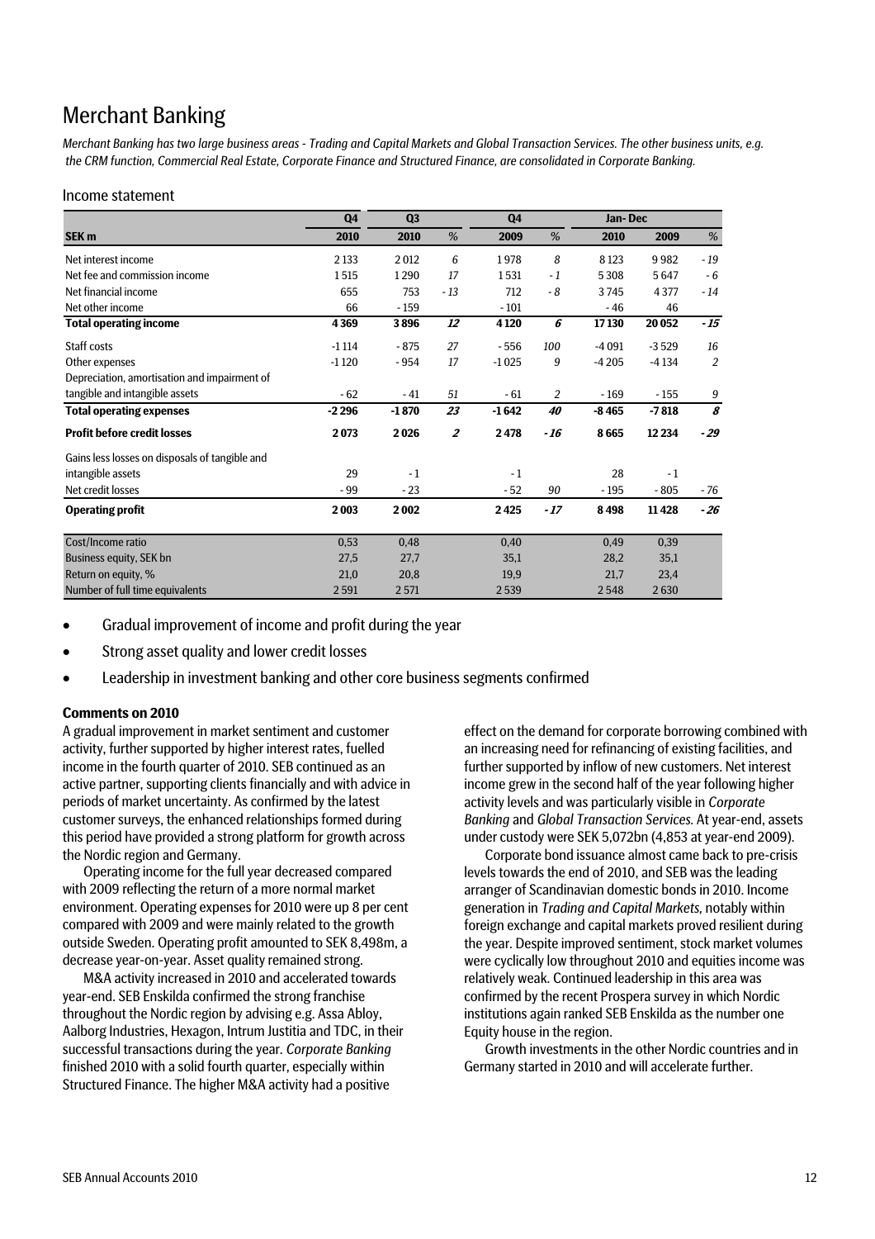## Merchant Banking

*Merchant Banking has two large business areas - Trading and Capital Markets and Global Transaction Services. The other business units, e.g. the CRM function, Commercial Real Estate, Corporate Finance and Structured Finance, are consolidated in Corporate Banking.* 

#### Income statement

|                                                | Q <sub>4</sub> | Q <sub>3</sub> |                  | Q <sub>4</sub> |       | Jan-Dec |         |       |
|------------------------------------------------|----------------|----------------|------------------|----------------|-------|---------|---------|-------|
| SEK <sub>m</sub>                               | 2010           | 2010           | %                | 2009           | %     | 2010    | 2009    | $\%$  |
| Net interest income                            | 2 1 3 3        | 2012           | 6                | 1978           | 8     | 8 1 2 3 | 9982    | $-19$ |
| Net fee and commission income                  | 1515           | 1290           | 17               | 1531           | $-1$  | 5308    | 5647    | $-6$  |
| Net financial income                           | 655            | 753            | $-13$            | 712            | $-8$  | 3745    | 4377    | $-14$ |
| Net other income                               | 66             | $-159$         |                  | $-101$         |       | $-46$   | 46      |       |
| <b>Total operating income</b>                  | 4369           | 3896           | 12               | 4 1 2 0        | 6     | 17130   | 20 052  | $-15$ |
| Staff costs                                    | $-1114$        | $-875$         | 27               | $-556$         | 100   | $-4091$ | $-3529$ | 16    |
| Other expenses                                 | $-1120$        | $-954$         | 17               | $-1025$        | 9     | $-4205$ | $-4134$ | 2     |
| Depreciation, amortisation and impairment of   |                |                |                  |                |       |         |         |       |
| tangible and intangible assets                 | $-62$          | $-41$          | 51               | $-61$          | 2     | $-169$  | $-155$  | 9     |
| <b>Total operating expenses</b>                | $-2296$        | $-1870$        | 23               | $-1642$        | 40    | $-8465$ | $-7818$ | 8     |
| <b>Profit before credit losses</b>             | 2073           | 2026           | $\boldsymbol{2}$ | 2478           | $-16$ | 8665    | 12 2 34 | $-29$ |
| Gains less losses on disposals of tangible and |                |                |                  |                |       |         |         |       |
| intangible assets                              | 29             | $-1$           |                  | $-1$           |       | 28      | $-1$    |       |
| Net credit losses                              | - 99           | $-23$          |                  | $-52$          | 90    | $-195$  | $-805$  | - 76  |
| <b>Operating profit</b>                        | 2003           | 2002           |                  | 2425           | $-17$ | 8498    | 11428   | $-26$ |
| Cost/Income ratio                              | 0,53           | 0,48           |                  | 0,40           |       | 0,49    | 0,39    |       |
| Business equity, SEK bn                        | 27,5           | 27,7           |                  | 35,1           |       | 28,2    | 35,1    |       |
| Return on equity, %                            | 21,0           | 20,8           |                  | 19,9           |       | 21,7    | 23,4    |       |
| Number of full time equivalents                | 2591           | 2571           |                  | 2539           |       | 2548    | 2630    |       |

- Gradual improvement of income and profit during the year
- Strong asset quality and lower credit losses
- Leadership in investment banking and other core business segments confirmed

#### **Comments on 2010**

A gradual improvement in market sentiment and customer activity, further supported by higher interest rates, fuelled income in the fourth quarter of 2010. SEB continued as an active partner, supporting clients financially and with advice in periods of market uncertainty. As confirmed by the latest customer surveys, the enhanced relationships formed during this period have provided a strong platform for growth across the Nordic region and Germany.

Operating income for the full year decreased compared with 2009 reflecting the return of a more normal market environment. Operating expenses for 2010 were up 8 per cent compared with 2009 and were mainly related to the growth outside Sweden. Operating profit amounted to SEK 8,498m, a decrease year-on-year. Asset quality remained strong.

M&A activity increased in 2010 and accelerated towards year-end. SEB Enskilda confirmed the strong franchise throughout the Nordic region by advising e.g. Assa Abloy, Aalborg Industries, Hexagon, Intrum Justitia and TDC, in their successful transactions during the year. *Corporate Banking*  finished 2010 with a solid fourth quarter, especially within Structured Finance. The higher M&A activity had a positive

effect on the demand for corporate borrowing combined with an increasing need for refinancing of existing facilities, and further supported by inflow of new customers. Net interest income grew in the second half of the year following higher activity levels and was particularly visible in *Corporate Banking* and *Global Transaction Services.* At year-end, assets under custody were SEK 5,072bn (4,853 at year-end 2009).

Corporate bond issuance almost came back to pre-crisis levels towards the end of 2010, and SEB was the leading arranger of Scandinavian domestic bonds in 2010. Income generation in *Trading and Capital Markets,* notably within foreign exchange and capital markets proved resilient during the year. Despite improved sentiment, stock market volumes were cyclically low throughout 2010 and equities income was relatively weak. Continued leadership in this area was confirmed by the recent Prospera survey in which Nordic institutions again ranked SEB Enskilda as the number one Equity house in the region.

Growth investments in the other Nordic countries and in Germany started in 2010 and will accelerate further.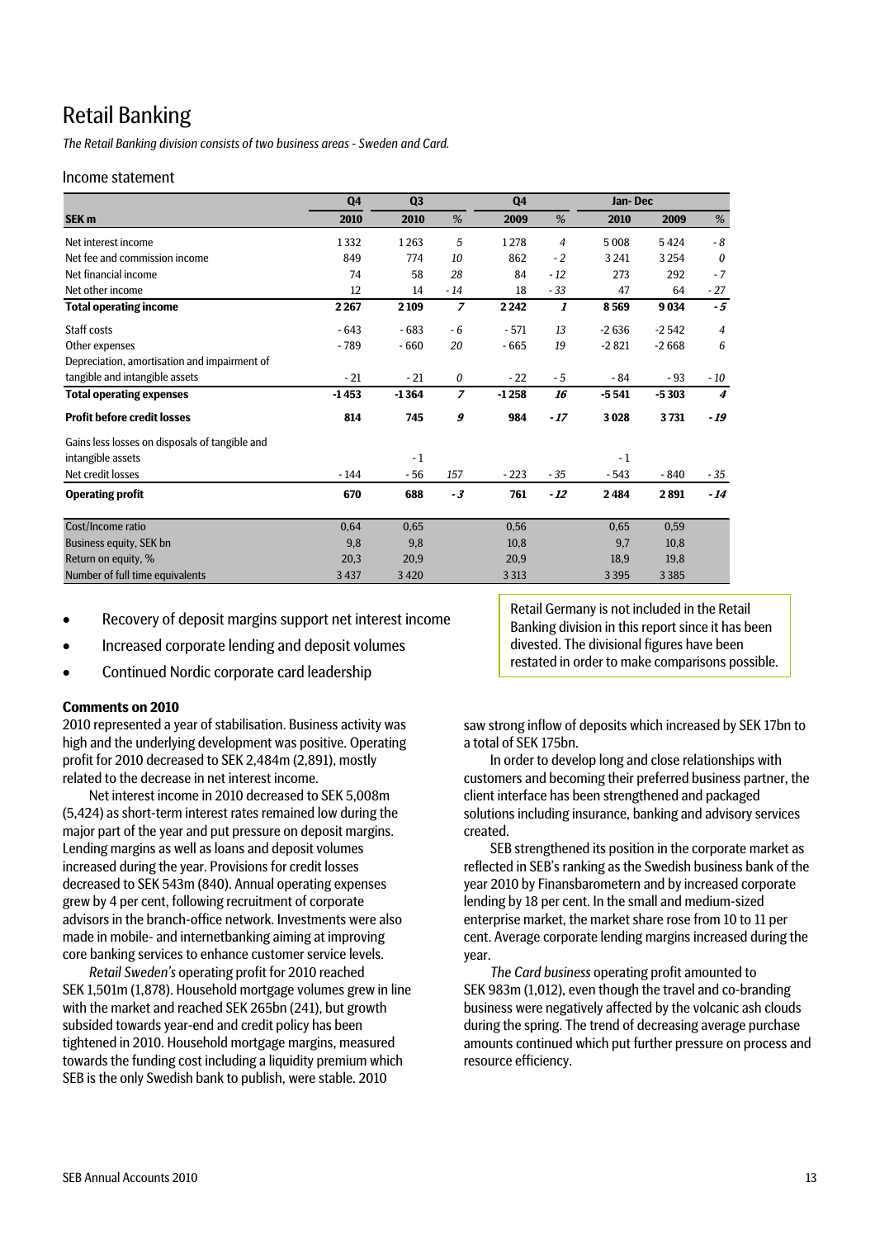## Retail Banking

*The Retail Banking division consists of two business areas - Sweden and Card.* 

#### Income statement

|                                                | Q <sub>4</sub> | Q <sub>3</sub> |                | Q <sub>4</sub> |                | Jan-Dec |         |                  |
|------------------------------------------------|----------------|----------------|----------------|----------------|----------------|---------|---------|------------------|
| SEK <sub>m</sub>                               | 2010           | 2010           | %              | 2009           | %              | 2010    | 2009    | %                |
| Net interest income                            | 1332           | 1263           | 5              | 1278           | $\overline{4}$ | 5008    | 5424    | $-8$             |
| Net fee and commission income                  | 849            | 774            | 10             | 862            | $-2$           | 3 2 4 1 | 3254    | $\boldsymbol{0}$ |
| Net financial income                           | 74             | 58             | 28             | 84             | $-12$          | 273     | 292     | $-7$             |
| Net other income                               | 12             | 14             | $-14$          | 18             | $-33$          | 47      | 64      | $-27$            |
| <b>Total operating income</b>                  | 2 2 6 7        | 2 1 0 9        | $\overline{z}$ | 2 2 4 2        | 1              | 8569    | 9034    | $-5$             |
| Staff costs                                    | $-643$         | $-683$         | $-6$           | $-571$         | 13             | $-2636$ | $-2542$ | $\overline{4}$   |
| Other expenses                                 | $-789$         | $-660$         | 20             | $-665$         | 19             | $-2821$ | $-2668$ | 6                |
| Depreciation, amortisation and impairment of   |                |                |                |                |                |         |         |                  |
| tangible and intangible assets                 | $-21$          | $-21$          | 0              | $-22$          | $-5$           | $-84$   | $-93$   | - 10             |
| <b>Total operating expenses</b>                | $-1453$        | $-1364$        | $\overline{z}$ | $-1258$        | 16             | $-5541$ | $-5303$ | $\boldsymbol{4}$ |
| <b>Profit before credit losses</b>             | 814            | 745            | 9              | 984            | $-17$          | 3028    | 3731    | $-19$            |
| Gains less losses on disposals of tangible and |                |                |                |                |                |         |         |                  |
| intangible assets                              |                | $-1$           |                |                |                | $-1$    |         |                  |
| Net credit losses                              | $-144$         | $-56$          | 157            | $-223$         | $-35$          | $-543$  | $-840$  | $-35$            |
| <b>Operating profit</b>                        | 670            | 688            | -3             | 761            | $-12$          | 2484    | 2891    | $-14$            |
| Cost/Income ratio                              | 0,64           | 0,65           |                | 0,56           |                | 0,65    | 0,59    |                  |
| Business equity, SEK bn                        | 9,8            | 9,8            |                | 10,8           |                | 9,7     | 10,8    |                  |
| Return on equity, %                            | 20,3           | 20,9           |                | 20,9           |                | 18,9    | 19,8    |                  |
| Number of full time equivalents                | 3 4 3 7        | 3420           |                | 3 3 1 3        |                | 3 3 9 5 | 3 3 8 5 |                  |

- Recovery of deposit margins support net interest income
- Increased corporate lending and deposit volumes
- Continued Nordic corporate card leadership

#### **Comments on 2010**

2010 represented a year of stabilisation. Business activity was high and the underlying development was positive. Operating profit for 2010 decreased to SEK 2,484m (2,891), mostly related to the decrease in net interest income.

Net interest income in 2010 decreased to SEK 5,008m (5,424) as short-term interest rates remained low during the major part of the year and put pressure on deposit margins. Lending margins as well as loans and deposit volumes increased during the year. Provisions for credit losses decreased to SEK 543m (840). Annual operating expenses grew by 4 per cent, following recruitment of corporate advisors in the branch-office network. Investments were also made in mobile- and internetbanking aiming at improving core banking services to enhance customer service levels.

*Retail Sweden's* operating profit for 2010 reached SEK 1,501m (1,878). Household mortgage volumes grew in line with the market and reached SEK 265bn (241), but growth subsided towards year-end and credit policy has been tightened in 2010. Household mortgage margins, measured towards the funding cost including a liquidity premium which SEB is the only Swedish bank to publish, were stable. 2010

Retail Germany is not included in the Retail Banking division in this report since it has been divested. The divisional figures have been restated in order to make comparisons possible.

saw strong inflow of deposits which increased by SEK 17bn to a total of SEK 175bn.

In order to develop long and close relationships with customers and becoming their preferred business partner, the client interface has been strengthened and packaged solutions including insurance, banking and advisory services created.

SEB strengthened its position in the corporate market as reflected in SEB's ranking as the Swedish business bank of the year 2010 by Finansbarometern and by increased corporate lending by 18 per cent. In the small and medium-sized enterprise market, the market share rose from 10 to 11 per cent. Average corporate lending margins increased during the year.

*The Card business* operating profit amounted to SEK 983m (1,012), even though the travel and co-branding business were negatively affected by the volcanic ash clouds during the spring. The trend of decreasing average purchase amounts continued which put further pressure on process and resource efficiency.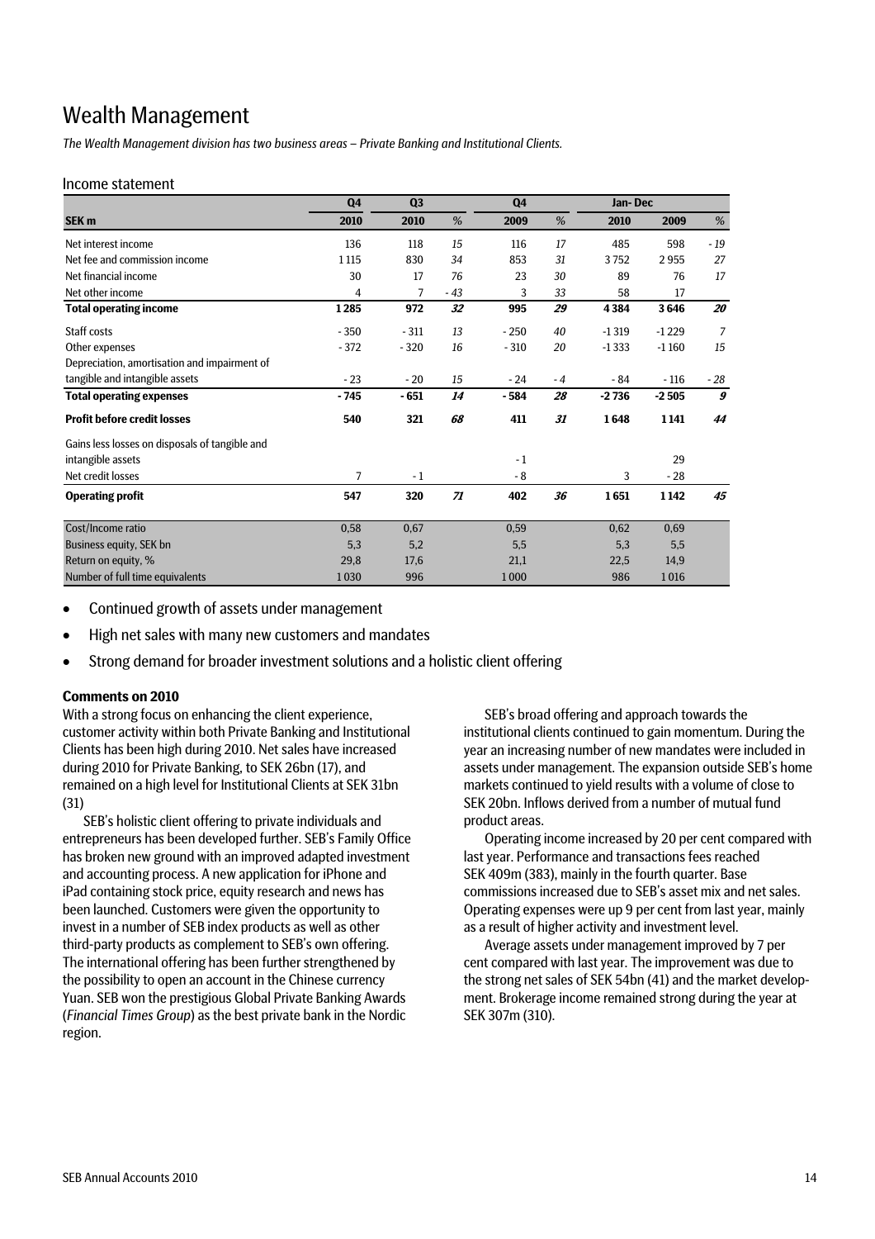## Wealth Management

*The Wealth Management division has two business areas – Private Banking and Institutional Clients.* 

#### Income statement

|                                                | Q <sub>4</sub> | Q <sub>3</sub> |       | Q <sub>4</sub> |      | Jan-Dec |         |                  |
|------------------------------------------------|----------------|----------------|-------|----------------|------|---------|---------|------------------|
| SEK <sub>m</sub>                               | 2010           | 2010           | %     | 2009           | %    | 2010    | 2009    | %                |
| Net interest income                            | 136            | 118            | 15    | 116            | 17   | 485     | 598     | $-19$            |
| Net fee and commission income                  | 1 1 1 5        | 830            | 34    | 853            | 31   | 3752    | 2955    | 27               |
| Net financial income                           | 30             | 17             | 76    | 23             | 30   | 89      | 76      | 17               |
| Net other income                               | 4              | 7              | $-43$ | 3              | 33   | 58      | 17      |                  |
| <b>Total operating income</b>                  | 1285           | 972            | 32    | 995            | 29   | 4384    | 3646    | 20               |
| Staff costs                                    | $-350$         | $-311$         | 13    | $-250$         | 40   | $-1319$ | $-1229$ | 7                |
| Other expenses                                 | $-372$         | $-320$         | 16    | $-310$         | 20   | $-1333$ | $-1160$ | 15               |
| Depreciation, amortisation and impairment of   |                |                |       |                |      |         |         |                  |
| tangible and intangible assets                 | $-23$          | $-20$          | 15    | $-24$          | $-4$ | $-84$   | $-116$  | $-28$            |
| <b>Total operating expenses</b>                | $-745$         | $-651$         | 14    | $-584$         | 28   | $-2736$ | $-2505$ | $\boldsymbol{g}$ |
| <b>Profit before credit losses</b>             | 540            | 321            | 68    | 411            | 31   | 1648    | 1141    | 44               |
| Gains less losses on disposals of tangible and |                |                |       |                |      |         |         |                  |
| intangible assets                              |                |                |       | $-1$           |      |         | 29      |                  |
| Net credit losses                              | 7              | $-1$           |       | - 8            |      | 3       | $-28$   |                  |
| <b>Operating profit</b>                        | 547            | 320            | 71    | 402            | 36   | 1651    | 1142    | 45               |
| Cost/Income ratio                              | 0,58           | 0,67           |       | 0,59           |      | 0,62    | 0,69    |                  |
| Business equity, SEK bn                        | 5,3            | 5,2            |       | 5,5            |      | 5,3     | 5,5     |                  |
| Return on equity, %                            | 29,8           | 17,6           |       | 21,1           |      | 22,5    | 14,9    |                  |
| Number of full time equivalents                | 1030           | 996            |       | 1000           |      | 986     | 1016    |                  |

- Continued growth of assets under management
- High net sales with many new customers and mandates
- Strong demand for broader investment solutions and a holistic client offering

#### **Comments on 2010**

With a strong focus on enhancing the client experience, customer activity within both Private Banking and Institutional Clients has been high during 2010. Net sales have increased during 2010 for Private Banking, to SEK 26bn (17), and remained on a high level for Institutional Clients at SEK 31bn (31)

SEB's holistic client offering to private individuals and entrepreneurs has been developed further. SEB's Family Office has broken new ground with an improved adapted investment and accounting process. A new application for iPhone and iPad containing stock price, equity research and news has been launched. Customers were given the opportunity to invest in a number of SEB index products as well as other third-party products as complement to SEB's own offering. The international offering has been further strengthened by the possibility to open an account in the Chinese currency Yuan. SEB won the prestigious Global Private Banking Awards (*Financial Times Group*) as the best private bank in the Nordic region.

SEB's broad offering and approach towards the institutional clients continued to gain momentum. During the year an increasing number of new mandates were included in assets under management. The expansion outside SEB's home markets continued to yield results with a volume of close to SEK 20bn. Inflows derived from a number of mutual fund product areas.

Operating income increased by 20 per cent compared with last year. Performance and transactions fees reached SEK 409m (383), mainly in the fourth quarter. Base commissions increased due to SEB's asset mix and net sales. Operating expenses were up 9 per cent from last year, mainly as a result of higher activity and investment level.

Average assets under management improved by 7 per cent compared with last year. The improvement was due to the strong net sales of SEK 54bn (41) and the market development. Brokerage income remained strong during the year at SEK 307m (310).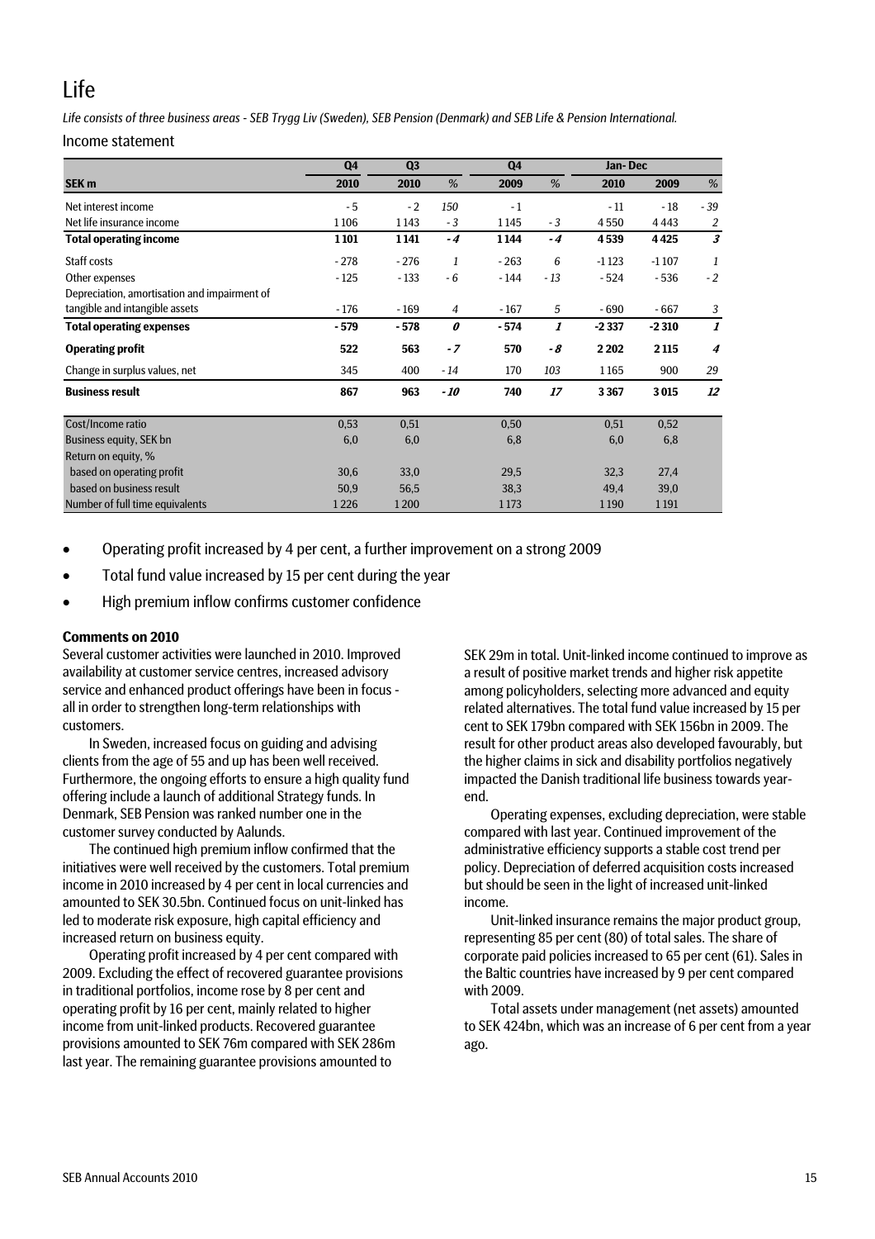## Life

*Life consists of three business areas - SEB Trygg Liv (Sweden), SEB Pension (Denmark) and SEB Life & Pension International.* 

Income statement

|                                              | Q <sub>4</sub> | Q <sub>3</sub> |       | Q <sub>4</sub> | Jan-Dec |         |         |                  |  |  |
|----------------------------------------------|----------------|----------------|-------|----------------|---------|---------|---------|------------------|--|--|
| SEK <sub>m</sub>                             | 2010           | 2010           | %     | 2009           | %       | 2010    | 2009    | %                |  |  |
| Net interest income                          | $-5$           | $-2$           | 150   | $-1$           |         | - 11    | - 18    | $-39$            |  |  |
| Net life insurance income                    | 1106           | 1143           | $-3$  | 1145           | $-3$    | 4550    | 4443    | $\overline{2}$   |  |  |
| <b>Total operating income</b>                | 1101           | 1141           | $-4$  | 1144           | $-4$    | 4539    | 4425    | 3                |  |  |
| Staff costs                                  | $-278$         | $-276$         | 1     | $-263$         | 6       | $-1123$ | $-1107$ | 1                |  |  |
| Other expenses                               | $-125$         | $-133$         | $-6$  | $-144$         | $-13$   | $-524$  | $-536$  | $-2$             |  |  |
| Depreciation, amortisation and impairment of |                |                |       |                |         |         |         |                  |  |  |
| tangible and intangible assets               | $-176$         | $-169$         | 4     | $-167$         | 5       | $-690$  | $-667$  | 3                |  |  |
| <b>Total operating expenses</b>              | $-579$         | $-578$         | 0     | $-574$         | 1       | $-2337$ | $-2310$ | 1                |  |  |
| <b>Operating profit</b>                      | 522            | 563            | $-7$  | 570            | - 8     | 2 2 0 2 | 2 1 1 5 | $\boldsymbol{4}$ |  |  |
| Change in surplus values, net                | 345            | 400            | $-14$ | 170            | 103     | 1165    | 900     | 29               |  |  |
| <b>Business result</b>                       | 867            | 963            | $-10$ | 740            | 17      | 3367    | 3015    | 12               |  |  |
| Cost/Income ratio                            | 0,53           | 0,51           |       | 0,50           |         | 0,51    | 0,52    |                  |  |  |
| Business equity, SEK bn                      | 6,0            | 6,0            |       | 6,8            |         | 6,0     | 6,8     |                  |  |  |
| Return on equity, %                          |                |                |       |                |         |         |         |                  |  |  |
| based on operating profit                    | 30,6           | 33,0           |       | 29,5           |         | 32,3    | 27,4    |                  |  |  |
| based on business result                     | 50,9           | 56,5           |       | 38,3           |         | 49,4    | 39,0    |                  |  |  |
| Number of full time equivalents              | 1226           | 1200           |       | 1173           |         | 1190    | 1191    |                  |  |  |

- Operating profit increased by 4 per cent, a further improvement on a strong 2009
- Total fund value increased by 15 per cent during the year
- High premium inflow confirms customer confidence

#### **Comments on 2010**

Several customer activities were launched in 2010. Improved availability at customer service centres, increased advisory service and enhanced product offerings have been in focus all in order to strengthen long-term relationships with customers.

In Sweden, increased focus on guiding and advising clients from the age of 55 and up has been well received. Furthermore, the ongoing efforts to ensure a high quality fund offering include a launch of additional Strategy funds. In Denmark, SEB Pension was ranked number one in the customer survey conducted by Aalunds.

The continued high premium inflow confirmed that the initiatives were well received by the customers. Total premium income in 2010 increased by 4 per cent in local currencies and amounted to SEK 30.5bn. Continued focus on unit-linked has led to moderate risk exposure, high capital efficiency and increased return on business equity.

Operating profit increased by 4 per cent compared with 2009. Excluding the effect of recovered guarantee provisions in traditional portfolios, income rose by 8 per cent and operating profit by 16 per cent, mainly related to higher income from unit-linked products. Recovered guarantee provisions amounted to SEK 76m compared with SEK 286m last year. The remaining guarantee provisions amounted to

SEK 29m in total. Unit-linked income continued to improve as a result of positive market trends and higher risk appetite among policyholders, selecting more advanced and equity related alternatives. The total fund value increased by 15 per cent to SEK 179bn compared with SEK 156bn in 2009. The result for other product areas also developed favourably, but the higher claims in sick and disability portfolios negatively impacted the Danish traditional life business towards yearend.

Operating expenses, excluding depreciation, were stable compared with last year. Continued improvement of the administrative efficiency supports a stable cost trend per policy. Depreciation of deferred acquisition costs increased but should be seen in the light of increased unit-linked income.

Unit-linked insurance remains the major product group, representing 85 per cent (80) of total sales. The share of corporate paid policies increased to 65 per cent (61). Sales in the Baltic countries have increased by 9 per cent compared with 2009.

Total assets under management (net assets) amounted to SEK 424bn, which was an increase of 6 per cent from a year ago.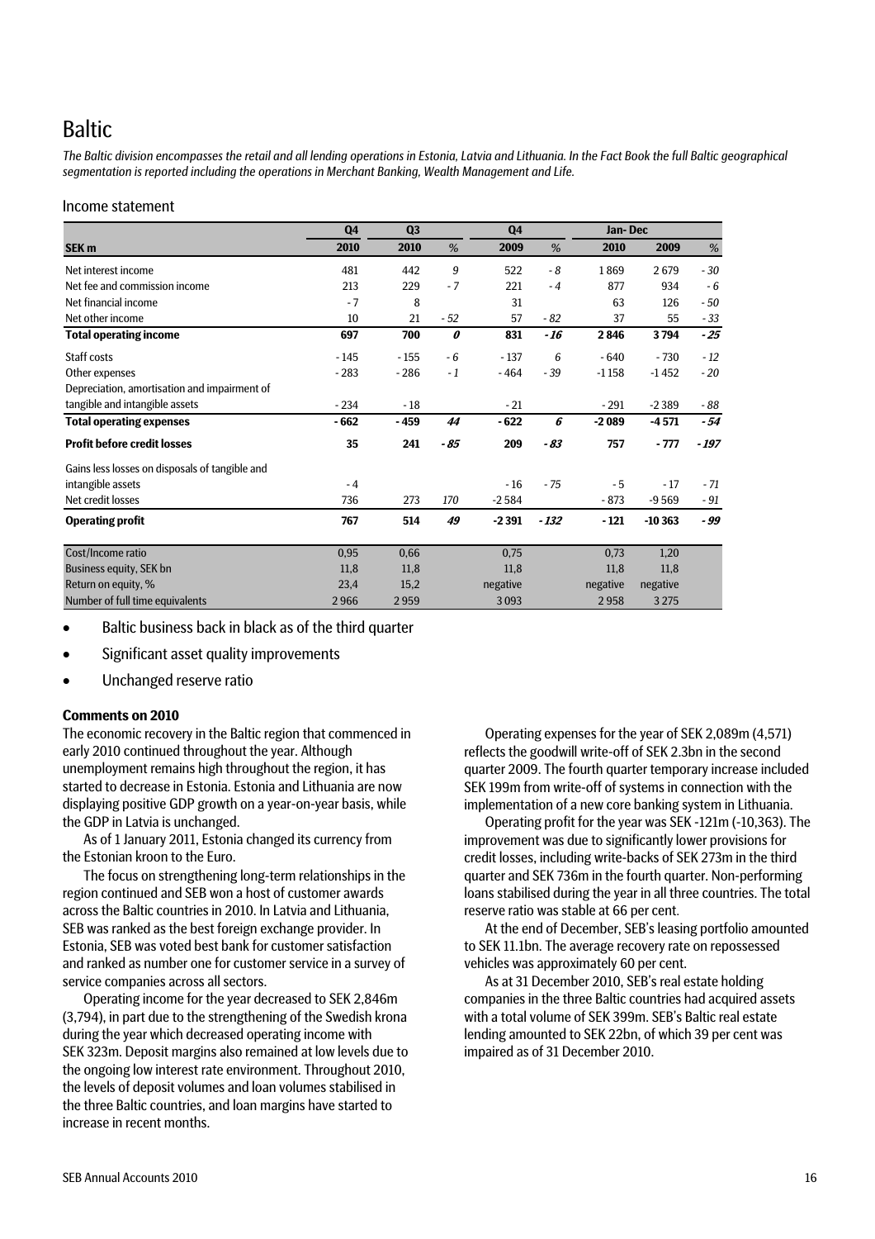## Baltic

*The Baltic division encompasses the retail and all lending operations in Estonia, Latvia and Lithuania. In the Fact Book the full Baltic geographical segmentation is reported including the operations in Merchant Banking, Wealth Management and Life.* 

#### Income statement

|                                                | Q <sub>4</sub> | Q <sub>3</sub> |       | Q <sub>4</sub> |        | Jan-Dec  |          |        |  |  |
|------------------------------------------------|----------------|----------------|-------|----------------|--------|----------|----------|--------|--|--|
| SEK <sub>m</sub>                               | 2010           | 2010           | %     | 2009           | %      | 2010     | 2009     | %      |  |  |
| Net interest income                            | 481            | 442            | 9     | 522            | - 8    | 1869     | 2679     | $-30$  |  |  |
| Net fee and commission income                  | 213            | 229            | $-7$  | 221            | $-4$   | 877      | 934      | $-6$   |  |  |
| Net financial income                           | $-7$           | 8              |       | 31             |        | 63       | 126      | $-50$  |  |  |
| Net other income                               | 10             | 21             | $-52$ | 57             | $-82$  | 37       | 55       | $-33$  |  |  |
| <b>Total operating income</b>                  | 697            | 700            | 0     | 831            | - 16   | 2846     | 3794     | $-25$  |  |  |
| Staff costs                                    | $-145$         | $-155$         | $-6$  | $-137$         | 6      | $-640$   | $-730$   | $-12$  |  |  |
| Other expenses                                 | $-283$         | $-286$         | $-1$  | $-464$         | $-39$  | $-1158$  | $-1452$  | $-20$  |  |  |
| Depreciation, amortisation and impairment of   |                |                |       |                |        |          |          |        |  |  |
| tangible and intangible assets                 | $-234$         | $-18$          |       | $-21$          |        | $-291$   | $-2389$  | - 88   |  |  |
| <b>Total operating expenses</b>                | $-662$         | $-459$         | 44    | $-622$         | 6      | $-2089$  | $-4571$  | $-54$  |  |  |
| <b>Profit before credit losses</b>             | 35             | 241            | $-85$ | 209            | $-83$  | 757      | $-777$   | $-197$ |  |  |
| Gains less losses on disposals of tangible and |                |                |       |                |        |          |          |        |  |  |
| intangible assets                              | $-4$           |                |       | $-16$          | $-75$  | $-5$     | $-17$    | $-71$  |  |  |
| Net credit losses                              | 736            | 273            | 170   | $-2584$        |        | $-873$   | $-9569$  | $-91$  |  |  |
| <b>Operating profit</b>                        | 767            | 514            | 49    | $-2391$        | $-132$ | $-121$   | $-10363$ | - 99   |  |  |
| Cost/Income ratio                              | 0,95           | 0,66           |       | 0,75           |        | 0,73     | 1,20     |        |  |  |
| Business equity, SEK bn                        | 11,8           | 11.8           |       | 11.8           |        | 11.8     | 11.8     |        |  |  |
| Return on equity, %                            | 23,4           | 15,2           |       | negative       |        | negative | negative |        |  |  |
| Number of full time equivalents                | 2966           | 2959           |       | 3093           |        | 2958     | 3 2 7 5  |        |  |  |

Baltic business back in black as of the third quarter

- Significant asset quality improvements
- Unchanged reserve ratio

#### **Comments on 2010**

The economic recovery in the Baltic region that commenced in early 2010 continued throughout the year. Although unemployment remains high throughout the region, it has started to decrease in Estonia. Estonia and Lithuania are now displaying positive GDP growth on a year-on-year basis, while the GDP in Latvia is unchanged.

As of 1 January 2011, Estonia changed its currency from the Estonian kroon to the Euro.

The focus on strengthening long-term relationships in the region continued and SEB won a host of customer awards across the Baltic countries in 2010. In Latvia and Lithuania, SEB was ranked as the best foreign exchange provider. In Estonia, SEB was voted best bank for customer satisfaction and ranked as number one for customer service in a survey of service companies across all sectors.

Operating income for the year decreased to SEK 2,846m (3,794), in part due to the strengthening of the Swedish krona during the year which decreased operating income with SEK 323m. Deposit margins also remained at low levels due to the ongoing low interest rate environment. Throughout 2010, the levels of deposit volumes and loan volumes stabilised in the three Baltic countries, and loan margins have started to increase in recent months.

Operating expenses for the year of SEK 2,089m (4,571) reflects the goodwill write-off of SEK 2.3bn in the second quarter 2009. The fourth quarter temporary increase included SEK 199m from write-off of systems in connection with the implementation of a new core banking system in Lithuania.

Operating profit for the year was SEK -121m (-10,363). The improvement was due to significantly lower provisions for credit losses, including write-backs of SEK 273m in the third quarter and SEK 736m in the fourth quarter. Non-performing loans stabilised during the year in all three countries. The total reserve ratio was stable at 66 per cent.

At the end of December, SEB's leasing portfolio amounted to SEK 11.1bn. The average recovery rate on repossessed vehicles was approximately 60 per cent.

As at 31 December 2010, SEB's real estate holding companies in the three Baltic countries had acquired assets with a total volume of SEK 399m. SEB's Baltic real estate lending amounted to SEK 22bn, of which 39 per cent was impaired as of 31 December 2010.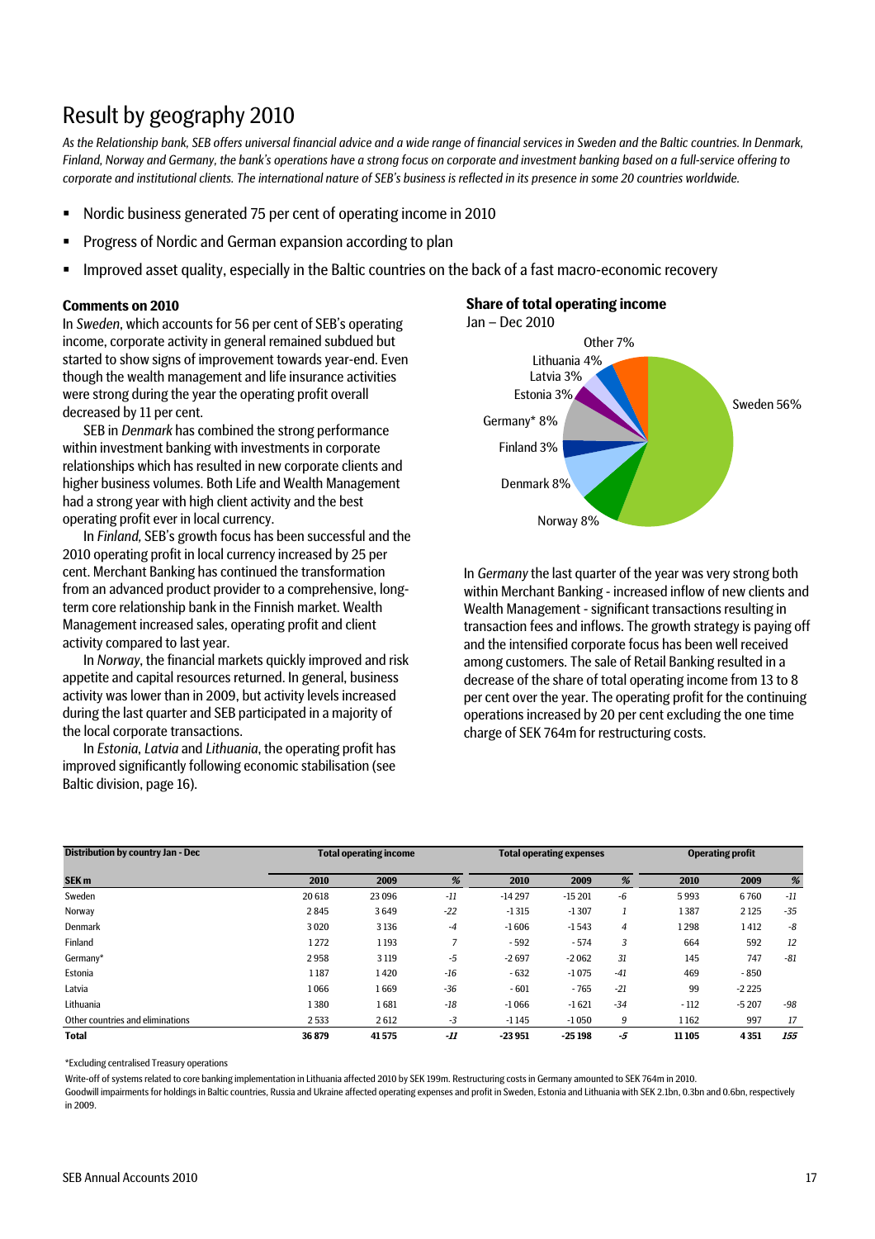## Result by geography 2010

*As the Relationship bank, SEB offers universal financial advice and a wide range of financial services in Sweden and the Baltic countries. In Denmark, Finland, Norway and Germany, the bank's operations have a strong focus on corporate and investment banking based on a full-service offering to corporate and institutional clients. The international nature of SEB's business is reflected in its presence in some 20 countries worldwide.* 

- Nordic business generated 75 per cent of operating income in 2010
- **Progress of Nordic and German expansion according to plan**
- Improved asset quality, especially in the Baltic countries on the back of a fast macro-economic recovery

#### **Comments on 2010**

In *Sweden*, which accounts for 56 per cent of SEB's operating Jan – Dec 2010 income, corporate activity in general remained subdued but started to show signs of improvement towards year-end. Even though the wealth management and life insurance activities were strong during the year the operating profit overall decreased by 11 per cent.

SEB in *Denmark* has combined the strong performance within investment banking with investments in corporate relationships which has resulted in new corporate clients and higher business volumes. Both Life and Wealth Management had a strong year with high client activity and the best operating profit ever in local currency.

In *Finland,* SEB's growth focus has been successful and the 2010 operating profit in local currency increased by 25 per cent. Merchant Banking has continued the transformation from an advanced product provider to a comprehensive, longterm core relationship bank in the Finnish market. Wealth Management increased sales, operating profit and client activity compared to last year.

In *Norway*, the financial markets quickly improved and risk appetite and capital resources returned. In general, business activity was lower than in 2009, but activity levels increased during the last quarter and SEB participated in a majority of the local corporate transactions.

In *Estonia*, *Latvia* and *Lithuania*, the operating profit has improved significantly following economic stabilisation (see Baltic division, page 16).

#### **Share of total operating income**



In *Germany* the last quarter of the year was very strong both within Merchant Banking - increased inflow of new clients and Wealth Management - significant transactions resulting in transaction fees and inflows. The growth strategy is paying off and the intensified corporate focus has been well received among customers. The sale of Retail Banking resulted in a decrease of the share of total operating income from 13 to 8 per cent over the year. The operating profit for the continuing operations increased by 20 per cent excluding the one time charge of SEK 764m for restructuring costs.

| <b>Distribution by country Jan - Dec</b> |        | <b>Total operating income</b> |       | <b>Total operating expenses</b> |          |                | <b>Operating profit</b> |         |       |
|------------------------------------------|--------|-------------------------------|-------|---------------------------------|----------|----------------|-------------------------|---------|-------|
| SEK <sub>m</sub>                         | 2010   | 2009                          | %     | 2010                            | 2009     | %              | 2010                    | 2009    | %     |
| Sweden                                   | 20 618 | 23 0 96                       | $-11$ | $-14297$                        | $-15201$ | $-6$           | 5993                    | 6760    | $-11$ |
| Norway                                   | 2845   | 3649                          | $-22$ | $-1315$                         | $-1307$  |                | 1387                    | 2125    | $-35$ |
| <b>Denmark</b>                           | 3020   | 3136                          | $-4$  | $-1606$                         | $-1543$  | $\overline{4}$ | 1298                    | 1412    | $-8$  |
| Finland                                  | 1272   | 1193                          |       | $-592$                          | $-574$   | 3              | 664                     | 592     | 12    |
| Germany*                                 | 2958   | 3 1 1 9                       | -5    | $-2697$                         | $-2062$  | 31             | 145                     | 747     | $-81$ |
| Estonia                                  | 1187   | 1420                          | $-16$ | $-632$                          | $-1075$  | $-41$          | 469                     | $-850$  |       |
| Latvia                                   | 1066   | 1669                          | $-36$ | $-601$                          | $-765$   | $-21$          | 99                      | $-2225$ |       |
| Lithuania                                | 1380   | 1681                          | $-18$ | $-1066$                         | $-1621$  | $-34$          | $-112$                  | $-5207$ | $-98$ |
| Other countries and eliminations         | 2533   | 2612                          | $-3$  | $-1145$                         | $-1050$  | 9              | 1162                    | 997     | 17    |
| <b>Total</b>                             | 36 879 | 41575                         | $-I1$ | $-23951$                        | $-25198$ | -5             | 11 10 5                 | 4351    | 155   |

\*Excluding centralised Treasury operations

Write-off of systems related to core banking implementation in Lithuania affected 2010 by SEK 199m. Restructuring costs in Germany amounted to SEK 764m in 2010.

Goodwill impairments for holdings in Baltic countries, Russia and Ukraine affected operating expenses and profit in Sweden, Estonia and Lithuania with SEK 2.1bn, 0.3bn and 0.6bn, respectively in 2009.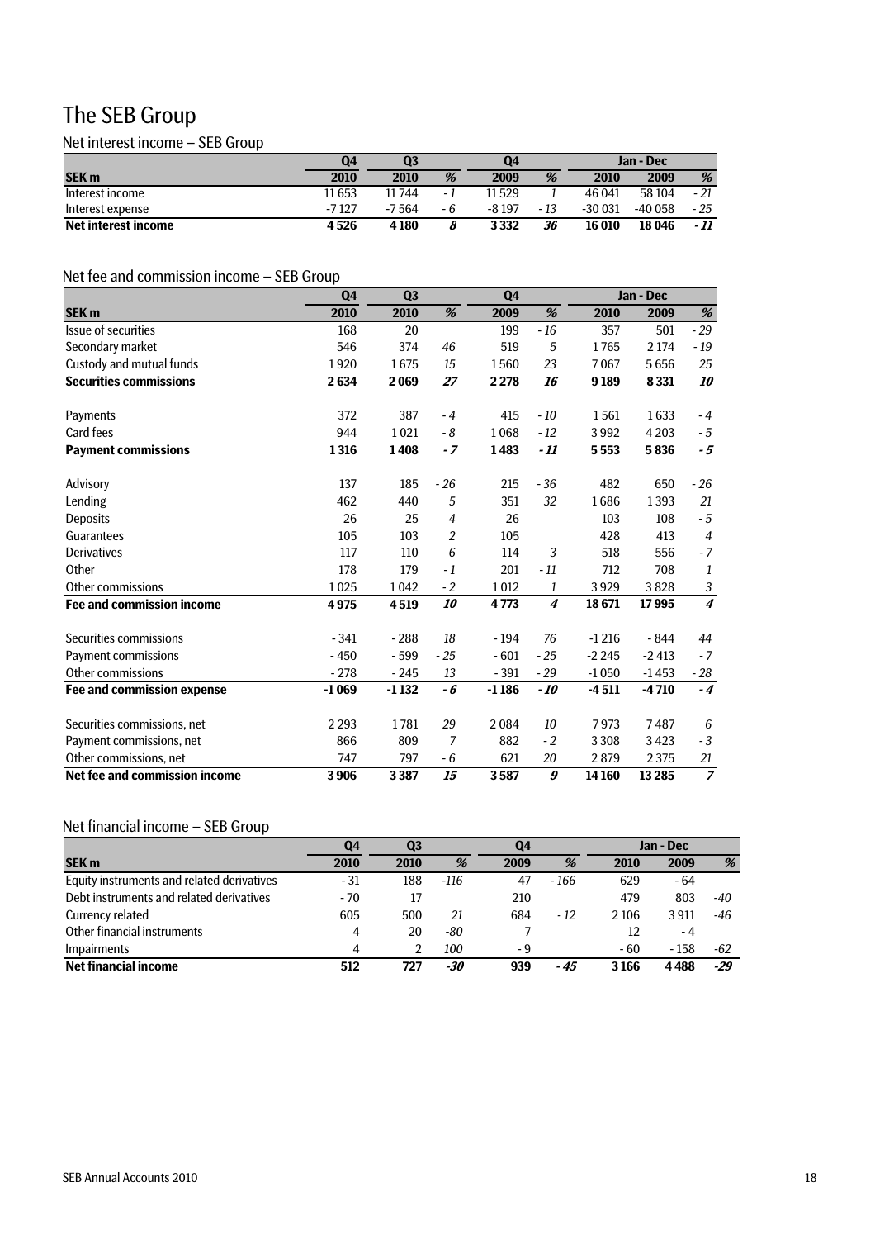## The SEB Group

### Net interest income – SEB Group

|                     | Q4     | $\overline{\mathbf{Q}}$<br>Q4 |     |        | Jan - Dec |          |         |       |
|---------------------|--------|-------------------------------|-----|--------|-----------|----------|---------|-------|
| <b>SEK m</b>        | 2010   | 2010                          | %   | 2009   | %         | 2010     | 2009    | %     |
| Interest income     | 11 653 | 11744                         | - 1 | 11 529 |           | 46 041   | 58 104  | - 21  |
| Interest expense    | -7127  | -7.564                        | - 6 | -8 197 | - 13      | $-30031$ | -40 058 | $-25$ |
| Net interest income | 4526   | 4 1 8 0                       |     | 3332   | 36        | 16010    | 18 046  | - 11  |

## Net fee and commission income – SEB Group

|                                   | Q4      | Q <sub>3</sub> | Q <sub>4</sub> |         |       | Jan - Dec |         |                                       |
|-----------------------------------|---------|----------------|----------------|---------|-------|-----------|---------|---------------------------------------|
| <b>SEK m</b>                      | 2010    | 2010           | %              | 2009    | %     | 2010      | 2009    | $% \mathcal{A}=\mathcal{A}^{\prime }$ |
| Issue of securities               | 168     | 20             |                | 199     | $-16$ | 357       | 501     | $-29$                                 |
| Secondary market                  | 546     | 374            | 46             | 519     | 5     | 1765      | 2 1 7 4 | - 19                                  |
| Custody and mutual funds          | 1920    | 1675           | 15             | 1560    | 23    | 7067      | 5656    | 25                                    |
| <b>Securities commissions</b>     | 2634    | 2069           | 27             | 2 2 7 8 | 16    | 9189      | 8331    | 10                                    |
| Payments                          | 372     | 387            | $-4$           | 415     | $-10$ | 1561      | 1633    | $-4$                                  |
| <b>Card fees</b>                  | 944     | 1021           | - 8            | 1068    | $-12$ | 3992      | 4 2 0 3 | - 5                                   |
| <b>Payment commissions</b>        | 1316    | 1408           | $-7$           | 1483    | $-11$ | 5553      | 5836    | $-5$                                  |
| Advisory                          | 137     | 185            | $-26$          | 215     | $-36$ | 482       | 650     | $-26$                                 |
| Lending                           | 462     | 440            | 5              | 351     | 32    | 1686      | 1393    | 21                                    |
| Deposits                          | 26      | 25             | $\overline{4}$ | 26      |       | 103       | 108     | $-5$                                  |
| Guarantees                        | 105     | 103            | $\overline{2}$ | 105     |       | 428       | 413     | 4                                     |
| Derivatives                       | 117     | 110            | 6              | 114     | 3     | 518       | 556     | $-7$                                  |
| Other                             | 178     | 179            | $-1$           | 201     | $-11$ | 712       | 708     | 1                                     |
| Other commissions                 | 1025    | 1042           | $-2$           | 1012    | 1     | 3929      | 3828    | $\sqrt{3}$                            |
| <b>Fee and commission income</b>  | 4975    | 4519           | 10             | 4773    | 4     | 18671     | 17995   | $\boldsymbol{4}$                      |
| Securities commissions            | $-341$  | $-288$         | 18             | - 194   | 76    | $-1216$   | - 844   | 44                                    |
| Payment commissions               | $-450$  | $-599$         | $-25$          | $-601$  | $-25$ | $-2245$   | $-2413$ | $-7$                                  |
| Other commissions                 | $-278$  | $-245$         | 13             | $-391$  | $-29$ | $-1050$   | $-1453$ | - 28                                  |
| <b>Fee and commission expense</b> | $-1069$ | $-1132$        | - 6            | $-1186$ | $-10$ | $-4511$   | $-4710$ | $-4$                                  |
| Securities commissions, net       | 2 2 9 3 | 1781           | 29             | 2084    | 10    | 7973      | 7487    | 6                                     |
| Payment commissions, net          | 866     | 809            | 7              | 882     | $-2$  | 3308      | 3423    | $-3$                                  |
| Other commissions, net            | 747     | 797            | - 6            | 621     | 20    | 2879      | 2 3 7 5 | 21                                    |
| Net fee and commission income     | 3906    | 3387           | 15             | 3587    | 9     | 14 160    | 13285   | $\overline{7}$                        |

## Net financial income – SEB Group

|                                            | Q4   | Q3   |        | Q4   |        | Jan - Dec |       |       |
|--------------------------------------------|------|------|--------|------|--------|-----------|-------|-------|
| <b>SEK m</b>                               | 2010 | 2010 | %      | 2009 | %      | 2010      | 2009  | %     |
| Equity instruments and related derivatives | - 31 | 188  | $-116$ | 47   | $-166$ | 629       | - 64  |       |
| Debt instruments and related derivatives   | - 70 |      |        | 210  |        | 479       | 803   | -40   |
| Currency related                           | 605  | 500  | 21     | 684  | $-12$  | 2 1 0 6   | 3911  | $-46$ |
| Other financial instruments                | 4    | 20   | -80    |      |        | 12        | - 4   |       |
| <b>Impairments</b>                         | 4    |      | 100    | - 9  |        | - 60      | - 158 | -62   |
| <b>Net financial income</b>                | 512  | 727  | -30    | 939  | - 45   | 3166      | 4488  | -29   |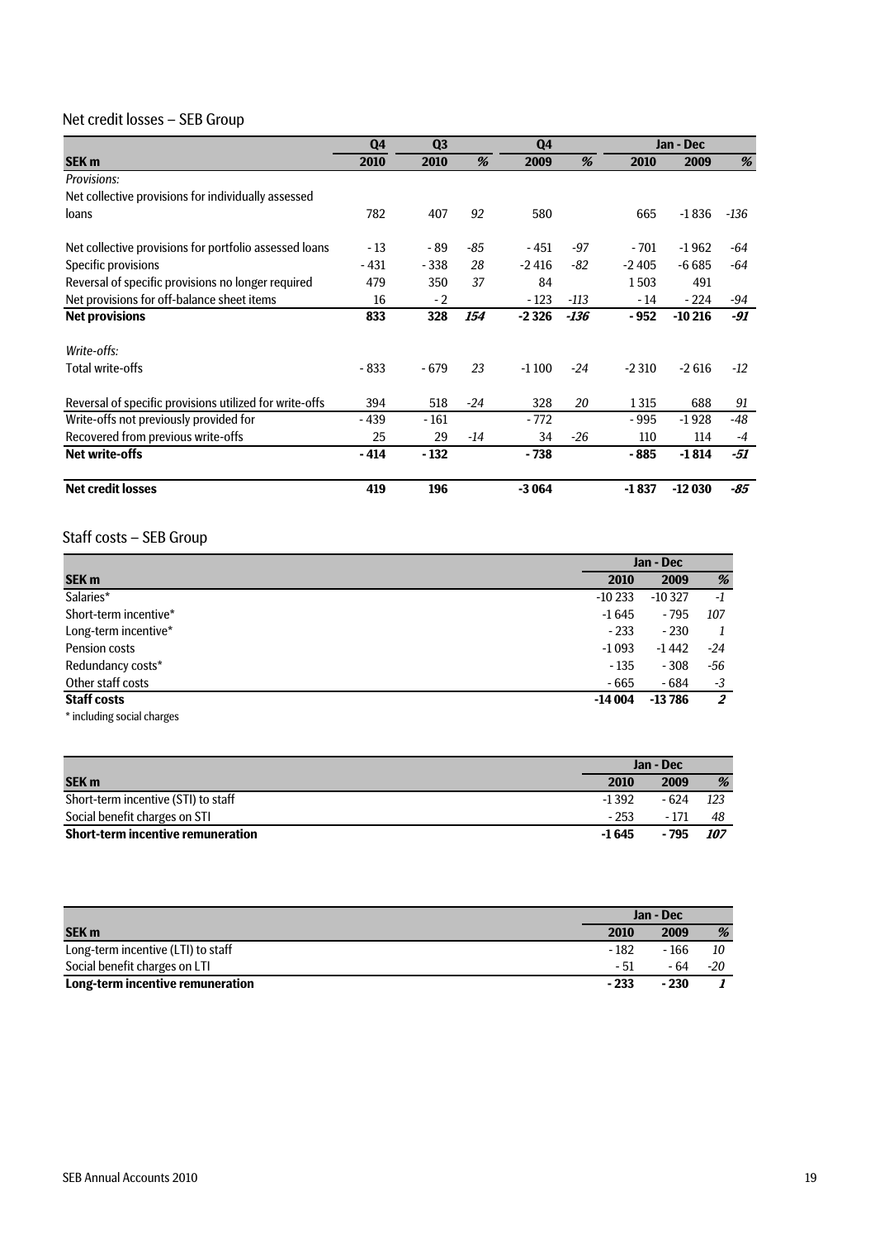### Net credit losses – SEB Group

|                                                         | Q4     | Q <sub>3</sub> |       | Q <sub>4</sub> |       |         | Jan - Dec |        |  |
|---------------------------------------------------------|--------|----------------|-------|----------------|-------|---------|-----------|--------|--|
| <b>SEK m</b>                                            | 2010   | 2010           | %     | 2009           | %     | 2010    | 2009      | %      |  |
| <b>Provisions:</b>                                      |        |                |       |                |       |         |           |        |  |
| Net collective provisions for individually assessed     |        |                |       |                |       |         |           |        |  |
| loans                                                   | 782    | 407            | 92    | 580            |       | 665     | $-1836$   | $-136$ |  |
| Net collective provisions for portfolio assessed loans  | $-13$  | - 89           | -85   | - 451          | $-97$ | $-701$  | $-1962$   | $-64$  |  |
| Specific provisions                                     | $-431$ | $-338$         | 28    | $-2416$        | $-82$ | $-2405$ | $-6685$   | -64    |  |
| Reversal of specific provisions no longer required      | 479    | 350            | 37    | 84             |       | 1503    | 491       |        |  |
| Net provisions for off-balance sheet items              | 16     | $-2$           |       | $-123$         | -113  | - 14    | $-224$    | -94    |  |
| <b>Net provisions</b>                                   | 833    | 328            | 154   | $-2326$        | -136  | $-952$  | $-10216$  | -91    |  |
| Write-offs:                                             |        |                |       |                |       |         |           |        |  |
| Total write-offs                                        | $-833$ | $-679$         | 23    | $-1100$        | $-24$ | $-2310$ | $-2616$   | $-12$  |  |
| Reversal of specific provisions utilized for write-offs | 394    | 518            | $-24$ | 328            | 20    | 1315    | 688       | 91     |  |
| Write-offs not previously provided for                  | $-439$ | $-161$         |       | $-772$         |       | $-995$  | $-1928$   | -48    |  |
| Recovered from previous write-offs                      | 25     | 29             | $-14$ | 34             | $-26$ | 110     | 114       | $-4$   |  |
| Net write-offs                                          | $-414$ | $-132$         |       | - 738          |       | - 885   | $-1814$   | -51    |  |
| <b>Net credit losses</b>                                | 419    | 196            |       | $-3064$        |       | $-1837$ | $-12030$  | $-85$  |  |

### Staff costs – SEB Group

|                            | Jan - Dec |          |     |
|----------------------------|-----------|----------|-----|
| SEK <sub>m</sub>           | 2010      | 2009     | %   |
| Salaries*                  | $-10233$  | $-10327$ | -1  |
| Short-term incentive*      | $-1645$   | $-795$   | 107 |
| Long-term incentive*       | $-233$    | $-230$   |     |
| Pension costs              | $-1093$   | $-1442$  | -24 |
| Redundancy costs*          | $-135$    | $-308$   | -56 |
| Other staff costs          | $-665$    | $-684$   | -3  |
| <b>Staff costs</b>         | $-14004$  | $-13786$ | 2   |
| * including social charges |           |          |     |

|                                          | Jan - Dec |       |       |
|------------------------------------------|-----------|-------|-------|
| <b>SEK m</b>                             | 2010      | 2009  | %     |
| Short-term incentive (STI) to staff      | $-1392$   | - 624 | -123  |
| Social benefit charges on STI            | $-253$    | - 171 | 48    |
| <b>Short-term incentive remuneration</b> | -1 645    | - 795 | - 107 |

|                                    | Jan - Dec |        |     |  |
|------------------------------------|-----------|--------|-----|--|
| <b>SEK m</b>                       | 2010      | 2009   | %   |  |
| Long-term incentive (LTI) to staff | $-182$    | - 166  | 10  |  |
| Social benefit charges on LTI      | - 51      | - 64   | -20 |  |
| Long-term incentive remuneration   | $-233$    | $-230$ |     |  |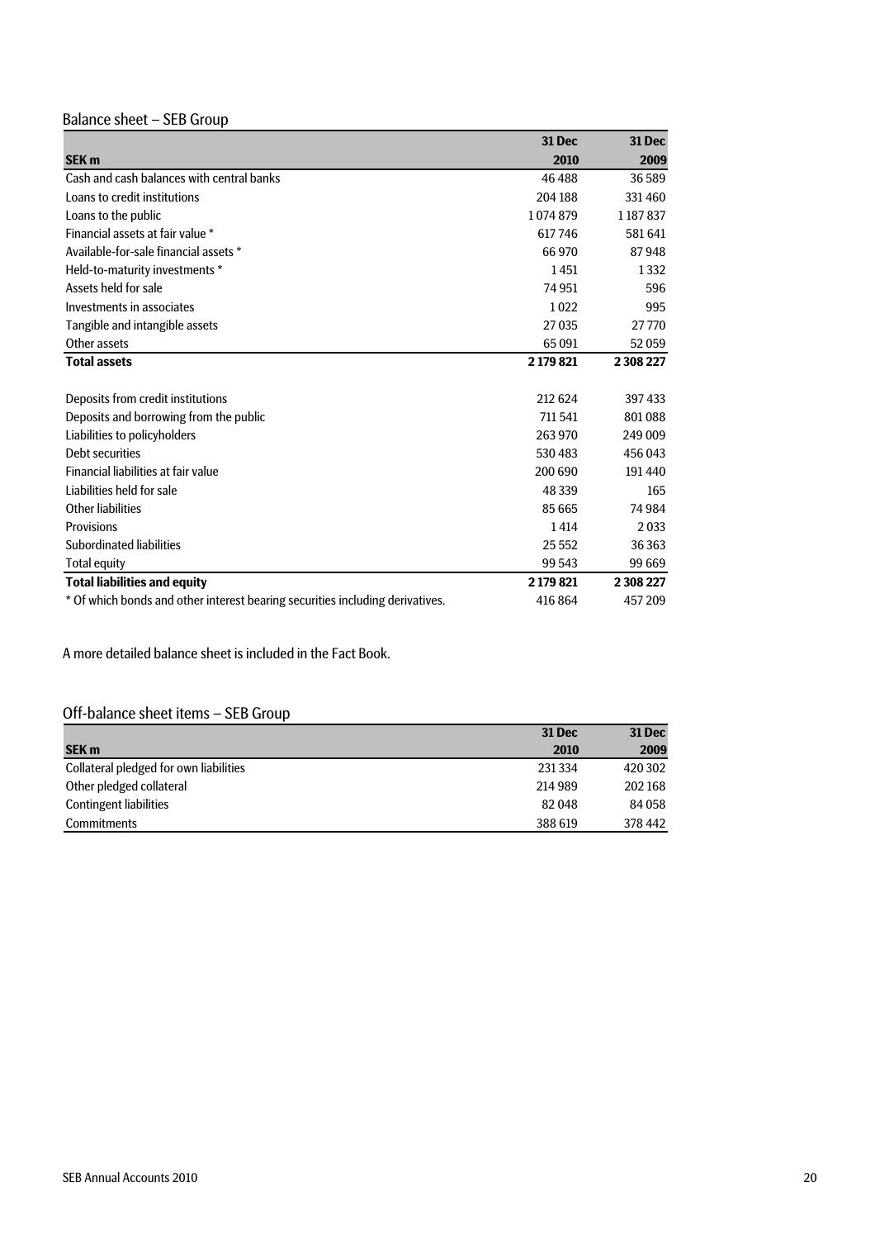## Balance sheet – SEB Group

|                                                                               | <b>31 Dec</b> | <b>31 Dec</b> |
|-------------------------------------------------------------------------------|---------------|---------------|
| <b>SEK m</b>                                                                  | 2010          | 2009          |
| Cash and cash balances with central banks                                     | 46 488        | 36589         |
| Loans to credit institutions                                                  | 204 188       | 331460        |
| Loans to the public                                                           | 1074879       | 1 187 837     |
| Financial assets at fair value *                                              | 617746        | 581641        |
| Available-for-sale financial assets *                                         | 66 970        | 87948         |
| Held-to-maturity investments *                                                | 1451          | 1332          |
| Assets held for sale                                                          | 74 951        | 596           |
| Investments in associates                                                     | 1022          | 995           |
| Tangible and intangible assets                                                | 27035         | 27770         |
| Other assets                                                                  | 65 0 91       | 52059         |
| <b>Total assets</b>                                                           | 2 179 821     | 2 308 227     |
|                                                                               |               |               |
| Deposits from credit institutions                                             | 212 624       | 397433        |
| Deposits and borrowing from the public                                        | 711 541       | 801088        |
| Liabilities to policyholders                                                  | 263 970       | 249 009       |
| Debt securities                                                               | 530 483       | 456 043       |
| Financial liabilities at fair value                                           | 200 690       | 191440        |
| Liabilities held for sale                                                     | 48 339        | 165           |
| Other liabilities                                                             | 85 665        | 74 984        |
| Provisions                                                                    | 1414          | 2033          |
| Subordinated liabilities                                                      | 25 5 5 2      | 36 3 63       |
| <b>Total equity</b>                                                           | 99 543        | 99 669        |
| <b>Total liabilities and equity</b>                                           | 2 179 821     | 2 308 227     |
| * Of which bonds and other interest bearing securities including derivatives. | 416 864       | 457209        |

A more detailed balance sheet is included in the Fact Book.

### Off-balance sheet items – SEB Group

|                                        | <b>31 Dec</b> | <b>31 Dec</b> |
|----------------------------------------|---------------|---------------|
| <b>SEK m</b>                           | 2010          | 2009          |
| Collateral pledged for own liabilities | 231 334       | 420 302       |
| Other pledged collateral               | 214 989       | 202 168       |
| <b>Contingent liabilities</b>          | 82048         | 84 058        |
| <b>Commitments</b>                     | 388 619       | 378 442       |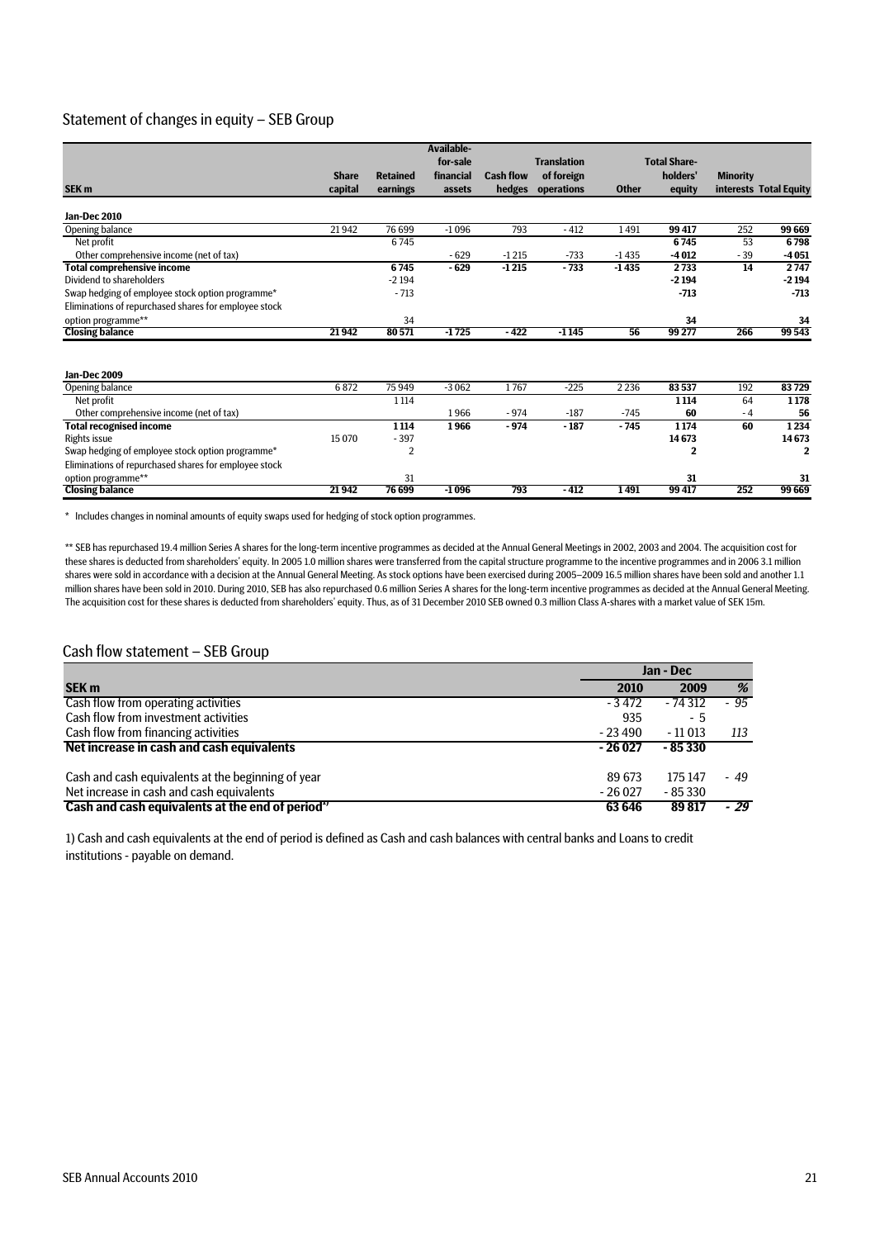#### Statement of changes in equity – SEB Group

|                                                       |              |                 | Available- |                  |                    |              |                     |                 |                        |
|-------------------------------------------------------|--------------|-----------------|------------|------------------|--------------------|--------------|---------------------|-----------------|------------------------|
|                                                       |              |                 | for-sale   |                  | <b>Translation</b> |              | <b>Total Share-</b> |                 |                        |
|                                                       | <b>Share</b> | <b>Retained</b> | financial  | <b>Cash flow</b> | of foreign         |              | holders'            | <b>Minority</b> |                        |
| SEK <sub>m</sub>                                      | capital      | earnings        | assets     | hedges           | operations         | <b>Other</b> | equity              |                 | interests Total Equity |
| Jan-Dec 2010                                          |              |                 |            |                  |                    |              |                     |                 |                        |
| Opening balance                                       | 21942        | 76 699          | $-1096$    | 793              | $-412$             | 1491         | 99417               | 252             | 99 669                 |
| Net profit                                            |              | 6745            |            |                  |                    |              | 6745                | 53              | 6798                   |
| Other comprehensive income (net of tax)               |              |                 | $-629$     | $-1215$          | $-733$             | $-1435$      | $-4012$             | $-39$           | $-4051$                |
| <b>Total comprehensive income</b>                     |              | 6745            | $-629$     | $-1215$          | $-733$             | $-1435$      | 2733                | 14              | 2747                   |
| Dividend to shareholders                              |              | $-2194$         |            |                  |                    |              | $-2194$             |                 | $-2194$                |
| Swap hedging of employee stock option programme*      |              | $-713$          |            |                  |                    |              | $-713$              |                 | $-713$                 |
| Eliminations of repurchased shares for employee stock |              |                 |            |                  |                    |              |                     |                 |                        |
| option programme**                                    |              | 34              |            |                  |                    |              | 34                  |                 | 34                     |
| <b>Closing balance</b>                                | 21942        | 80571           | $-1725$    | $-422$           | $-1145$            | 56           | 99 277              | 266             | 99 543                 |
| Jan-Dec 2009                                          |              |                 |            |                  |                    |              |                     |                 |                        |
| Opening balance                                       | 6872         | 75949           | $-3062$    | 1767             | $-225$             | 2 2 3 6      | 83537               | 192             | 83729                  |
| Net profit                                            |              | 1 1 1 4         |            |                  |                    |              | 1 1 1 4             | 64              | 1178                   |
| Other comprehensive income (net of tax)               |              |                 | 1966       | $-974$           | $-187$             | $-745$       | 60                  | $-4$            | 56                     |
| <b>Total recognised income</b>                        |              | 1 1 1 4         | 1966       | $-974$           | $-187$             | $-745$       | 1174                | 60              | 1234                   |
| Rights issue                                          | 15 0 70      | $-397$          |            |                  |                    |              | 14673               |                 | 14673                  |
| Swap hedging of employee stock option programme*      |              | $\overline{2}$  |            |                  |                    |              | 2                   |                 | $\mathbf{2}$           |
| Eliminations of repurchased shares for employee stock |              |                 |            |                  |                    |              |                     |                 |                        |
| option programme**                                    |              | 31              |            |                  |                    |              | 31                  |                 | 31                     |
| <b>Closing balance</b>                                | 21942        | 76 699          | $-1096$    | 793              | $-412$             | 1491         | 99417               | 252             | 99 669                 |

\* Includes changes in nominal amounts of equity swaps used for hedging of stock option programmes.

\*\* SEB has repurchased 19.4 million Series A shares for the long-term incentive programmes as decided at the Annual General Meetings in 2002, 2003 and 2004. The acquisition cost for these shares is deducted from shareholders' equity. In 2005 1.0 million shares were transferred from the capital structure programme to the incentive programmes and in 2006 3.1 million shares were sold in accordance with a decision at the Annual General Meeting. As stock options have been exercised during 2005–2009 16.5 million shares have been sold and another 1.1 million shares have been sold in 2010. During 2010, SEB has also repurchased 0.6 million Series A shares for the long-term incentive programmes as decided at the Annual General Meeting. The acquisition cost for these shares is deducted from shareholders' equity. Thus, as of 31 December 2010 SEB owned 0.3 million Class A-shares with a market value of SEK 15m.

#### Cash flow statement – SEB Group

|                                                    | Jan - Dec |          |       |
|----------------------------------------------------|-----------|----------|-------|
| <b>SEK m</b>                                       | 2010      | 2009     | %     |
| Cash flow from operating activities                | - 3 472   | $-74312$ | $-95$ |
| Cash flow from investment activities               | 935       | - 5      |       |
| Cash flow from financing activities                | $-23490$  | $-11013$ | 113   |
| Net increase in cash and cash equivalents          | $-26027$  | $-85330$ |       |
| Cash and cash equivalents at the beginning of year | 89 673    | 175 147  | - 49  |
| Net increase in cash and cash equivalents          | $-26027$  | $-85330$ |       |
| Cash and cash equivalents at the end of period"    | 63 646    | 89817    | - 29  |

1) Cash and cash equivalents at the end of period is defined as Cash and cash balances with central banks and Loans to credit institutions - payable on demand.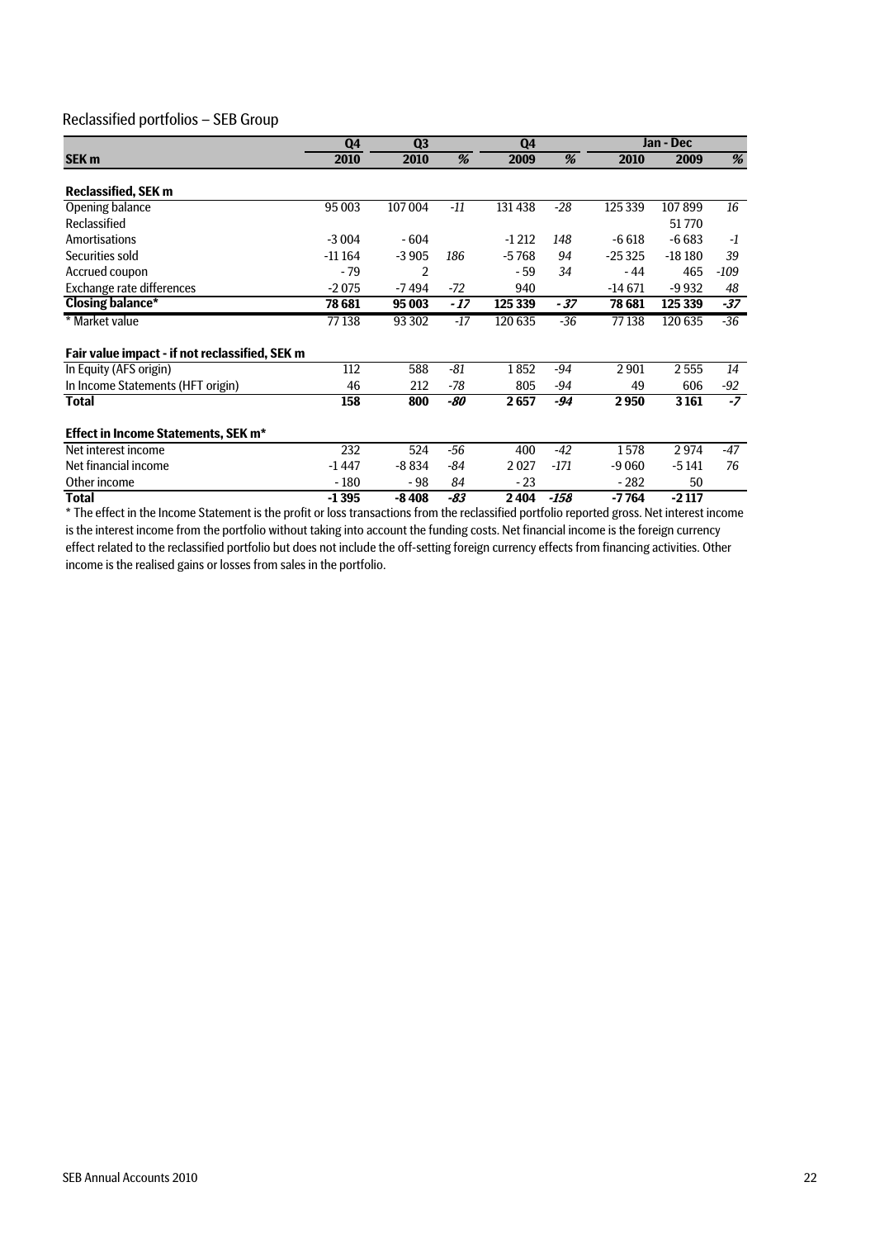#### Reclassified portfolios – SEB Group

|                                                | Q <sub>4</sub> | Q <sub>3</sub> |       | Q4      |        |          | Jan - Dec |        |
|------------------------------------------------|----------------|----------------|-------|---------|--------|----------|-----------|--------|
| SEK <sub>m</sub>                               | 2010           | 2010           | %     | 2009    | %      | 2010     | 2009      | %      |
| <b>Reclassified, SEK m</b>                     |                |                |       |         |        |          |           |        |
| Opening balance                                | 95 003         | 107004         | $-11$ | 131 438 | $-28$  | 125 339  | 107899    | 16     |
| Reclassified                                   |                |                |       |         |        |          | 51770     |        |
| <b>Amortisations</b>                           | $-3004$        | $-604$         |       | $-1212$ | 148    | $-6618$  | $-6683$   | $-1$   |
| Securities sold                                | $-11164$       | $-3905$        | 186   | $-5768$ | 94     | $-25325$ | $-18180$  | 39     |
| Accrued coupon                                 | $-79$          | 2              |       | - 59    | 34     | - 44     | 465       | $-109$ |
| Exchange rate differences                      | $-2075$        | $-7494$        | $-72$ | 940     |        | $-14671$ | $-9932$   | 48     |
| <b>Closing balance*</b>                        | 78 681         | 95 003         | - 17  | 125 339 | - 37   | 78 681   | 125 339   | $-37$  |
| * Market value                                 | 77138          | 93 302         | $-17$ | 120 635 | $-36$  | 77138    | 120 635   | $-36$  |
| Fair value impact - if not reclassified, SEK m |                |                |       |         |        |          |           |        |
| In Equity (AFS origin)                         | 112            | 588            | $-81$ | 1852    | $-94$  | 2901     | 2555      | 14     |
| In Income Statements (HFT origin)              | 46             | 212            | -78   | 805     | -94    | 49       | 606       | $-92$  |
| Total                                          | 158            | 800            | -80   | 2657    | -94    | 2950     | 3 1 6 1   | $-7$   |
| <b>Effect in Income Statements, SEK m*</b>     |                |                |       |         |        |          |           |        |
| Net interest income                            | 232            | 524            | $-56$ | 400     | $-42$  | 1578     | 2974      | $-47$  |
| Net financial income                           | $-1447$        | $-8834$        | -84   | 2027    | $-171$ | -9 060   | $-5141$   | 76     |
| Other income                                   | $-180$         | - 98           | 84    | $-23$   |        | $-282$   | 50        |        |
| Total                                          | $-1395$        | $-8408$        | -83   | 2404    | -158   | $-7764$  | $-2117$   |        |

\* The effect in the Income Statement is the profit or loss transactions from the reclassified portfolio reported gross. Net interest income is the interest income from the portfolio without taking into account the funding costs. Net financial income is the foreign currency effect related to the reclassified portfolio but does not include the off-setting foreign currency effects from financing activities. Other income is the realised gains or losses from sales in the portfolio.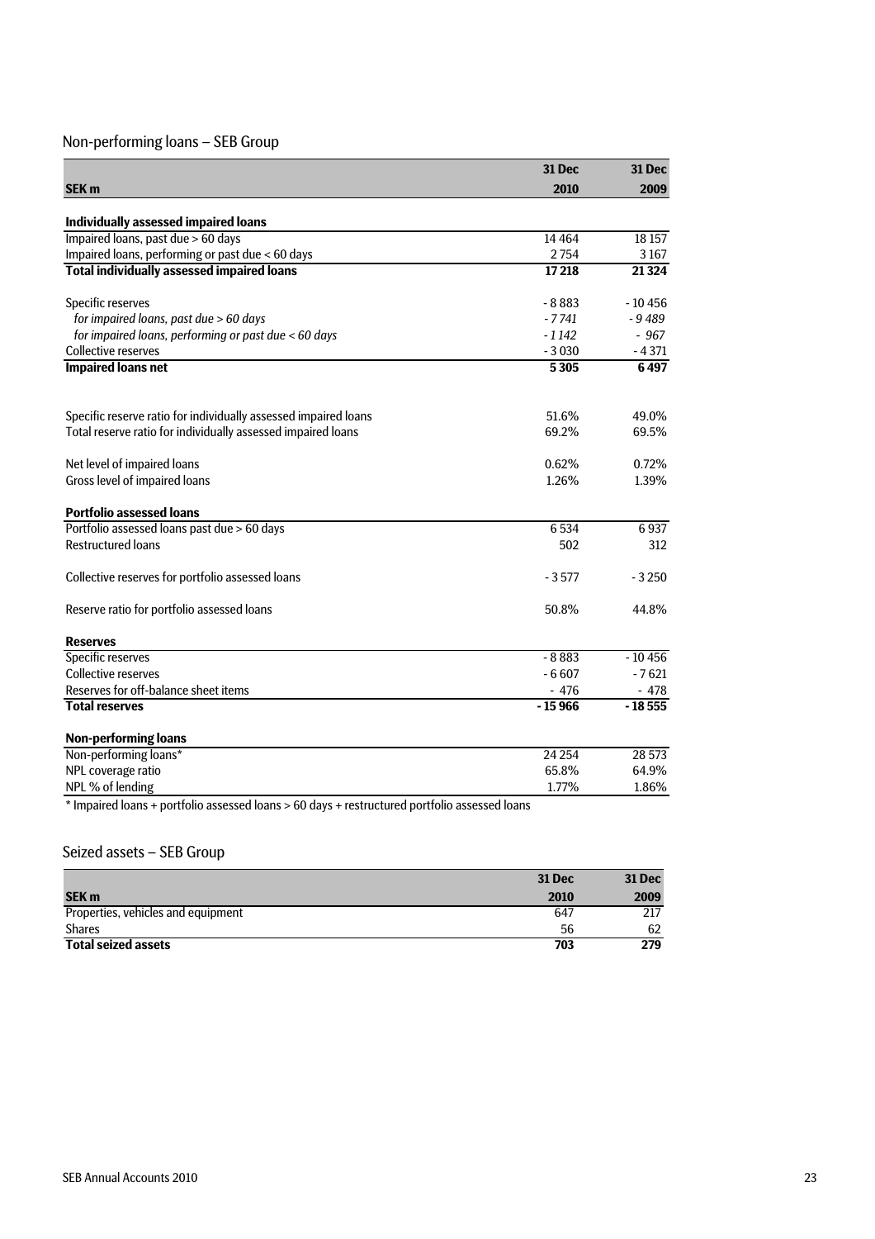### Non-performing loans – SEB Group

|                                                                                   | 31 Dec   | <b>31 Dec</b> |
|-----------------------------------------------------------------------------------|----------|---------------|
| SEK <sub>m</sub>                                                                  | 2010     | 2009          |
|                                                                                   |          |               |
| <b>Individually assessed impaired loans</b><br>Impaired loans, past due > 60 days | 14 4 64  | 18 15 7       |
| Impaired loans, performing or past due < 60 days                                  | 2754     | 3167          |
| <b>Total individually assessed impaired loans</b>                                 | 17218    | 21 3 24       |
|                                                                                   |          |               |
| Specific reserves                                                                 | $-8883$  | $-10456$      |
| for impaired loans, past due > 60 days                                            | $-7741$  | $-9489$       |
| for impaired loans, performing or past due < 60 days                              | $-1142$  | $-967$        |
| <b>Collective reserves</b>                                                        | $-3030$  | $-4371$       |
| <b>Impaired loans net</b>                                                         | 5305     | 6497          |
| Specific reserve ratio for individually assessed impaired loans                   | 51.6%    | 49.0%         |
| Total reserve ratio for individually assessed impaired loans                      | 69.2%    | 69.5%         |
|                                                                                   |          |               |
| Net level of impaired loans                                                       | 0.62%    | 0.72%         |
| Gross level of impaired loans                                                     | 1.26%    | 1.39%         |
| <b>Portfolio assessed loans</b>                                                   |          |               |
| Portfolio assessed loans past due > 60 days                                       | 6534     | 6937          |
| <b>Restructured loans</b>                                                         | 502      | 312           |
| Collective reserves for portfolio assessed loans                                  | - 3 577  | $-3250$       |
| Reserve ratio for portfolio assessed loans                                        | 50.8%    | 44.8%         |
| <b>Reserves</b>                                                                   |          |               |
| <b>Specific reserves</b>                                                          | $-8883$  | $-10456$      |
| <b>Collective reserves</b>                                                        | $-6607$  | $-7621$       |
| Reserves for off-balance sheet items                                              | $-476$   | - 478         |
| <b>Total reserves</b>                                                             | $-15966$ | $-18555$      |
| <b>Non-performing loans</b>                                                       |          |               |
| Non-performing loans*                                                             | 24 2 54  | 28 5 73       |
| NPL coverage ratio                                                                | 65.8%    | 64.9%         |
| NPL % of lending                                                                  | 1.77%    | 1.86%         |

\* Impaired loans + portfolio assessed loans > 60 days + restructured portfolio assessed loans

### Seized assets – SEB Group

|                                    | <b>31 Dec</b> | <b>31 Dec</b> |
|------------------------------------|---------------|---------------|
| <b>SEK m</b>                       | 2010          | 2009          |
| Properties, vehicles and equipment | 647           | 217           |
| <b>Shares</b>                      | 56            | 62            |
| <b>Total seized assets</b>         | 703           | 279           |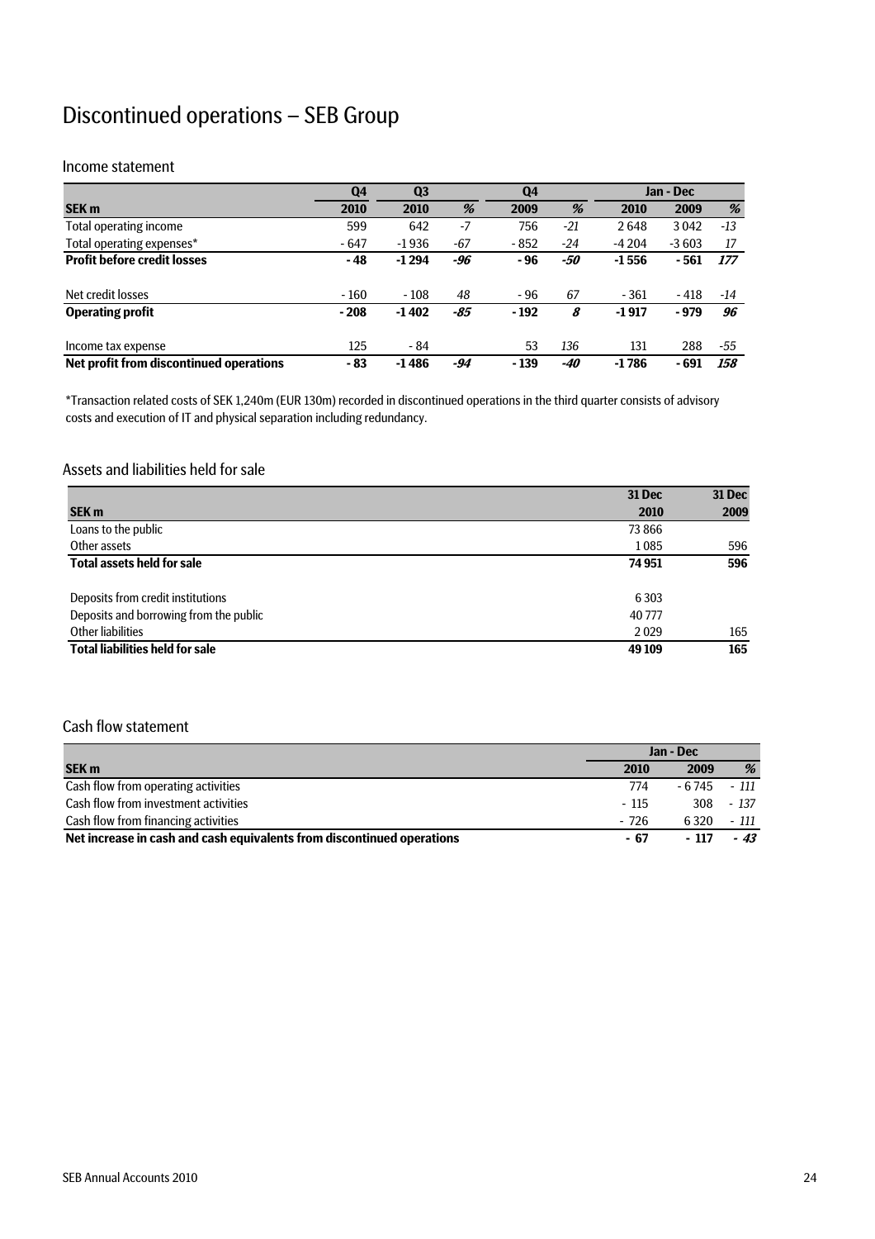## Discontinued operations – SEB Group

#### Income statement

|                                         | Q4     | Q <sub>3</sub> |      | Q <sub>4</sub> |       |         | Jan - Dec |       |
|-----------------------------------------|--------|----------------|------|----------------|-------|---------|-----------|-------|
| <b>SEK m</b>                            | 2010   | 2010           | %    | 2009           | %     | 2010    | 2009      | %     |
| Total operating income                  | 599    | 642            | $-7$ | 756            | $-21$ | 2648    | 3042      | $-13$ |
| Total operating expenses*               | $-647$ | $-1936$        | -67  | $-852$         | -24   | $-4204$ | $-3603$   | 17    |
| <b>Profit before credit losses</b>      | - 48   | $-1294$        | -96  | - 96           | -50   | $-1556$ | - 561     | 177   |
| Net credit losses                       | $-160$ | $-108$         | 48   | $-96$          | 67    | $-361$  | $-418$    | -14   |
| <b>Operating profit</b>                 | $-208$ | $-1402$        | -85  | $-192$         | 8     | $-1917$ | $-979$    | 96    |
| Income tax expense                      | 125    | $-84$          |      | 53             | 136   | 131     | 288       | -55   |
| Net profit from discontinued operations | $-83$  | $-1486$        | -94  | $-139$         | -40   | $-1786$ | - 691     | 158   |

\*Transaction related costs of SEK 1,240m (EUR 130m) recorded in discontinued operations in the third quarter consists of advisory costs and execution of IT and physical separation including redundancy.

#### Assets and liabilities held for sale

|                                        | 31 Dec  | 31 Dec |
|----------------------------------------|---------|--------|
| <b>SEK m</b>                           | 2010    | 2009   |
| Loans to the public                    | 73866   |        |
| Other assets                           | 1085    | 596    |
| <b>Total assets held for sale</b>      | 74 951  | 596    |
| Deposits from credit institutions      | 6 3 0 3 |        |
| Deposits and borrowing from the public | 40777   |        |
| Other liabilities                      | 2029    | 165    |
| <b>Total liabilities held for sale</b> | 49 109  | 165    |

#### Cash flow statement

|                                                                        | Jan - Dec |         |        |
|------------------------------------------------------------------------|-----------|---------|--------|
| <b>SEK m</b>                                                           | 2010      | 2009    | %      |
| Cash flow from operating activities                                    | 774       | - 6 745 | - 111  |
| Cash flow from investment activities                                   | - 115     | 308     | $-137$ |
| Cash flow from financing activities                                    | $-726$    | 6.320   | - 111  |
| Net increase in cash and cash equivalents from discontinued operations | - 67      | - 117   | $-43$  |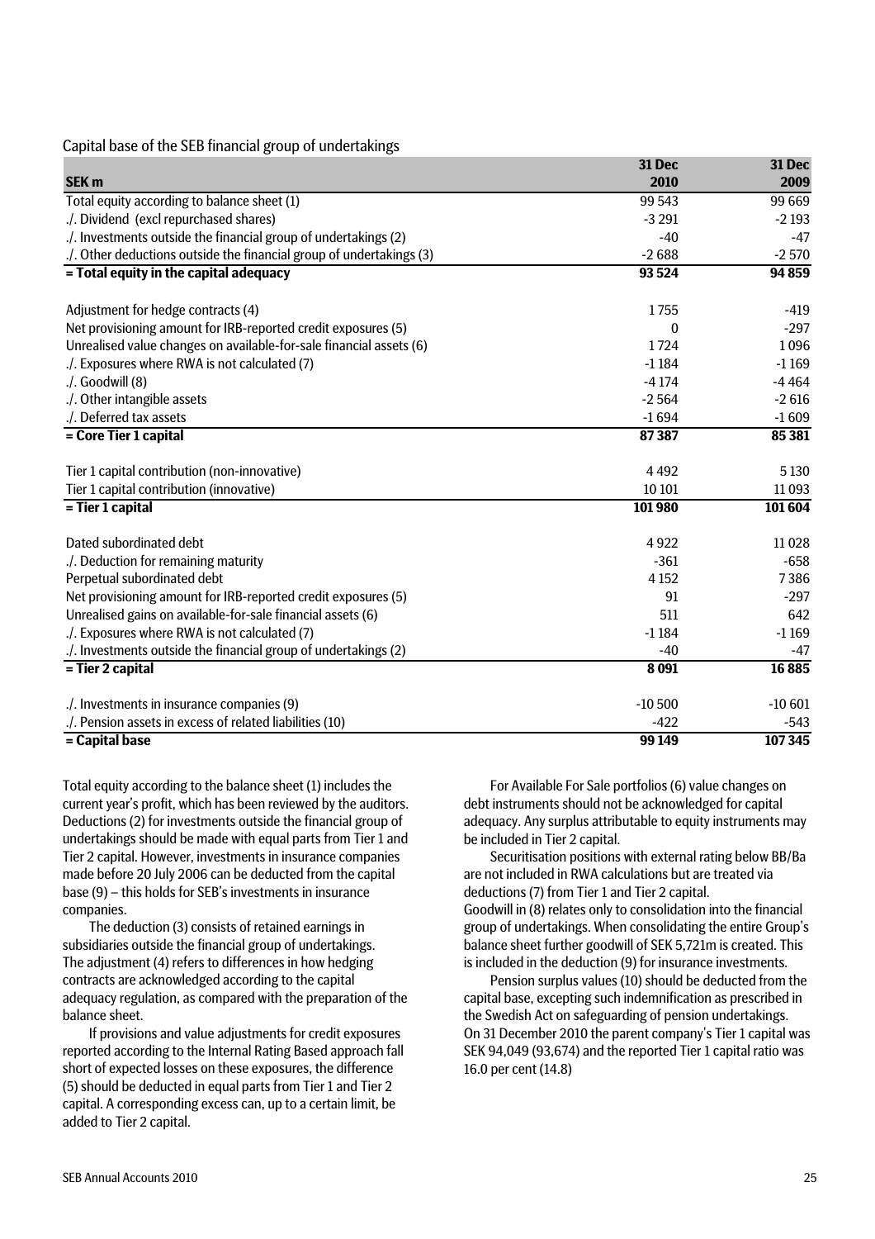#### Capital base of the SEB financial group of undertakings

|                                                                      | 31 Dec       | 31 Dec   |
|----------------------------------------------------------------------|--------------|----------|
| SEK <sub>m</sub>                                                     | 2010         | 2009     |
| Total equity according to balance sheet (1)                          | 99 543       | 99 669   |
| ./. Dividend (excl repurchased shares)                               | $-3291$      | $-2193$  |
| ./. Investments outside the financial group of undertakings (2)      | $-40$        | $-47$    |
| ./. Other deductions outside the financial group of undertakings (3) | $-2688$      | $-2570$  |
| = Total equity in the capital adequacy                               | 93 5 24      | 94 859   |
|                                                                      |              |          |
| Adjustment for hedge contracts (4)                                   | 1755         | $-419$   |
| Net provisioning amount for IRB-reported credit exposures (5)        | $\mathbf{0}$ | $-297$   |
| Unrealised value changes on available-for-sale financial assets (6)  | 1724         | 1096     |
| ./. Exposures where RWA is not calculated (7)                        | $-1184$      | $-1169$  |
| $\Lambda$ . Goodwill (8)                                             | $-4174$      | $-4464$  |
| ./. Other intangible assets                                          | $-2564$      | $-2616$  |
| ./. Deferred tax assets                                              | $-1694$      | $-1609$  |
| = Core Tier 1 capital                                                | 87387        | 85 381   |
| Tier 1 capital contribution (non-innovative)                         | 4492         | 5 1 3 0  |
| Tier 1 capital contribution (innovative)                             | 10 10 1      | 11 0 93  |
| = Tier 1 capital                                                     | 101980       | 101 604  |
| Dated subordinated debt                                              | 4 9 2 2      | 11028    |
| ./. Deduction for remaining maturity                                 | $-361$       | $-658$   |
| Perpetual subordinated debt                                          | 4 1 5 2      | 7386     |
| Net provisioning amount for IRB-reported credit exposures (5)        | 91           | $-297$   |
| Unrealised gains on available-for-sale financial assets (6)          | 511          | 642      |
| ./. Exposures where RWA is not calculated (7)                        | $-1184$      | $-1169$  |
| ./. Investments outside the financial group of undertakings (2)      | $-40$        | -47      |
| = Tier 2 capital                                                     | 8 0 9 1      | 16885    |
|                                                                      |              |          |
| ./. Investments in insurance companies (9)                           | $-10500$     | $-10601$ |
| ./. Pension assets in excess of related liabilities (10)             | $-422$       | $-543$   |
| = Capital base                                                       | 99 149       | 107 345  |

Total equity according to the balance sheet (1) includes the current year's profit, which has been reviewed by the auditors. Deductions (2) for investments outside the financial group of undertakings should be made with equal parts from Tier 1 and Tier 2 capital. However, investments in insurance companies made before 20 July 2006 can be deducted from the capital base (9) – this holds for SEB's investments in insurance companies.

The deduction (3) consists of retained earnings in subsidiaries outside the financial group of undertakings. The adjustment (4) refers to differences in how hedging contracts are acknowledged according to the capital adequacy regulation, as compared with the preparation of the balance sheet.

If provisions and value adjustments for credit exposures reported according to the Internal Rating Based approach fall short of expected losses on these exposures, the difference (5) should be deducted in equal parts from Tier 1 and Tier 2 capital. A corresponding excess can, up to a certain limit, be added to Tier 2 capital.

For Available For Sale portfolios (6) value changes on debt instruments should not be acknowledged for capital adequacy. Any surplus attributable to equity instruments may be included in Tier 2 capital.

Securitisation positions with external rating below BB/Ba are not included in RWA calculations but are treated via deductions (7) from Tier 1 and Tier 2 capital. Goodwill in (8) relates only to consolidation into the financial group of undertakings. When consolidating the entire Group's balance sheet further goodwill of SEK 5,721m is created. This is included in the deduction (9) for insurance investments.

Pension surplus values (10) should be deducted from the capital base, excepting such indemnification as prescribed in the Swedish Act on safeguarding of pension undertakings. On 31 December 2010 the parent company's Tier 1 capital was SEK 94,049 (93,674) and the reported Tier 1 capital ratio was 16.0 per cent (14.8)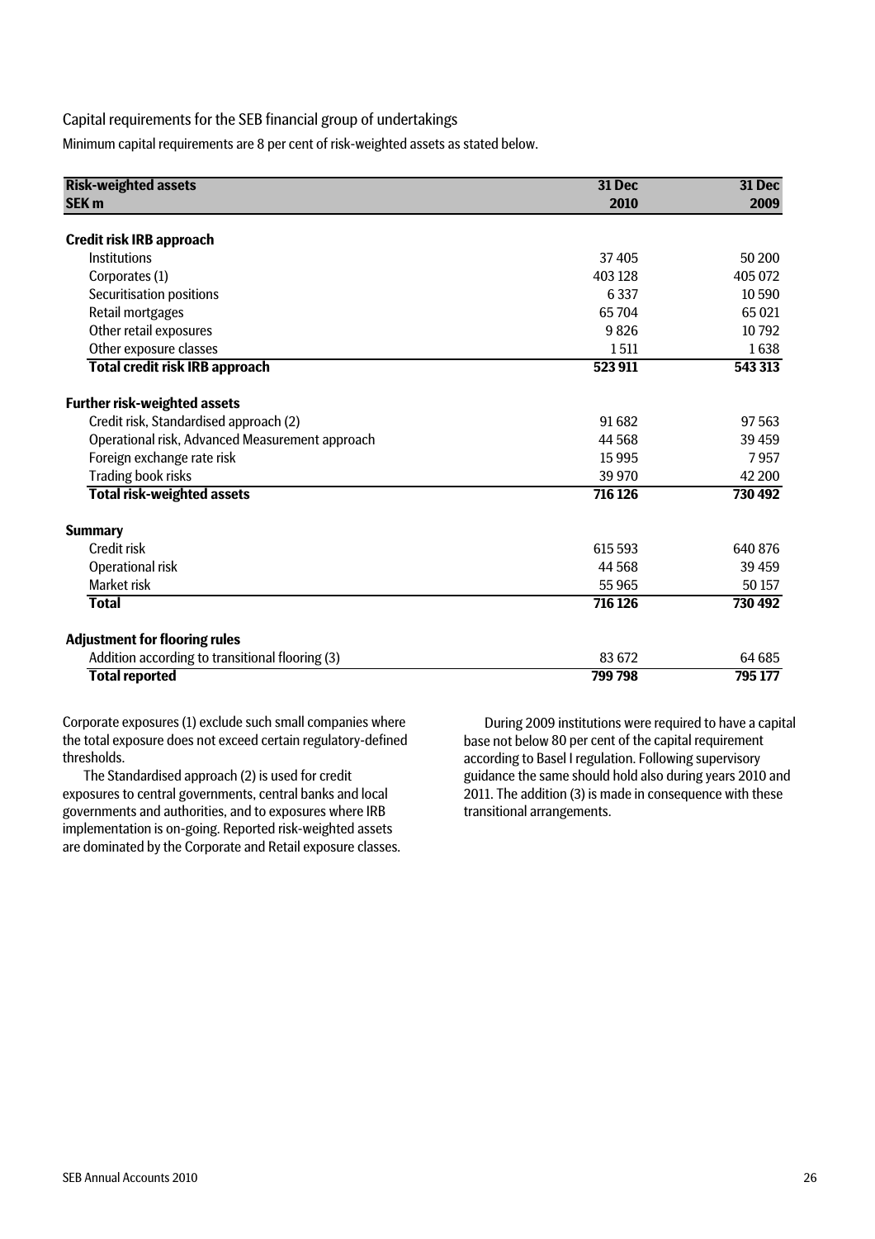#### Capital requirements for the SEB financial group of undertakings

Minimum capital requirements are 8 per cent of risk-weighted assets as stated below.

| <b>Risk-weighted assets</b>                     | 31 Dec  | 31 Dec  |  |
|-------------------------------------------------|---------|---------|--|
| <b>SEK m</b>                                    | 2010    | 2009    |  |
| <b>Credit risk IRB approach</b>                 |         |         |  |
| <b>Institutions</b>                             | 37405   | 50 200  |  |
| Corporates (1)                                  | 403 128 | 405 072 |  |
| Securitisation positions                        | 6 3 3 7 | 10 590  |  |
| Retail mortgages                                | 65704   | 65021   |  |
| Other retail exposures                          | 9826    | 10792   |  |
| Other exposure classes                          | 1511    | 1638    |  |
| <b>Total credit risk IRB approach</b>           | 523 911 | 543 313 |  |
| <b>Further risk-weighted assets</b>             |         |         |  |
| Credit risk, Standardised approach (2)          | 91682   | 97 563  |  |
| Operational risk, Advanced Measurement approach | 44 5 68 | 39 459  |  |
| Foreign exchange rate risk                      | 15995   | 7957    |  |
| Trading book risks                              | 39 970  | 42 200  |  |
| <b>Total risk-weighted assets</b>               | 716 126 | 730 492 |  |
| <b>Summary</b>                                  |         |         |  |
| Credit risk                                     | 615 593 | 640 876 |  |
| Operational risk                                | 44 5 68 | 39 459  |  |
| <b>Market risk</b>                              | 55965   | 50 157  |  |
| <b>Total</b>                                    | 716 126 | 730 492 |  |
| <b>Adjustment for flooring rules</b>            |         |         |  |
| Addition according to transitional flooring (3) | 83 672  | 64 685  |  |
| <b>Total reported</b>                           | 799 798 | 795 177 |  |

Corporate exposures (1) exclude such small companies where the total exposure does not exceed certain regulatory-defined thresholds.

The Standardised approach (2) is used for credit exposures to central governments, central banks and local governments and authorities, and to exposures where IRB implementation is on-going. Reported risk-weighted assets are dominated by the Corporate and Retail exposure classes.

During 2009 institutions were required to have a capital base not below 80 per cent of the capital requirement according to Basel I regulation. Following supervisory guidance the same should hold also during years 2010 and 2011. The addition (3) is made in consequence with these transitional arrangements.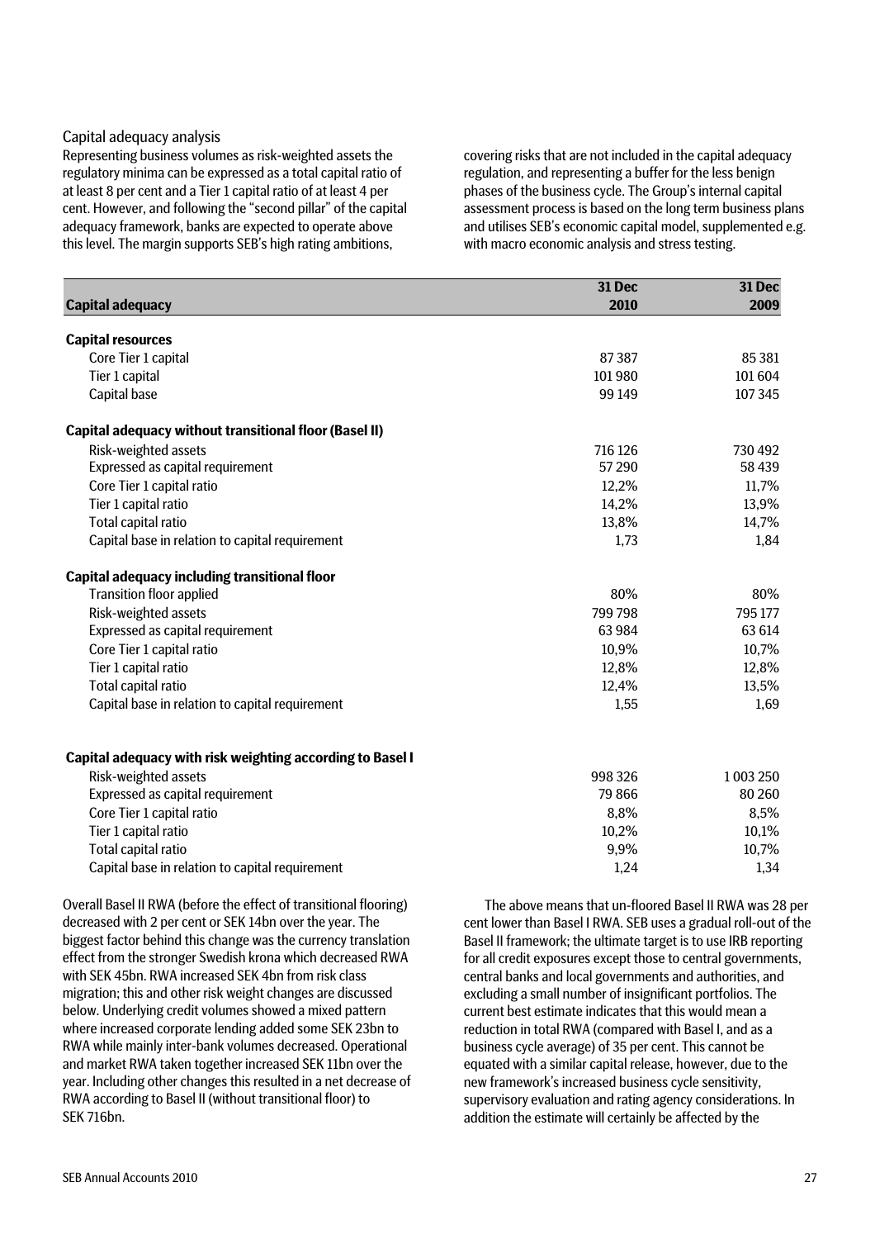#### Capital adequacy analysis

Representing business volumes as risk-weighted assets the regulatory minima can be expressed as a total capital ratio of at least 8 per cent and a Tier 1 capital ratio of at least 4 per cent. However, and following the "second pillar" of the capital adequacy framework, banks are expected to operate above this level. The margin supports SEB's high rating ambitions,

covering risks that are not included in the capital adequacy regulation, and representing a buffer for the less benign phases of the business cycle. The Group's internal capital assessment process is based on the long term business plans and utilises SEB's economic capital model, supplemented e.g. with macro economic analysis and stress testing.

|                                                               | 31 Dec  | 31 Dec    |
|---------------------------------------------------------------|---------|-----------|
| <b>Capital adequacy</b>                                       | 2010    | 2009      |
|                                                               |         |           |
| <b>Capital resources</b>                                      |         |           |
| Core Tier 1 capital                                           | 87387   | 85 3 81   |
| Tier 1 capital                                                | 101980  | 101 604   |
| Capital base                                                  | 99 149  | 107 345   |
| <b>Capital adequacy without transitional floor (Basel II)</b> |         |           |
| Risk-weighted assets                                          | 716 126 | 730 492   |
| Expressed as capital requirement                              | 57 290  | 58 439    |
| Core Tier 1 capital ratio                                     | 12,2%   | 11,7%     |
| Tier 1 capital ratio                                          | 14,2%   | 13,9%     |
| Total capital ratio                                           | 13,8%   | 14,7%     |
| Capital base in relation to capital requirement               | 1,73    | 1,84      |
| Capital adequacy including transitional floor                 |         |           |
| <b>Transition floor applied</b>                               | 80%     | 80%       |
| Risk-weighted assets                                          | 799798  | 795 177   |
| Expressed as capital requirement                              | 63984   | 63 614    |
| Core Tier 1 capital ratio                                     | 10,9%   | 10,7%     |
| Tier 1 capital ratio                                          | 12,8%   | 12,8%     |
| Total capital ratio                                           | 12,4%   | 13,5%     |
| Capital base in relation to capital requirement               | 1,55    | 1,69      |
|                                                               |         |           |
| Capital adequacy with risk weighting according to Basel I     |         |           |
| Risk-weighted assets                                          | 998326  | 1 003 250 |
| Expressed as capital requirement                              | 79866   | 80 260    |
| Core Tier 1 capital ratio                                     | 8,8%    | 8,5%      |
| Tier 1 capital ratio                                          | 10,2%   | 10,1%     |
| Total capital ratio                                           | 9,9%    | 10,7%     |
| Capital base in relation to capital requirement               | 1,24    | 1,34      |

Overall Basel II RWA (before the effect of transitional flooring) decreased with 2 per cent or SEK 14bn over the year. The biggest factor behind this change was the currency translation effect from the stronger Swedish krona which decreased RWA with SEK 45bn. RWA increased SEK 4bn from risk class migration; this and other risk weight changes are discussed below. Underlying credit volumes showed a mixed pattern where increased corporate lending added some SEK 23bn to RWA while mainly inter-bank volumes decreased. Operational and market RWA taken together increased SEK 11bn over the year. Including other changes this resulted in a net decrease of RWA according to Basel II (without transitional floor) to SEK 716bn.

The above means that un-floored Basel II RWA was 28 per cent lower than Basel I RWA. SEB uses a gradual roll-out of the Basel II framework; the ultimate target is to use IRB reporting for all credit exposures except those to central governments, central banks and local governments and authorities, and excluding a small number of insignificant portfolios. The current best estimate indicates that this would mean a reduction in total RWA (compared with Basel I, and as a business cycle average) of 35 per cent. This cannot be equated with a similar capital release, however, due to the new framework's increased business cycle sensitivity, supervisory evaluation and rating agency considerations. In addition the estimate will certainly be affected by the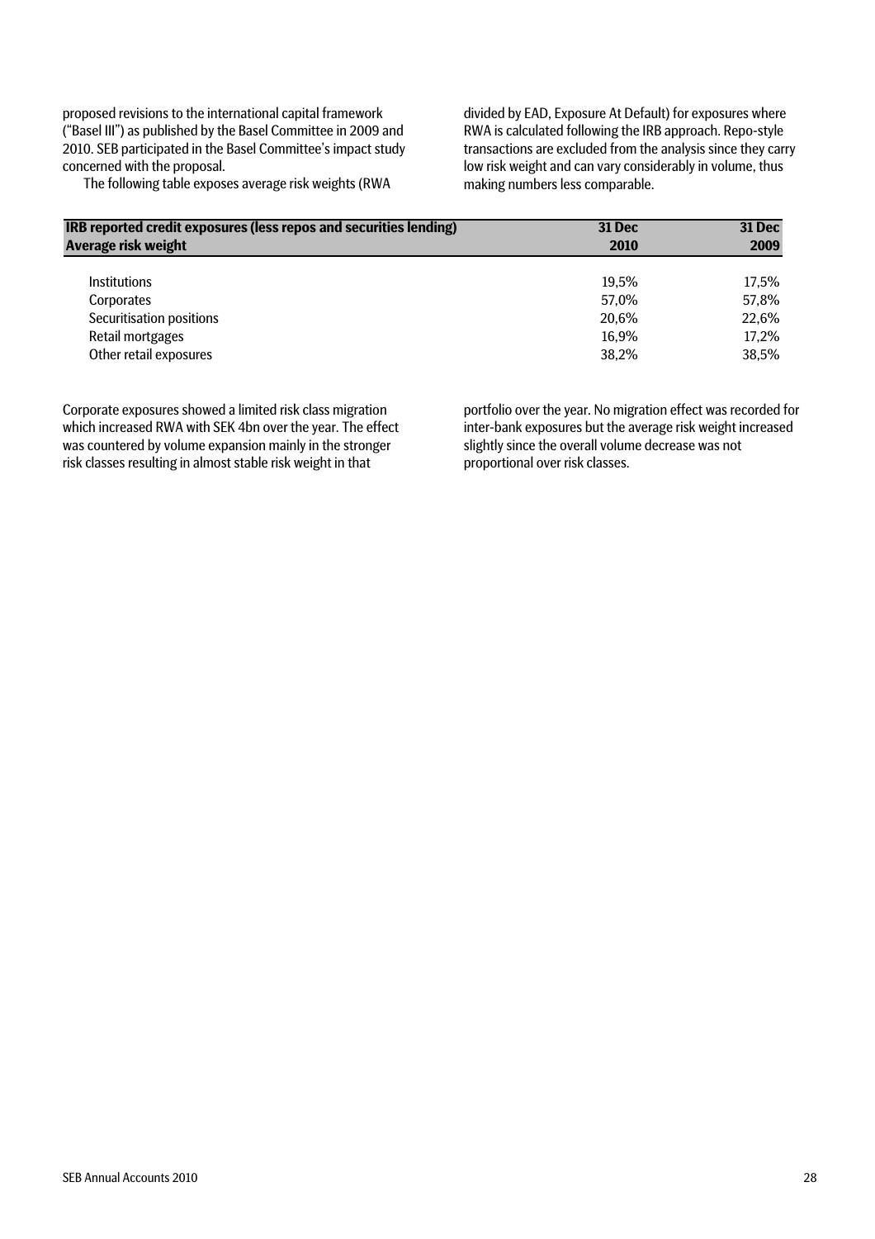proposed revisions to the international capital framework ("Basel III") as published by the Basel Committee in 2009 and 2010. SEB participated in the Basel Committee's impact study concerned with the proposal.

The following table exposes average risk weights (RWA

divided by EAD, Exposure At Default) for exposures where RWA is calculated following the IRB approach. Repo-style transactions are excluded from the analysis since they carry low risk weight and can vary considerably in volume, thus making numbers less comparable.

| IRB reported credit exposures (less repos and securities lending) | <b>31 Dec</b> | 31 Dec |  |
|-------------------------------------------------------------------|---------------|--------|--|
| Average risk weight                                               | 2010          | 2009   |  |
| <b>Institutions</b>                                               | 19.5%         | 17.5%  |  |
| Corporates                                                        | 57,0%         | 57,8%  |  |
| Securitisation positions                                          | 20.6%         | 22,6%  |  |
| Retail mortgages                                                  | 16,9%         | 17,2%  |  |
| Other retail exposures                                            | 38.2%         | 38,5%  |  |

Corporate exposures showed a limited risk class migration which increased RWA with SEK 4bn over the year. The effect was countered by volume expansion mainly in the stronger risk classes resulting in almost stable risk weight in that

portfolio over the year. No migration effect was recorded for inter-bank exposures but the average risk weight increased slightly since the overall volume decrease was not proportional over risk classes.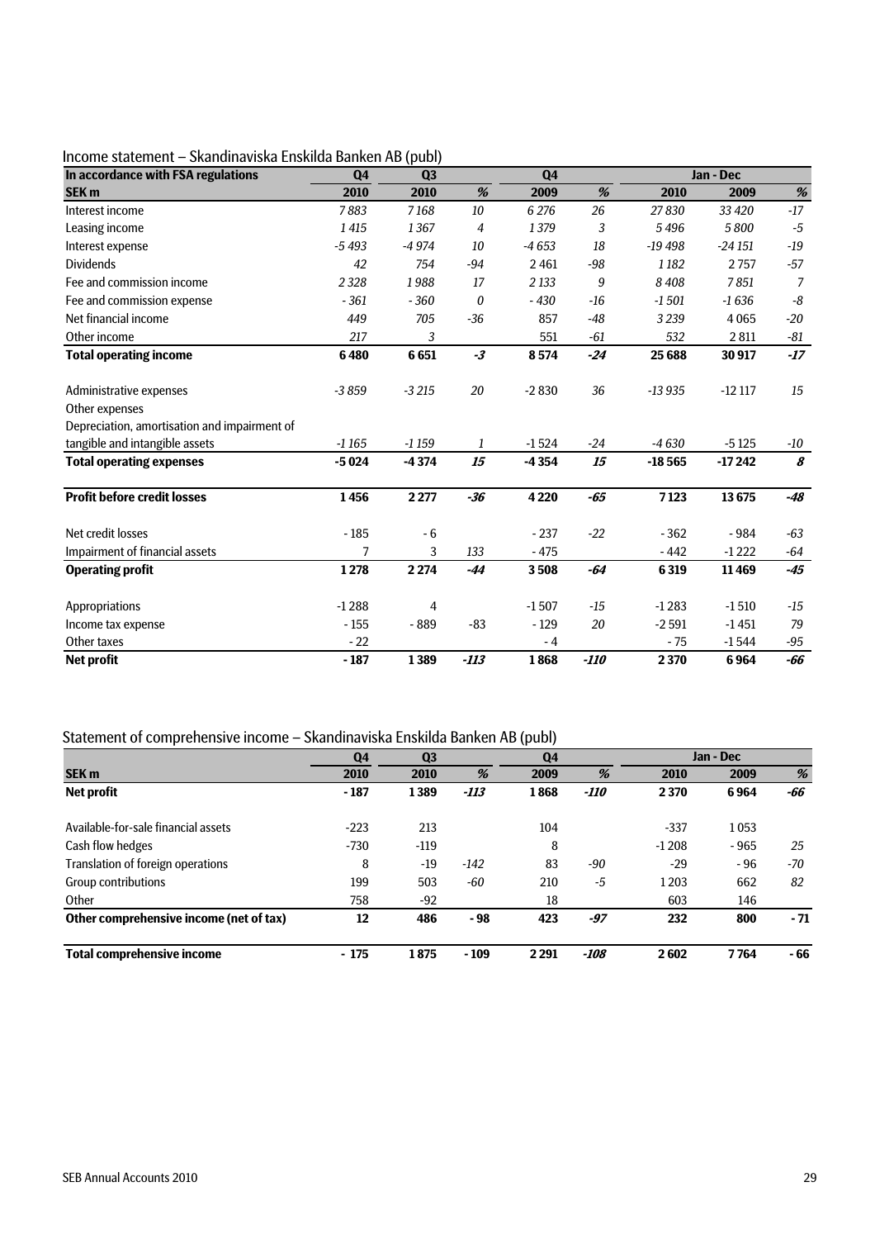### Income statement – Skandinaviska Enskilda Banken AB (publ)

| In accordance with FSA regulations           | Q <sub>4</sub> | Q <sub>3</sub> |                                       | Q <sub>4</sub> |                                       | Jan - Dec |          |       |
|----------------------------------------------|----------------|----------------|---------------------------------------|----------------|---------------------------------------|-----------|----------|-------|
| <b>SEK m</b>                                 | 2010           | 2010           | $% \mathcal{A}=\mathcal{A}^{\prime }$ | 2009           | $% \mathcal{A}=\mathcal{A}^{\prime }$ | 2010      | 2009     | $\%$  |
| Interest income                              | 7883           | 7168           | 10                                    | 6 2 7 6        | 26                                    | 27830     | 33 4 20  | $-17$ |
| Leasing income                               | 1415           | 1367           | $\overline{4}$                        | 1379           | 3                                     | 5496      | 5800     | $-5$  |
| Interest expense                             | $-5493$        | $-4974$        | 10                                    | $-4653$        | 18                                    | $-19498$  | $-24151$ | $-19$ |
| <b>Dividends</b>                             | 42             | 754            | $-94$                                 | 2461           | $-98$                                 | 1182      | 2757     | $-57$ |
| Fee and commission income                    | 2 3 2 8        | 1988           | 17                                    | 2 1 3 3        | 9                                     | 8408      | 7851     | 7     |
| Fee and commission expense                   | $-361$         | $-360$         | 0                                     | $-430$         | $-16$                                 | $-1501$   | $-1636$  | -8    |
| Net financial income                         | 449            | 705            | $-36$                                 | 857            | $-48$                                 | 3 2 3 9   | 4065     | $-20$ |
| Other income                                 | 217            | 3              |                                       | 551            | $-61$                                 | 532       | 2811     | -81   |
| <b>Total operating income</b>                | 6480           | 6651           | $-3$                                  | 8574           | $-24$                                 | 25 6 88   | 30917    | $-17$ |
| Administrative expenses                      | $-3859$        | $-3215$        | 20                                    | $-2830$        | 36                                    | $-13935$  | $-12117$ | 15    |
| Other expenses                               |                |                |                                       |                |                                       |           |          |       |
| Depreciation, amortisation and impairment of |                |                |                                       |                |                                       |           |          |       |
| tangible and intangible assets               | $-1165$        | $-1159$        | 1                                     | $-1524$        | -24                                   | $-4630$   | $-5125$  | $-10$ |
| <b>Total operating expenses</b>              | $-5024$        | $-4374$        | 15                                    | $-4354$        | 15                                    | $-18565$  | $-17242$ | 8     |
| <b>Profit before credit losses</b>           | 1456           | 2 2 7 7        | -36                                   | 4 2 2 0        | -65                                   | 7123      | 13675    | -48   |
| Net credit losses                            | $-185$         | $-6$           |                                       | $-237$         | $-22$                                 | $-362$    | $-984$   | $-63$ |
| Impairment of financial assets               | 7              | 3              | 133                                   | $-475$         |                                       | $-442$    | $-1222$  | -64   |
| <b>Operating profit</b>                      | 1278           | 2 2 7 4        | $-44$                                 | 3508           | $-64$                                 | 6319      | 11469    | -45   |
| Appropriations                               | $-1288$        | 4              |                                       | $-1507$        | -15                                   | $-1283$   | $-1510$  | -15   |
| Income tax expense                           | $-155$         | $-889$         | $-83$                                 | $-129$         | 20                                    | $-2591$   | $-1451$  | 79    |
| Other taxes                                  | $-22$          |                |                                       | $-4$           |                                       | $-75$     | $-1544$  | -95   |
| <b>Net profit</b>                            | $-187$         | 1389           | $-113$                                | 1868           | -110                                  | 2370      | 6964     | -66   |

#### Statement of comprehensive income – Skandinaviska Enskilda Banken AB (publ)

| . .                                     | Q <sub>4</sub>    | Q <sub>3</sub> |        |         |        | Jan - Dec |        |       |
|-----------------------------------------|-------------------|----------------|--------|---------|--------|-----------|--------|-------|
| <b>SEK m</b>                            | 2010              | 2010           | %      | 2009    | %      | 2010      | 2009   | %     |
| <b>Net profit</b>                       | $-187$            | 1389           | $-113$ | 1868    | $-110$ | 2370      | 6964   | -66   |
| Available-for-sale financial assets     | $-223$            | 213            |        | 104     |        | $-337$    | 1053   |       |
| Cash flow hedges                        | $-730$            | $-119$         |        | 8       |        | $-1208$   | $-965$ | 25    |
| Translation of foreign operations       | 8                 | $-19$          | $-142$ | 83      | -90    | $-29$     | - 96   | -70   |
| <b>Group contributions</b>              | 199               | 503            | -60    | 210     | $-5$   | 1203      | 662    | 82    |
| Other                                   | 758               | $-92$          |        | 18      |        | 603       | 146    |       |
| Other comprehensive income (net of tax) | $12 \overline{ }$ | 486            | - 98   | 423     | $-97$  | 232       | 800    | $-71$ |
| <b>Total comprehensive income</b>       | $-175$            | 1875           | $-109$ | 2 2 9 1 | $-108$ | 2602      | 7764   | $-66$ |